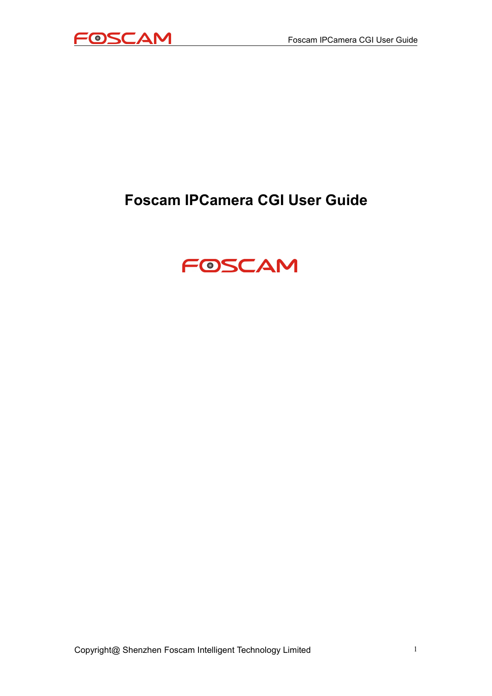

## **Foscam IPCamera CGI User Guide**

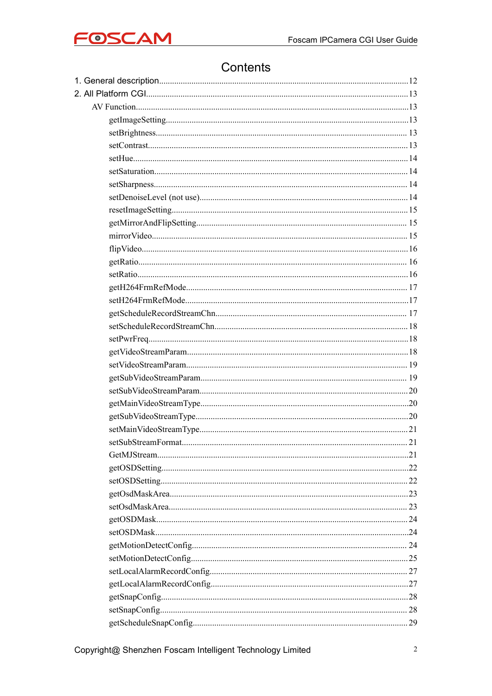

#### Contents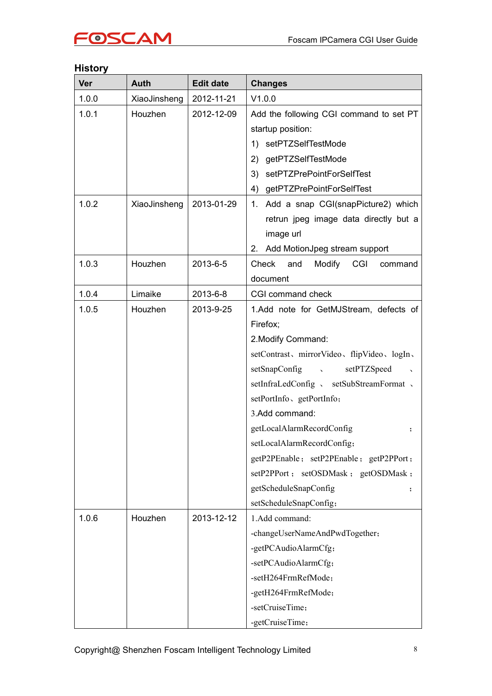#### **History**

| <b>Ver</b> | Auth         | <b>Edit date</b> | <b>Changes</b>                                                                |  |
|------------|--------------|------------------|-------------------------------------------------------------------------------|--|
| 1.0.0      | XiaoJinsheng | 2012-11-21       | V1.0.0                                                                        |  |
| 1.0.1      | Houzhen      | 2012-12-09       | Add the following CGI command to set PT                                       |  |
|            |              |                  | startup position:                                                             |  |
|            |              |                  | 1) setPTZSelfTestMode                                                         |  |
|            |              |                  | getPTZSelfTestMode<br>2)                                                      |  |
|            |              |                  | setPTZPrePointForSelfTest<br>3)                                               |  |
|            |              |                  | getPTZPrePointForSelfTest<br>4)                                               |  |
| 1.0.2      | XiaoJinsheng | 2013-01-29       | 1. Add a snap CGI(snapPicture2) which                                         |  |
|            |              |                  | retrun jpeg image data directly but a                                         |  |
|            |              |                  | image url                                                                     |  |
|            |              |                  | 2. Add MotionJpeg stream support                                              |  |
| 1.0.3      | Houzhen      | 2013-6-5         | Check and<br>Modify CGI<br>command                                            |  |
|            |              |                  | document                                                                      |  |
| 1.0.4      | Limaike      | 2013-6-8         | CGI command check                                                             |  |
| 1.0.5      | Houzhen      | 2013-9-25        | 1.Add note for GetMJStream, defects of                                        |  |
|            |              |                  | Firefox;                                                                      |  |
|            |              |                  | 2. Modify Command:                                                            |  |
|            |              |                  | setContrast、mirrorVideo、flipVideo、logIn、                                      |  |
|            |              |                  | setSnapConfig \,<br>setPTZSpeed<br>$\sim$                                     |  |
|            |              |                  | setInfraLedConfig 、 setSubStreamFormat 、                                      |  |
|            |              |                  | setPortInfo, getPortInfo;<br>3.Add command:<br>getLocalAlarmRecordConfig<br>; |  |
|            |              |                  |                                                                               |  |
|            |              |                  |                                                                               |  |
|            |              |                  | setLocalAlarmRecordConfig;                                                    |  |
|            |              |                  | getP2PEnable; setP2PEnable; getP2PPort;                                       |  |
|            |              |                  | setP2PPort; setOSDMask; getOSDMask;                                           |  |
|            |              |                  | getScheduleSnapConfig<br>$\ddot{\phantom{0}}$                                 |  |
|            |              |                  | setScheduleSnapConfig;                                                        |  |
| 1.0.6      | Houzhen      | 2013-12-12       | 1.Add command:                                                                |  |
|            |              |                  | -changeUserNameAndPwdTogether;                                                |  |
|            |              |                  | -getPCAudioAlarmCfg;                                                          |  |
|            |              |                  | -setPCAudioAlarmCfg;                                                          |  |
|            |              |                  | -setH264FrmRefMode;                                                           |  |
|            |              |                  | -getH264FrmRefMode;                                                           |  |
|            |              |                  | -setCruiseTime;                                                               |  |
|            |              |                  | -getCruiseTime;                                                               |  |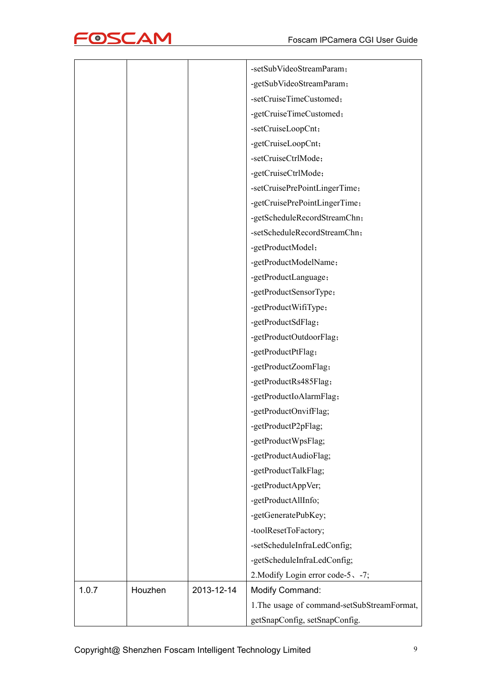

|       |         |            | -setSubVideoStreamParam;                    |
|-------|---------|------------|---------------------------------------------|
|       |         |            | -getSubVideoStreamParam;                    |
|       |         |            | -setCruiseTimeCustomed;                     |
|       |         |            | -getCruiseTimeCustomed;                     |
|       |         |            | -setCruiseLoopCnt;                          |
|       |         |            | -getCruiseLoopCnt;                          |
|       |         |            | -setCruiseCtrlMode;                         |
|       |         |            | -getCruiseCtrlMode;                         |
|       |         |            | -setCruisePrePointLingerTime;               |
|       |         |            | -getCruisePrePointLingerTime;               |
|       |         |            | -getScheduleRecordStreamChn;                |
|       |         |            | -setScheduleRecordStreamChn;                |
|       |         |            | -getProductModel;                           |
|       |         |            | -getProductModelName;                       |
|       |         |            | -getProductLanguage;                        |
|       |         |            | -getProductSensorType;                      |
|       |         |            | -getProductWifiType;                        |
|       |         |            | -getProductSdFlag;                          |
|       |         |            | -getProductOutdoorFlag;                     |
|       |         |            | -getProductPtFlag;                          |
|       |         |            | -getProductZoomFlag;                        |
|       |         |            | -getProductRs485Flag;                       |
|       |         |            | -getProductIoAlarmFlag;                     |
|       |         |            | -getProductOnvifFlag;                       |
|       |         |            | -getProductP2pFlag;                         |
|       |         |            | -getProductWpsFlag;                         |
|       |         |            | -getProductAudioFlag;                       |
|       |         |            | -getProductTalkFlag;                        |
|       |         |            | -getProductAppVer;                          |
|       |         |            | -getProductAllInfo;                         |
|       |         |            | -getGeneratePubKey;                         |
|       |         |            | -toolResetToFactory;                        |
|       |         |            | -setScheduleInfraLedConfig;                 |
|       |         |            | -getScheduleInfraLedConfig;                 |
|       |         |            | 2. Modify Login error code-5, -7;           |
| 1.0.7 | Houzhen | 2013-12-14 | Modify Command:                             |
|       |         |            | 1. The usage of command-setSubStreamFormat, |
|       |         |            | getSnapConfig, setSnapConfig.               |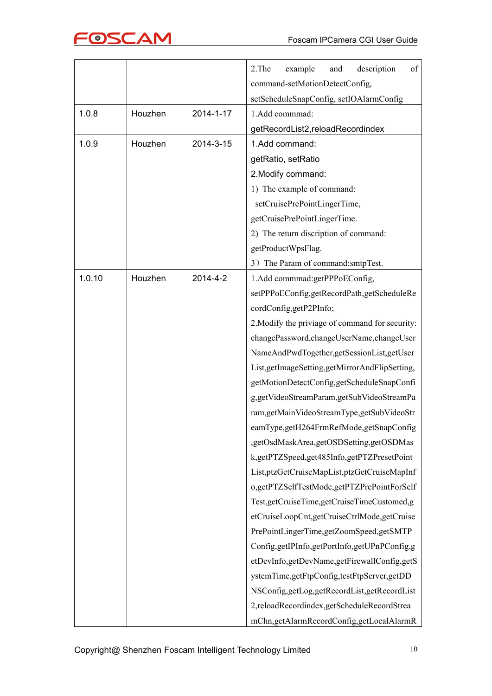

|        |         |           | of<br>2.The<br>description<br>example<br>and    |
|--------|---------|-----------|-------------------------------------------------|
|        |         |           | command-setMotionDetectConfig,                  |
|        |         |           | setScheduleSnapConfig, setIOAlarmConfig         |
| 1.0.8  | Houzhen | 2014-1-17 | 1.Add commmad:                                  |
|        |         |           | getRecordList2,reloadRecordindex                |
| 1.0.9  | Houzhen | 2014-3-15 | 1.Add command:                                  |
|        |         |           | getRatio, setRatio                              |
|        |         |           | 2. Modify command:                              |
|        |         |           | 1) The example of command:                      |
|        |         |           | setCruisePrePointLingerTime,                    |
|        |         |           | getCruisePrePointLingerTime.                    |
|        |         |           | 2) The return discription of command:           |
|        |         |           | getProductWpsFlag.                              |
|        |         |           | 3) The Param of command:smtpTest.               |
| 1.0.10 | Houzhen | 2014-4-2  | 1.Add commmad:getPPPoEConfig,                   |
|        |         |           | setPPPoEConfig,getRecordPath,getScheduleRe      |
|        |         |           | cordConfig,getP2PInfo;                          |
|        |         |           | 2. Modify the priviage of command for security: |
|        |         |           | changePassword,changeUserName,changeUser        |
|        |         |           | NameAndPwdTogether,getSessionList,getUser       |
|        |         |           | List, getImageSetting, getMirrorAndFlipSetting, |
|        |         |           | getMotionDetectConfig,getScheduleSnapConfi      |
|        |         |           | g,getVideoStreamParam,getSubVideoStreamPa       |
|        |         |           | ram,getMainVideoStreamType,getSubVideoStr       |
|        |         |           | eamType,getH264FrmRefMode,getSnapConfig         |
|        |         |           | ,getOsdMaskArea,getOSDSetting,getOSDMas         |
|        |         |           | k,getPTZSpeed,get485Info,getPTZPresetPoint      |
|        |         |           | List, ptzGetCruiseMapList, ptzGetCruiseMapInf   |
|        |         |           | o,getPTZSelfTestMode,getPTZPrePointForSelf      |
|        |         |           | Test, getCruiseTime, getCruiseTimeCustomed, g   |
|        |         |           | etCruiseLoopCnt,getCruiseCtrlMode,getCruise     |
|        |         |           | PrePointLingerTime,getZoomSpeed,getSMTP         |
|        |         |           | Config,getIPInfo,getPortInfo,getUPnPConfig,g    |
|        |         |           | etDevInfo,getDevName,getFirewallConfig,getS     |
|        |         |           | ystemTime,getFtpConfig,testFtpServer,getDD      |
|        |         |           | NSConfig,getLog,getRecordList,getRecordList     |
|        |         |           | 2,reloadRecordindex,getScheduleRecordStrea      |
|        |         |           | mChn,getAlarmRecordConfig,getLocalAlarmR        |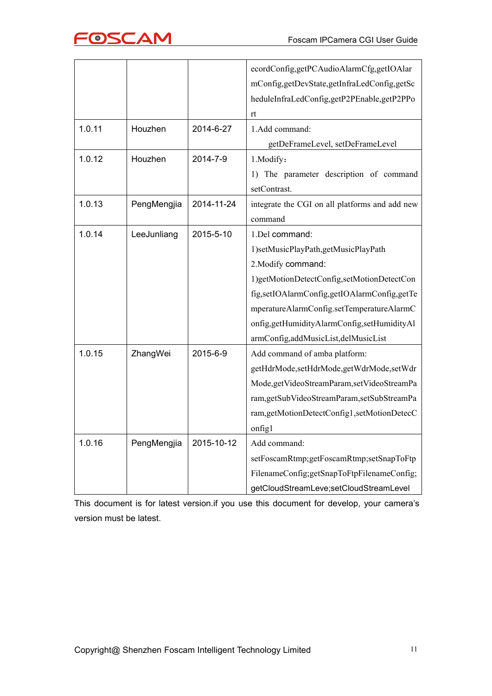|        |             |            | ecordConfig,getPCAudioAlarmCfg,getIOAlar       |
|--------|-------------|------------|------------------------------------------------|
|        |             |            | mConfig,getDevState,getInfraLedConfig,getSc    |
|        |             |            | heduleInfraLedConfig,getP2PEnable,getP2PPo     |
|        |             |            | rt                                             |
| 1.0.11 | Houzhen     | 2014-6-27  | 1.Add command:                                 |
|        |             |            | getDeFrameLevel, setDeFrameLevel               |
| 1.0.12 | Houzhen     | 2014-7-9   | 1. Modify:                                     |
|        |             |            | The parameter description of command<br>1)     |
|        |             |            | setContrast.                                   |
| 1.0.13 | PengMengjia | 2014-11-24 | integrate the CGI on all platforms and add new |
|        |             |            | command                                        |
| 1.0.14 | LeeJunliang | 2015-5-10  | 1.Del command:                                 |
|        |             |            | 1)setMusicPlayPath,getMusicPlayPath            |
|        |             |            | 2. Modify command:                             |
|        |             |            | 1)getMotionDetectConfig,setMotionDetectCon     |
|        |             |            | fig,setIOAlarmConfig,getIOAlarmConfig,getTe    |
|        |             |            | mperatureAlarmConfig.setTemperatureAlarmC      |
|        |             |            | onfig,getHumidityAlarmConfig,setHumidityAl     |
|        |             |            | armConfig,addMusicList,delMusicList            |
| 1.0.15 | ZhangWei    | 2015-6-9   | Add command of amba platform:                  |
|        |             |            | getHdrMode,setHdrMode,getWdrMode,setWdr        |
|        |             |            | Mode, getVideoStreamParam, setVideoStreamPa    |
|        |             |            | ram,getSubVideoStreamParam,setSubStreamPa      |
|        |             |            | ram,getMotionDetectConfig1,setMotionDetecC     |
|        |             |            | onfig1                                         |
| 1.0.16 | PengMengjia | 2015-10-12 | Add command:                                   |
|        |             |            | setFoscamRtmp;getFoscamRtmp;setSnapToFtp       |
|        |             |            | FilenameConfig;getSnapToFtpFilenameConfig;     |
|        |             |            | getCloudStreamLeve;setCloudStreamLevel         |

This document is for latest version.if you use this document for develop, your camera's version must be latest.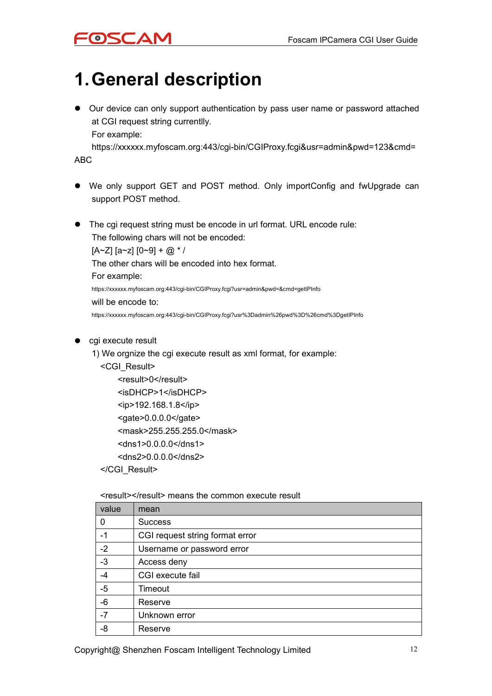# <span id="page-11-0"></span>**1.General description**

 Our device can only support authentication by pass user name or password attached at CGI request string currentlly. For example:

https://xxxxxx.myfoscam.org:443/cgi-bin/CGIProxy.fcgi&usr=admin&pwd=123&cmd= ABC

- We only support GET and POST method. Only importConfig and fwUpgrade can support POST method.
- The cai request string must be encode in url format. URL encode rule:

The following chars will not be encoded:  $[A~Z]$   $[a~z]$   $[0~9] + @.$  \* / The other chars will be encoded into hex format. For example: https://xxxxxx.myfoscam.org:443/cgi-bin/CGIProxy.fcgi?usr=admin&pwd=&cmd=getIPInfo will be encode to: https://xxxxxx.myfoscam.org:443/cgi-bin/CGIProxy.fcgi?usr%3Dadmin%26pwd%3D%26cmd%3DgetIPInfo

- cgi execute result
	- 1) We orgnize the cgi execute result as xml format, for example:
		- <CGI\_Result>
			- <result>0</result> <isDHCP>1</isDHCP> <ip>192.168.1.8</ip> <gate>0.0.0.0</gate> <mask>255.255.255.0</mask> <dns1>0.0.0.0</dns1> <dns2>0.0.0.0</dns2>
		- </CGI\_Result>

<result></result> means the common execute result

| value | mean                            |
|-------|---------------------------------|
| 0     | <b>Success</b>                  |
| -1    | CGI request string format error |
| $-2$  | Username or password error      |
| $-3$  | Access deny                     |
| $-4$  | CGI execute fail                |
| $-5$  | Timeout                         |
| $-6$  | Reserve                         |
| $-7$  | Unknown error                   |
| -8    | Reserve                         |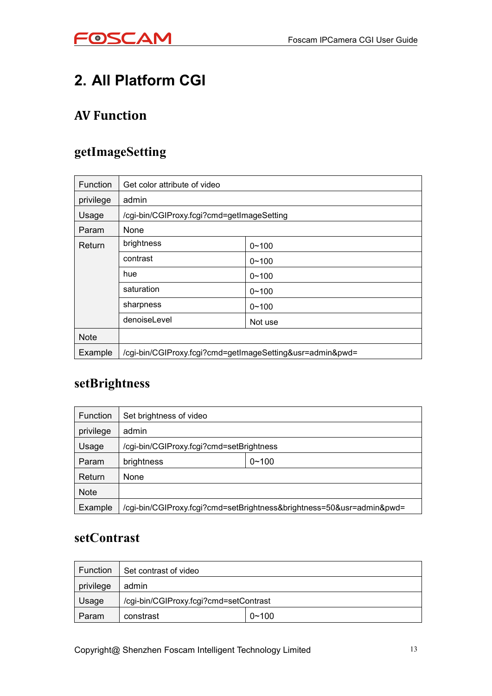

## <span id="page-12-1"></span><span id="page-12-0"></span>**2. All Platform CGI**

#### **AV Function**

#### **getImageSetting**

| <b>Function</b> | Get color attribute of video                              |           |  |
|-----------------|-----------------------------------------------------------|-----------|--|
| privilege       | admin                                                     |           |  |
| Usage           | /cgi-bin/CGIProxy.fcgi?cmd=getImageSetting                |           |  |
| Param           | None                                                      |           |  |
| Return          | brightness                                                | $0 - 100$ |  |
|                 | contrast                                                  | $0 - 100$ |  |
|                 | hue                                                       | $0 - 100$ |  |
|                 | saturation                                                | $0 - 100$ |  |
|                 | sharpness                                                 | $0 - 100$ |  |
|                 | denoiseLevel                                              | Not use   |  |
| <b>Note</b>     |                                                           |           |  |
| Example         | /cgi-bin/CGIProxy.fcgi?cmd=getImageSetting&usr=admin&pwd= |           |  |

#### **setBrightness**

| Function    | Set brightness of video                                               |  |  |
|-------------|-----------------------------------------------------------------------|--|--|
| privilege   | admin                                                                 |  |  |
| Usage       | /cgi-bin/CGIProxy.fcgi?cmd=setBrightness                              |  |  |
| Param       | $0 - 100$<br>brightness                                               |  |  |
| Return      | <b>None</b>                                                           |  |  |
| <b>Note</b> |                                                                       |  |  |
| Example     | /cgi-bin/CGIProxy.fcgi?cmd=setBrightness&brightness=50&usr=admin&pwd= |  |  |

#### **setContrast**

| <b>Function</b> | Set contrast of video                  |           |
|-----------------|----------------------------------------|-----------|
| privilege       | admin                                  |           |
| Usage           | /cgi-bin/CGIProxy.fcgi?cmd=setContrast |           |
| Param           | constrast                              | $0 - 100$ |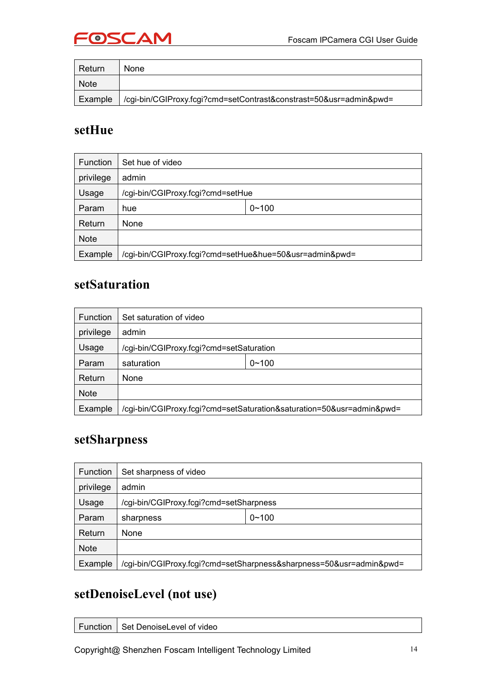

<span id="page-13-0"></span>

| Return      | None                                                               |
|-------------|--------------------------------------------------------------------|
| <b>Note</b> |                                                                    |
| Example     | /cgi-bin/CGIProxy.fcgi?cmd=setContrast&constrast=50&usr=admin&pwd= |

#### **setHue**

| <b>Function</b> | Set hue of video                                        |           |
|-----------------|---------------------------------------------------------|-----------|
| privilege       | admin                                                   |           |
| Usage           | /cgi-bin/CGIProxy.fcgi?cmd=setHue                       |           |
| Param           | hue                                                     | $0 - 100$ |
| Return          | None                                                    |           |
| <b>Note</b>     |                                                         |           |
| Example         | /cgi-bin/CGIProxy.fcgi?cmd=setHue&hue=50&usr=admin&pwd= |           |

#### **setSaturation**

| Function    | Set saturation of video                                               |  |  |  |
|-------------|-----------------------------------------------------------------------|--|--|--|
| privilege   | admin                                                                 |  |  |  |
| Usage       | /cgi-bin/CGIProxy.fcgi?cmd=setSaturation                              |  |  |  |
| Param       | $0 - 100$<br>saturation                                               |  |  |  |
| Return      | None                                                                  |  |  |  |
| <b>Note</b> |                                                                       |  |  |  |
| Example     | /cgi-bin/CGIProxy.fcgi?cmd=setSaturation&saturation=50&usr=admin&pwd= |  |  |  |

#### **setSharpness**

| <b>Function</b> | Set sharpness of video                                              |  |  |
|-----------------|---------------------------------------------------------------------|--|--|
| privilege       | admin                                                               |  |  |
| Usage           | /cgi-bin/CGIProxy.fcgi?cmd=setSharpness                             |  |  |
| Param           | $0 - 100$<br>sharpness                                              |  |  |
| Return          | None                                                                |  |  |
| <b>Note</b>     |                                                                     |  |  |
| Example         | /cgi-bin/CGIProxy.fcgi?cmd=setSharpness&sharpness=50&usr=admin&pwd= |  |  |

### **setDenoiseLevel (not use)**

| Function | Set DenoiseLevel of video |
|----------|---------------------------|
|          |                           |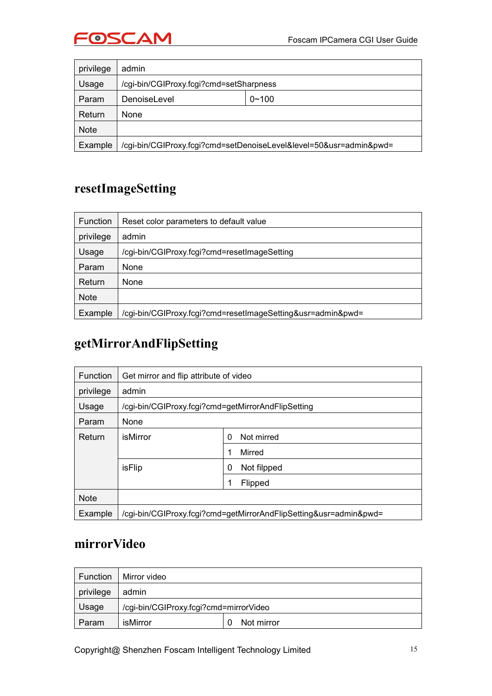

<span id="page-14-0"></span>

| privilege   | admin                                                              |  |
|-------------|--------------------------------------------------------------------|--|
| Usage       | /cgi-bin/CGIProxy.fcgi?cmd=setSharpness                            |  |
| Param       | $0 - 100$<br>DenoiseLevel                                          |  |
| Return      | None                                                               |  |
| <b>Note</b> |                                                                    |  |
| Example     | /cgi-bin/CGIProxy.fcgi?cmd=setDenoiseLevel&level=50&usr=admin&pwd= |  |

### **resetImageSetting**

| <b>Function</b> | Reset color parameters to default value                     |  |
|-----------------|-------------------------------------------------------------|--|
| privilege       | admin                                                       |  |
| Usage           | /cgi-bin/CGIProxy.fcgi?cmd=resetImageSetting                |  |
| Param           | None                                                        |  |
| Return          | None                                                        |  |
| <b>Note</b>     |                                                             |  |
| Example         | /cgi-bin/CGIProxy.fcgi?cmd=resetImageSetting&usr=admin&pwd= |  |

## **getMirrorAndFlipSetting**

| <b>Function</b> | Get mirror and flip attribute of video                            |                  |  |
|-----------------|-------------------------------------------------------------------|------------------|--|
| privilege       | admin                                                             |                  |  |
| Usage           | /cgi-bin/CGIProxy.fcgi?cmd=getMirrorAndFlipSetting                |                  |  |
| Param           | None                                                              |                  |  |
| Return          | isMirror<br>Not mirred<br>0                                       |                  |  |
|                 |                                                                   | Mirred<br>1      |  |
|                 | isFlip                                                            | Not filpped<br>0 |  |
|                 |                                                                   | Flipped<br>1     |  |
| <b>Note</b>     |                                                                   |                  |  |
| Example         | /cgi-bin/CGIProxy.fcgi?cmd=getMirrorAndFlipSetting&usr=admin&pwd= |                  |  |

#### **mirrorVideo**

| Function  | Mirror video                           |            |
|-----------|----------------------------------------|------------|
| privilege | admin                                  |            |
| Usage     | /cgi-bin/CGIProxy.fcgi?cmd=mirrorVideo |            |
| Param     | isMirror                               | Not mirror |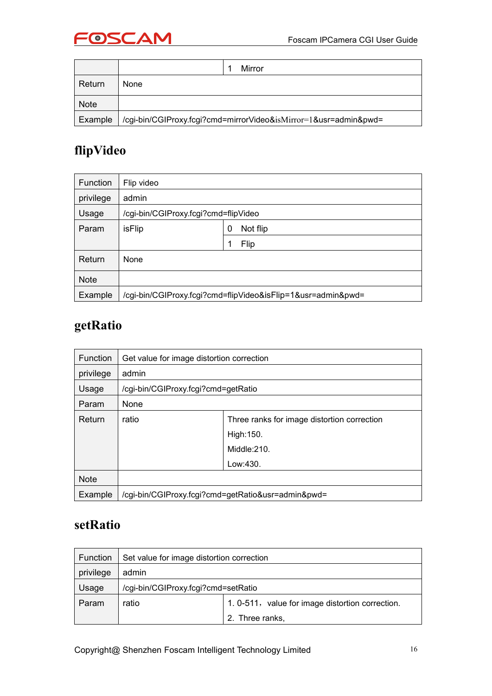

<span id="page-15-0"></span>

|         | Mirror                                                           |
|---------|------------------------------------------------------------------|
| Return  | None                                                             |
| Note    |                                                                  |
| Example | /cgi-bin/CGIProxy.fcgi?cmd=mirrorVideo&isMirror=1&usr=admin&pwd= |

#### **flipVideo**

| <b>Function</b> | Flip video                           |                                                              |
|-----------------|--------------------------------------|--------------------------------------------------------------|
| privilege       | admin                                |                                                              |
| Usage           | /cgi-bin/CGIProxy.fcgi?cmd=flipVideo |                                                              |
| Param           | isFlip                               | Not flip<br>0                                                |
|                 |                                      | Flip<br>1                                                    |
| Return          | None                                 |                                                              |
| <b>Note</b>     |                                      |                                                              |
| Example         |                                      | /cgi-bin/CGIProxy.fcgi?cmd=flipVideo&isFlip=1&usr=admin&pwd= |

### **getRatio**

| Function    | Get value for image distortion correction |                                                    |
|-------------|-------------------------------------------|----------------------------------------------------|
| privilege   | admin                                     |                                                    |
| Usage       | /cgi-bin/CGIProxy.fcgi?cmd=getRatio       |                                                    |
| Param       | None                                      |                                                    |
| Return      | ratio                                     | Three ranks for image distortion correction        |
|             |                                           | High: 150.                                         |
|             |                                           | Middle:210.                                        |
|             |                                           | Low:430.                                           |
| <b>Note</b> |                                           |                                                    |
| Example     |                                           | /cgi-bin/CGIProxy.fcgi?cmd=getRatio&usr=admin&pwd= |

#### **setRatio**

| Function  | Set value for image distortion correction |                                                  |
|-----------|-------------------------------------------|--------------------------------------------------|
| privilege | admin                                     |                                                  |
| Usage     | /cgi-bin/CGIProxy.fcgi?cmd=setRatio       |                                                  |
| Param     | ratio                                     | 1. 0-511, value for image distortion correction. |
|           |                                           | 2. Three ranks,                                  |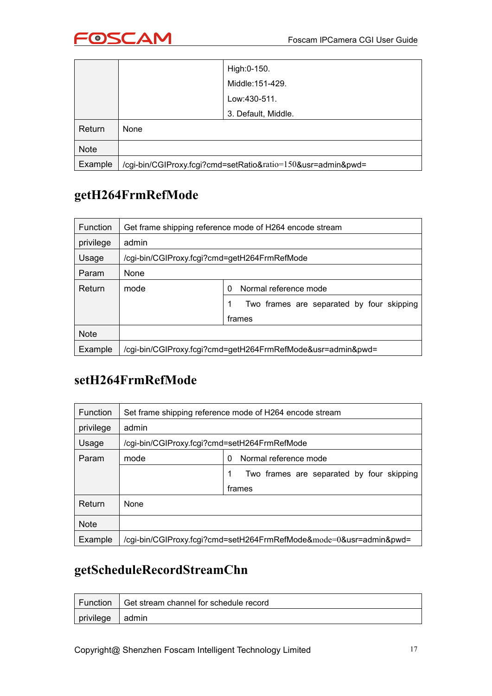

<span id="page-16-0"></span>

|             |      | High: 0-150.                                            |
|-------------|------|---------------------------------------------------------|
|             |      | Middle:151-429.                                         |
|             |      | Low:430-511.                                            |
|             |      | 3. Default, Middle.                                     |
| Return      | None |                                                         |
| <b>Note</b> |      |                                                         |
| Example     |      | /cgi-bin/CGIProxy.fcgi?cmd=setRatio∶=150&usr=admin&pwd= |

#### **getH264FrmRefMode**

| <b>Function</b> | Get frame shipping reference mode of H264 encode stream     |                                           |
|-----------------|-------------------------------------------------------------|-------------------------------------------|
| privilege       | admin                                                       |                                           |
| Usage           | /cgi-bin/CGIProxy.fcgi?cmd=getH264FrmRefMode                |                                           |
| Param           | None                                                        |                                           |
| Return          | mode                                                        | Normal reference mode<br>0                |
|                 |                                                             | Two frames are separated by four skipping |
|                 |                                                             | frames                                    |
| <b>Note</b>     |                                                             |                                           |
| Example         | /cgi-bin/CGIProxy.fcgi?cmd=getH264FrmRefMode&usr=admin&pwd= |                                           |

#### **setH264FrmRefMode**

| Function    | Set frame shipping reference mode of H264 encode stream            |                                                |
|-------------|--------------------------------------------------------------------|------------------------------------------------|
| privilege   | admin                                                              |                                                |
| Usage       | /cgi-bin/CGIProxy.fcgi?cmd=setH264FrmRefMode                       |                                                |
| Param       | mode                                                               | Normal reference mode<br>0                     |
|             |                                                                    | Two frames are separated by four skipping<br>1 |
|             |                                                                    | frames                                         |
| Return      | None                                                               |                                                |
| <b>Note</b> |                                                                    |                                                |
| Example     | /cgi-bin/CGIProxy.fcgi?cmd=setH264FrmRefMode&mode=0&usr=admin&pwd= |                                                |

### **getScheduleRecordStreamChn**

|                 | Function   Get stream channel for schedule record |
|-----------------|---------------------------------------------------|
| privilege admin |                                                   |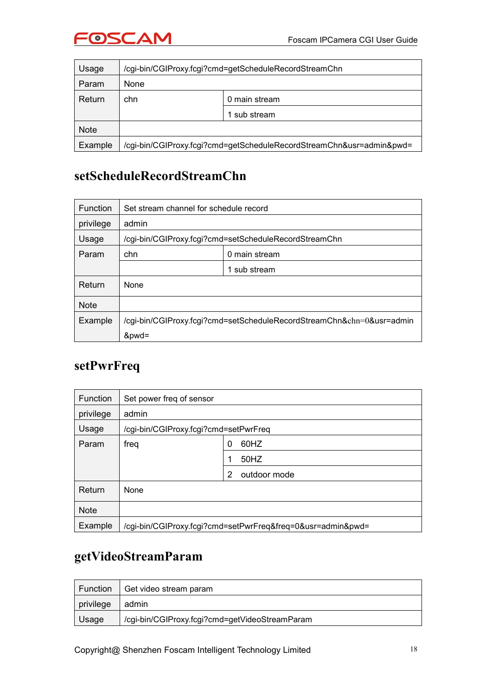

<span id="page-17-0"></span>

| Usage       | /cgi-bin/CGIProxy.fcgi?cmd=getScheduleRecordStreamChn                |               |
|-------------|----------------------------------------------------------------------|---------------|
| Param       | None                                                                 |               |
| Return      | chn                                                                  | 0 main stream |
|             |                                                                      | sub stream    |
| <b>Note</b> |                                                                      |               |
| Example     | /cgi-bin/CGIProxy.fcgi?cmd=getScheduleRecordStreamChn&usr=admin&pwd= |               |

#### **setScheduleRecordStreamChn**

| <b>Function</b> | Set stream channel for schedule record                                |               |
|-----------------|-----------------------------------------------------------------------|---------------|
| privilege       | admin                                                                 |               |
| Usage           | /cgi-bin/CGIProxy.fcgi?cmd=setScheduleRecordStreamChn                 |               |
| Param           | chn                                                                   | 0 main stream |
|                 |                                                                       | 1 sub stream  |
| Return          | None                                                                  |               |
| <b>Note</b>     |                                                                       |               |
| Example         | /cgi-bin/CGIProxy.fcgi?cmd=setScheduleRecordStreamChn&chn=0&usr=admin |               |
|                 | &pwd=                                                                 |               |

#### **setPwrFreq**

| <b>Function</b> | Set power freq of sensor              |                                                             |
|-----------------|---------------------------------------|-------------------------------------------------------------|
| privilege       | admin                                 |                                                             |
| Usage           | /cgi-bin/CGIProxy.fcgi?cmd=setPwrFreq |                                                             |
| Param           | freq                                  | 60HZ<br>0                                                   |
|                 |                                       | 50HZ                                                        |
|                 |                                       | outdoor mode<br>2                                           |
| Return          | None                                  |                                                             |
| <b>Note</b>     |                                       |                                                             |
| Example         |                                       | /cgi-bin/CGIProxy.fcgi?cmd=setPwrFreq&freq=0&usr=admin&pwd= |

#### **getVideoStreamParam**

| Function  | Get video stream param                         |
|-----------|------------------------------------------------|
| privilege | admin                                          |
| Usage     | /cgi-bin/CGIProxy.fcgi?cmd=getVideoStreamParam |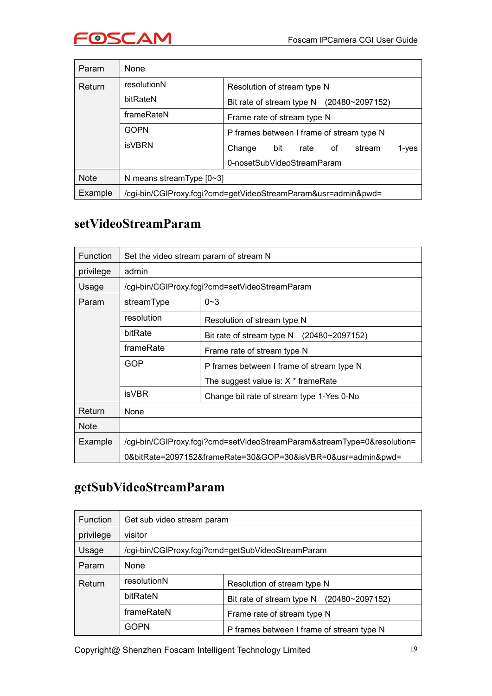

<span id="page-18-0"></span>

| Param       | None                                                          |                                             |
|-------------|---------------------------------------------------------------|---------------------------------------------|
| Return      | resolutionN                                                   | Resolution of stream type N                 |
|             | bitRateN                                                      | Bit rate of stream type $N$ (20480~2097152) |
|             | frameRateN                                                    | Frame rate of stream type N                 |
|             | <b>GOPN</b>                                                   | P frames between I frame of stream type N   |
|             | <b>isVBRN</b>                                                 | Change<br>bit<br>rate of<br>stream<br>1-ves |
|             |                                                               | 0-nosetSubVideoStreamParam                  |
| <b>Note</b> | N means stream Type $[0-3]$                                   |                                             |
| Example     | /cgi-bin/CGIProxy.fcgi?cmd=getVideoStreamParam&usr=admin&pwd= |                                             |

#### **setVideoStreamParam**

| <b>Function</b> | Set the video stream param of stream N                                                             |                                                |  |  |
|-----------------|----------------------------------------------------------------------------------------------------|------------------------------------------------|--|--|
| privilege       | admin                                                                                              |                                                |  |  |
| Usage           |                                                                                                    | /cgi-bin/CGIProxy.fcgi?cmd=setVideoStreamParam |  |  |
| Param           | streamType                                                                                         | $0 - 3$                                        |  |  |
|                 | resolution                                                                                         | Resolution of stream type N                    |  |  |
|                 | bitRate<br>Bit rate of stream type $N$ (20480~2097152)<br>frameRate<br>Frame rate of stream type N |                                                |  |  |
|                 |                                                                                                    |                                                |  |  |
|                 | <b>GOP</b>                                                                                         | P frames between I frame of stream type N      |  |  |
|                 |                                                                                                    | The suggest value is: $X *$ frame Rate         |  |  |
| <b>isVBR</b>    |                                                                                                    | Change bit rate of stream type 1-Yes 0-No      |  |  |
| Return          | <b>None</b>                                                                                        |                                                |  |  |
| <b>Note</b>     |                                                                                                    |                                                |  |  |
| Example         | /cgi-bin/CGIProxy.fcgi?cmd=setVideoStreamParam&streamType=0&resolution=                            |                                                |  |  |
|                 | 0&bitRate=2097152&frameRate=30&GOP=30&isVBR=0&usr=admin&pwd=                                       |                                                |  |  |

## **getSubVideoStreamParam**

| Function  | Get sub video stream param                        |                                              |  |
|-----------|---------------------------------------------------|----------------------------------------------|--|
| privilege | visitor                                           |                                              |  |
| Usage     | /cgi-bin/CGIProxy.fcgi?cmd=getSubVideoStreamParam |                                              |  |
| Param     | None                                              |                                              |  |
| Return    | resolutionN                                       | Resolution of stream type N                  |  |
|           | bitRateN                                          | Bit rate of stream type N<br>(20480~2097152) |  |
|           | frameRateN                                        | Frame rate of stream type N                  |  |
|           | <b>GOPN</b>                                       | P frames between I frame of stream type N    |  |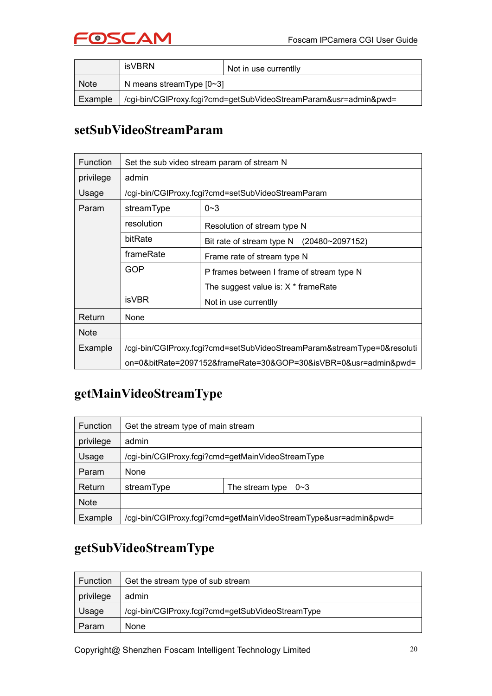

<span id="page-19-0"></span>

|             | isVBRN                                                           | Not in use currentlly |
|-------------|------------------------------------------------------------------|-----------------------|
| <b>Note</b> | N means stream Type $[0-3]$                                      |                       |
| Example     | /cgi-bin/CGIProxy.fcgi?cmd=getSubVideoStreamParam&usr=admin&pwd= |                       |

#### **setSubVideoStreamParam**

| Function    | Set the sub video stream param of stream N                                                                                          |                                                   |  |  |
|-------------|-------------------------------------------------------------------------------------------------------------------------------------|---------------------------------------------------|--|--|
| privilege   | admin                                                                                                                               |                                                   |  |  |
| Usage       |                                                                                                                                     | /cgi-bin/CGIProxy.fcgi?cmd=setSubVideoStreamParam |  |  |
| Param       | streamType                                                                                                                          | $0 - 3$                                           |  |  |
|             | resolution                                                                                                                          | Resolution of stream type N                       |  |  |
|             | bitRate                                                                                                                             | Bit rate of stream type N<br>$(20480 - 2097152)$  |  |  |
|             | frameRate<br>Frame rate of stream type N                                                                                            |                                                   |  |  |
|             | GOP<br>P frames between I frame of stream type N<br>The suggest value is: $X *$ frame Rate<br><b>isVBR</b><br>Not in use currentlly |                                                   |  |  |
|             |                                                                                                                                     |                                                   |  |  |
|             |                                                                                                                                     |                                                   |  |  |
| Return      | <b>None</b>                                                                                                                         |                                                   |  |  |
| <b>Note</b> |                                                                                                                                     |                                                   |  |  |
| Example     | /cgi-bin/CGIProxy.fcgi?cmd=setSubVideoStreamParam&streamType=0&resoluti                                                             |                                                   |  |  |
|             | on=0&bitRate=2097152&frameRate=30&GOP=30&isVBR=0&usr=admin&pwd=                                                                     |                                                   |  |  |

#### **getMainVideoStreamType**

| <b>Function</b> | Get the stream type of main stream                               |                         |  |
|-----------------|------------------------------------------------------------------|-------------------------|--|
| privilege       | admin                                                            |                         |  |
| Usage           | /cgi-bin/CGIProxy.fcgi?cmd=getMainVideoStreamType                |                         |  |
| Param           | None                                                             |                         |  |
| Return          | streamType                                                       | The stream type<br>—0∼3 |  |
| <b>Note</b>     |                                                                  |                         |  |
| Example         | /cgi-bin/CGIProxy.fcgi?cmd=getMainVideoStreamType&usr=admin&pwd= |                         |  |

#### **getSubVideoStreamType**

| Function  | Get the stream type of sub stream                |
|-----------|--------------------------------------------------|
| privilege | admin                                            |
| Usage     | /cgi-bin/CGIProxy.fcgi?cmd=getSubVideoStreamType |
| Param     | <b>None</b>                                      |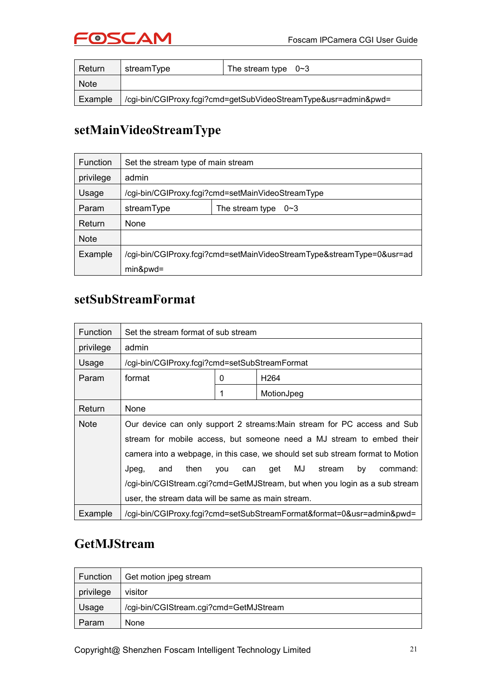

<span id="page-20-0"></span>

| Return      | streamType                                                      | The stream type $0 \sim 3$ |  |
|-------------|-----------------------------------------------------------------|----------------------------|--|
| <b>Note</b> |                                                                 |                            |  |
| Example     | /cgi-bin/CGIProxy.fcgi?cmd=getSubVideoStreamType&usr=admin&pwd= |                            |  |

#### **setMainVideoStreamType**

| Function    | Set the stream type of main stream                                    |  |  |  |
|-------------|-----------------------------------------------------------------------|--|--|--|
| privilege   | admin                                                                 |  |  |  |
| Usage       | /cgi-bin/CGIProxy.fcgi?cmd=setMainVideoStreamType                     |  |  |  |
| Param       | streamType<br>The stream type<br>0~3                                  |  |  |  |
| Return      | None                                                                  |  |  |  |
| <b>Note</b> |                                                                       |  |  |  |
| Example     | /cgi-bin/CGIProxy.fcgi?cmd=setMainVideoStreamType&streamType=0&usr=ad |  |  |  |
|             | min&pwd=                                                              |  |  |  |

#### **setSubStreamFormat**

| <b>Function</b> | Set the stream format of sub stream                                            |   |                  |  |
|-----------------|--------------------------------------------------------------------------------|---|------------------|--|
| privilege       | admin                                                                          |   |                  |  |
| Usage           | /cgi-bin/CGIProxy.fcgi?cmd=setSubStreamFormat                                  |   |                  |  |
| Param           | format                                                                         | 0 | H <sub>264</sub> |  |
|                 |                                                                                |   | MotionJpeg       |  |
| Return          | None                                                                           |   |                  |  |
| <b>Note</b>     | Our device can only support 2 streams: Main stream for PC access and Sub       |   |                  |  |
|                 | stream for mobile access, but someone need a MJ stream to embed their          |   |                  |  |
|                 | camera into a webpage, in this case, we should set sub stream format to Motion |   |                  |  |
|                 | MJ<br>stream<br>command:<br>Jpeg,<br>and<br>then<br>qet<br>by<br>vou<br>can    |   |                  |  |
|                 | /cgi-bin/CGIStream.cgi?cmd=GetMJStream, but when you login as a sub stream     |   |                  |  |
|                 | user, the stream data will be same as main stream.                             |   |                  |  |
| Example         | /cgi-bin/CGIProxy.fcgi?cmd=setSubStreamFormat&format=0&usr=admin&pwd=          |   |                  |  |

#### **GetMJStream**

| Function  | Get motion jpeg stream                 |
|-----------|----------------------------------------|
| privilege | visitor                                |
| Usage     | /cgi-bin/CGIStream.cgi?cmd=GetMJStream |
| Param     | <b>None</b>                            |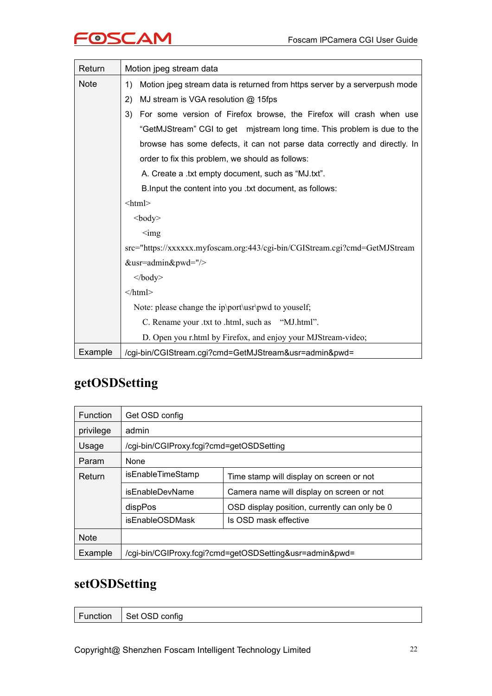<span id="page-21-0"></span>

| Return      | Motion jpeg stream data                                                          |  |  |  |  |
|-------------|----------------------------------------------------------------------------------|--|--|--|--|
| <b>Note</b> | Motion jpeg stream data is returned from https server by a serverpush mode<br>1) |  |  |  |  |
|             | 2)<br>MJ stream is VGA resolution @ 15fps                                        |  |  |  |  |
|             | 3)<br>For some version of Firefox browse, the Firefox will crash when use        |  |  |  |  |
|             | "GetMJStream" CGI to get mistream long time. This problem is due to the          |  |  |  |  |
|             | browse has some defects, it can not parse data correctly and directly. In        |  |  |  |  |
|             | order to fix this problem, we should as follows:                                 |  |  |  |  |
|             | A. Create a .txt empty document, such as "MJ.txt".                               |  |  |  |  |
|             | B. Input the content into you .txt document, as follows:                         |  |  |  |  |
|             | $\text{thm}$                                                                     |  |  |  |  |
|             | $<$ body>                                                                        |  |  |  |  |
|             | $\leq$ img                                                                       |  |  |  |  |
|             | src="https://xxxxxx.myfoscam.org:443/cgi-bin/CGIStream.cgi?cmd=GetMJStream       |  |  |  |  |
|             | &usr=admin&pwd="/>                                                               |  |  |  |  |
|             | $\langle \text{body} \rangle$                                                    |  |  |  |  |
|             | $<$ /html>                                                                       |  |  |  |  |
|             | Note: please change the ip\port\usr\pwd to youself;                              |  |  |  |  |
|             | C. Rename your .txt to .html, such as "MJ.html".                                 |  |  |  |  |
|             | D. Open you r.html by Firefox, and enjoy your MJStream-video;                    |  |  |  |  |
| Example     | /cgi-bin/CGIStream.cgi?cmd=GetMJStream&usr=admin&pwd=                            |  |  |  |  |

#### **getOSDSetting**

| <b>Function</b> | Get OSD config                                          |                                               |  |
|-----------------|---------------------------------------------------------|-----------------------------------------------|--|
| privilege       | admin                                                   |                                               |  |
| Usage           | /cgi-bin/CGIProxy.fcgi?cmd=getOSDSetting                |                                               |  |
| Param           | None                                                    |                                               |  |
| Return          | isEnableTimeStamp                                       | Time stamp will display on screen or not      |  |
|                 | isEnableDevName                                         | Camera name will display on screen or not     |  |
|                 | dispPos                                                 | OSD display position, currently can only be 0 |  |
|                 | <i>isEnableOSDMask</i>                                  | Is OSD mask effective                         |  |
| <b>Note</b>     |                                                         |                                               |  |
| Example         | /cgi-bin/CGIProxy.fcgi?cmd=getOSDSetting&usr=admin&pwd= |                                               |  |

#### **setOSDSetting**

| Function   Set OSD config |  |  |
|---------------------------|--|--|
|---------------------------|--|--|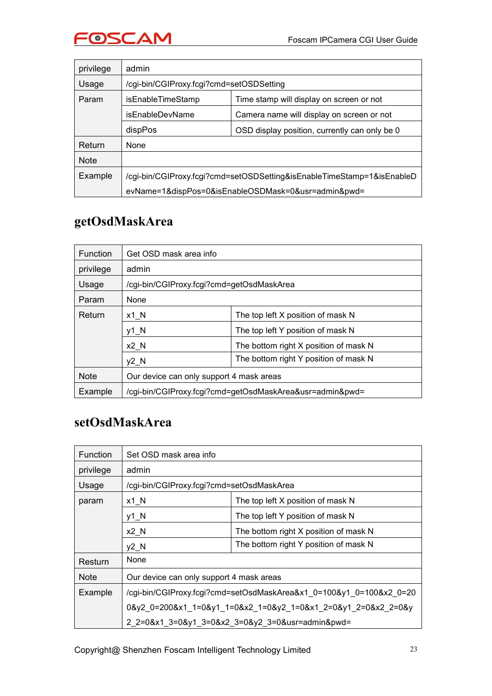

<span id="page-22-0"></span>

| privilege   | admin                                                         |                                                                        |  |  |  |  |  |  |  |
|-------------|---------------------------------------------------------------|------------------------------------------------------------------------|--|--|--|--|--|--|--|
| Usage       | /cgi-bin/CGIProxy.fcgi?cmd=setOSDSetting                      |                                                                        |  |  |  |  |  |  |  |
| Param       | isEnableTimeStamp<br>Time stamp will display on screen or not |                                                                        |  |  |  |  |  |  |  |
|             | isEnableDevName<br>Camera name will display on screen or not  |                                                                        |  |  |  |  |  |  |  |
|             | dispPos<br>OSD display position, currently can only be 0      |                                                                        |  |  |  |  |  |  |  |
| Return      | <b>None</b>                                                   |                                                                        |  |  |  |  |  |  |  |
| <b>Note</b> |                                                               |                                                                        |  |  |  |  |  |  |  |
| Example     |                                                               | /cgi-bin/CGIProxy.fcgi?cmd=setOSDSetting&isEnableTimeStamp=1&isEnableD |  |  |  |  |  |  |  |
|             |                                                               | evName=1&dispPos=0&isEnableOSDMask=0&usr=admin&pwd=                    |  |  |  |  |  |  |  |

#### **getOsdMaskArea**

| <b>Function</b> | Get OSD mask area info                                  |                                                          |  |  |  |  |  |
|-----------------|---------------------------------------------------------|----------------------------------------------------------|--|--|--|--|--|
| privilege       | admin                                                   |                                                          |  |  |  |  |  |
| Usage           | /cgi-bin/CGIProxy.fcgi?cmd=getOsdMaskArea               |                                                          |  |  |  |  |  |
| Param           | None                                                    |                                                          |  |  |  |  |  |
| Return          | The top left X position of mask N<br>$x1$ <sub>_N</sub> |                                                          |  |  |  |  |  |
|                 | $y1$ <sup>N</sup><br>The top left Y position of mask N  |                                                          |  |  |  |  |  |
|                 | $x2$ N<br>The bottom right X position of mask N         |                                                          |  |  |  |  |  |
|                 | The bottom right Y position of mask N<br>$y2$ N         |                                                          |  |  |  |  |  |
| <b>Note</b>     | Our device can only support 4 mask areas                |                                                          |  |  |  |  |  |
| Example         |                                                         | /cgi-bin/CGIProxy.fcgi?cmd=getOsdMaskArea&usr=admin&pwd= |  |  |  |  |  |

#### **setOsdMaskArea**

| Function    | Set OSD mask area info                                              |                                                               |  |  |  |  |  |  |
|-------------|---------------------------------------------------------------------|---------------------------------------------------------------|--|--|--|--|--|--|
| privilege   | admin                                                               |                                                               |  |  |  |  |  |  |
| Usage       | /cgi-bin/CGIProxy.fcgi?cmd=setOsdMaskArea                           |                                                               |  |  |  |  |  |  |
| param       | The top left X position of mask N<br>$x1$ <sub>_N</sub>             |                                                               |  |  |  |  |  |  |
|             | y1_N                                                                | The top left Y position of mask N                             |  |  |  |  |  |  |
|             | $x2$ N<br>The bottom right X position of mask N                     |                                                               |  |  |  |  |  |  |
|             | The bottom right Y position of mask N<br>$y2$ <sup>N</sup>          |                                                               |  |  |  |  |  |  |
| Resturn     | None                                                                |                                                               |  |  |  |  |  |  |
| <b>Note</b> | Our device can only support 4 mask areas                            |                                                               |  |  |  |  |  |  |
| Example     | /cgi-bin/CGIProxy.fcgi?cmd=setOsdMaskArea&x1_0=100&y1_0=100&x2_0=20 |                                                               |  |  |  |  |  |  |
|             |                                                                     | 0&y2 0=200&x1 1=0&y1 1=0&x2 1=0&y2 1=0&x1 2=0&y1 2=0&x2 2=0&y |  |  |  |  |  |  |
|             |                                                                     | 2 2=0&x1 3=0&y1 3=0&x2 3=0&y2 3=0&usr=admin&pwd=              |  |  |  |  |  |  |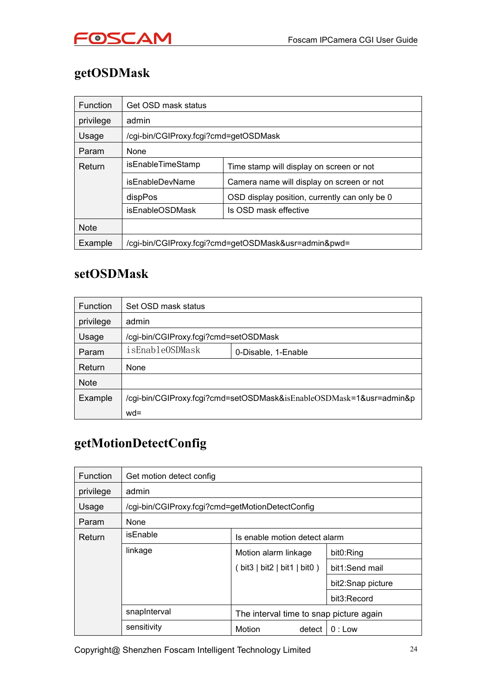

## <span id="page-23-0"></span>**getOSDMask**

| <b>Function</b> | Get OSD mask status                                           |                                                      |  |  |  |  |  |  |  |
|-----------------|---------------------------------------------------------------|------------------------------------------------------|--|--|--|--|--|--|--|
| privilege       | admin                                                         |                                                      |  |  |  |  |  |  |  |
| Usage           | /cgi-bin/CGIProxy.fcgi?cmd=getOSDMask                         |                                                      |  |  |  |  |  |  |  |
| Param           | None                                                          |                                                      |  |  |  |  |  |  |  |
| Return          | isEnableTimeStamp<br>Time stamp will display on screen or not |                                                      |  |  |  |  |  |  |  |
|                 | isEnableDevName<br>Camera name will display on screen or not  |                                                      |  |  |  |  |  |  |  |
|                 | dispPos<br>OSD display position, currently can only be 0      |                                                      |  |  |  |  |  |  |  |
|                 | <i>isEnableOSDMask</i><br>Is OSD mask effective               |                                                      |  |  |  |  |  |  |  |
| <b>Note</b>     |                                                               |                                                      |  |  |  |  |  |  |  |
| Example         |                                                               | /cgi-bin/CGIProxy.fcgi?cmd=getOSDMask&usr=admin&pwd= |  |  |  |  |  |  |  |

#### **setOSDMask**

| <b>Function</b> | Set OSD mask status                    |                                                                     |  |  |  |  |  |
|-----------------|----------------------------------------|---------------------------------------------------------------------|--|--|--|--|--|
| privilege       | admin                                  |                                                                     |  |  |  |  |  |
| Usage           | /cgi-bin/CGIProxy.fcgi?cmd=setOSDMask  |                                                                     |  |  |  |  |  |
| Param           | isEnableOSDMask<br>0-Disable, 1-Enable |                                                                     |  |  |  |  |  |
| Return          | None                                   |                                                                     |  |  |  |  |  |
| <b>Note</b>     |                                        |                                                                     |  |  |  |  |  |
| Example         |                                        | /cgi-bin/CGIProxy.fcgi?cmd=setOSDMask&isEnableOSDMask=1&usr=admin&p |  |  |  |  |  |
|                 | $wd =$                                 |                                                                     |  |  |  |  |  |

## **getMotionDetectConfig**

| Function  | Get motion detect config                         |                                                                       |                   |  |  |  |  |  |  |  |
|-----------|--------------------------------------------------|-----------------------------------------------------------------------|-------------------|--|--|--|--|--|--|--|
| privilege | admin                                            |                                                                       |                   |  |  |  |  |  |  |  |
| Usage     | /cgi-bin/CGIProxy.fcgi?cmd=getMotionDetectConfig |                                                                       |                   |  |  |  |  |  |  |  |
| Param     | None                                             |                                                                       |                   |  |  |  |  |  |  |  |
| Return    | isEnable<br>Is enable motion detect alarm        |                                                                       |                   |  |  |  |  |  |  |  |
|           | linkage                                          | Motion alarm linkage<br>bit0:Ring                                     |                   |  |  |  |  |  |  |  |
|           |                                                  | bit3 $  \text{ bit2}   \text{ bit1}   \text{ bit0}$<br>bit1:Send mail |                   |  |  |  |  |  |  |  |
|           |                                                  |                                                                       | bit2:Snap picture |  |  |  |  |  |  |  |
|           | bit3:Record                                      |                                                                       |                   |  |  |  |  |  |  |  |
|           | snapInterval                                     | The interval time to snap picture again                               |                   |  |  |  |  |  |  |  |
|           | sensitivity                                      | Motion<br>detect                                                      | $0:$ Low          |  |  |  |  |  |  |  |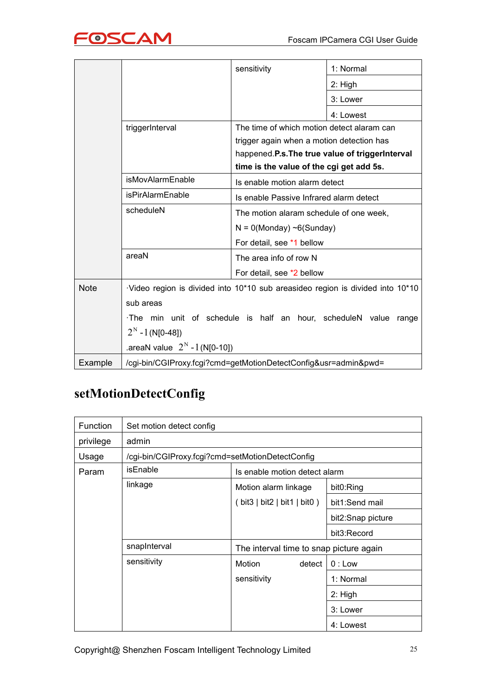<span id="page-24-0"></span>

|             |                                                                                | sensitivity                                    | 1: Normal |  |  |  |
|-------------|--------------------------------------------------------------------------------|------------------------------------------------|-----------|--|--|--|
|             |                                                                                |                                                | $2:$ High |  |  |  |
|             |                                                                                |                                                | 3: Lower  |  |  |  |
|             |                                                                                |                                                | 4: Lowest |  |  |  |
|             | triggerInterval                                                                | The time of which motion detect alaram can     |           |  |  |  |
|             |                                                                                | trigger again when a motion detection has      |           |  |  |  |
|             |                                                                                | happened.P.s.The true value of triggerInterval |           |  |  |  |
|             |                                                                                | time is the value of the cgi get add 5s.       |           |  |  |  |
|             | isMovAlarmEnable                                                               | Is enable motion alarm detect                  |           |  |  |  |
|             | <i>isPirAlarmEnable</i>                                                        | Is enable Passive Infrared alarm detect        |           |  |  |  |
|             | scheduleN                                                                      | The motion alaram schedule of one week,        |           |  |  |  |
|             |                                                                                | $N = 0$ (Monday) ~6(Sunday)                    |           |  |  |  |
|             |                                                                                | For detail, see *1 bellow                      |           |  |  |  |
|             | areaN                                                                          | The area info of row N                         |           |  |  |  |
|             |                                                                                | For detail, see *2 bellow                      |           |  |  |  |
| <b>Note</b> | ·Video region is divided into 10*10 sub areasideo region is divided into 10*10 |                                                |           |  |  |  |
|             | sub areas                                                                      |                                                |           |  |  |  |
|             | The min unit of schedule is half an hour, scheduleN value range                |                                                |           |  |  |  |
|             | $2^N - 1$ (N[0-48])                                                            |                                                |           |  |  |  |
|             | .areaN value $2^{N}$ - 1 (N[0-10])                                             |                                                |           |  |  |  |
| Example     | /cgi-bin/CGIProxy.fcgi?cmd=getMotionDetectConfig&usr=admin&pwd=                |                                                |           |  |  |  |

### **setMotionDetectConfig**

| <b>Function</b> | Set motion detect config                         |                                         |           |  |  |  |  |  |  |  |  |  |
|-----------------|--------------------------------------------------|-----------------------------------------|-----------|--|--|--|--|--|--|--|--|--|
| privilege       | admin                                            |                                         |           |  |  |  |  |  |  |  |  |  |
| Usage           | /cgi-bin/CGIProxy.fcgi?cmd=setMotionDetectConfig |                                         |           |  |  |  |  |  |  |  |  |  |
| Param           | isEnable<br>Is enable motion detect alarm        |                                         |           |  |  |  |  |  |  |  |  |  |
|                 | linkage                                          | Motion alarm linkage                    | bit0:Ring |  |  |  |  |  |  |  |  |  |
|                 |                                                  | $(bit3 \mid bit2 \mid bit1 \mid bit0)$  |           |  |  |  |  |  |  |  |  |  |
|                 |                                                  | bit2:Snap picture                       |           |  |  |  |  |  |  |  |  |  |
|                 | bit3:Record                                      |                                         |           |  |  |  |  |  |  |  |  |  |
|                 | snapInterval                                     | The interval time to snap picture again |           |  |  |  |  |  |  |  |  |  |
|                 | sensitivity<br>Motion<br>$0:$ Low<br>detect      |                                         |           |  |  |  |  |  |  |  |  |  |
|                 | sensitivity<br>1: Normal                         |                                         |           |  |  |  |  |  |  |  |  |  |
|                 |                                                  |                                         | $2:$ High |  |  |  |  |  |  |  |  |  |
|                 |                                                  |                                         | 3: Lower  |  |  |  |  |  |  |  |  |  |
|                 |                                                  |                                         | 4: Lowest |  |  |  |  |  |  |  |  |  |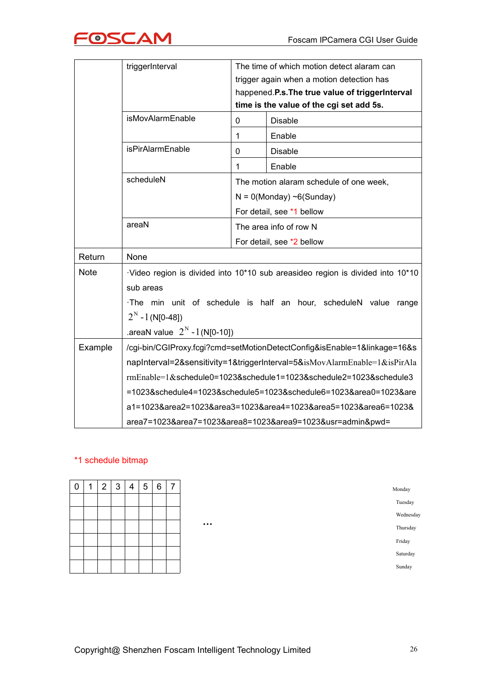

|             | triggerInterval<br>The time of which motion detect alaram can                         |                                         |                                                                           |  |  |  |  |
|-------------|---------------------------------------------------------------------------------------|-----------------------------------------|---------------------------------------------------------------------------|--|--|--|--|
|             |                                                                                       |                                         |                                                                           |  |  |  |  |
|             |                                                                                       |                                         | trigger again when a motion detection has                                 |  |  |  |  |
|             | happened.P.s.The true value of triggerInterval                                        |                                         |                                                                           |  |  |  |  |
|             | time is the value of the cgi set add 5s.                                              |                                         |                                                                           |  |  |  |  |
|             | isMovAlarmEnable                                                                      | 0                                       | <b>Disable</b>                                                            |  |  |  |  |
|             |                                                                                       | 1                                       | Enable                                                                    |  |  |  |  |
|             | isPirAlarmEnable                                                                      | 0                                       | <b>Disable</b>                                                            |  |  |  |  |
|             |                                                                                       | 1                                       | Enable                                                                    |  |  |  |  |
|             | scheduleN                                                                             | The motion alaram schedule of one week, |                                                                           |  |  |  |  |
|             |                                                                                       | $N = 0$ (Monday) ~6(Sunday)             |                                                                           |  |  |  |  |
|             |                                                                                       | For detail, see *1 bellow               |                                                                           |  |  |  |  |
|             | areaN                                                                                 | The area info of row N                  |                                                                           |  |  |  |  |
|             |                                                                                       | For detail, see *2 bellow               |                                                                           |  |  |  |  |
| Return      | None                                                                                  |                                         |                                                                           |  |  |  |  |
| <b>Note</b> | $\cdot$ Video region is divided into 10*10 sub areasideo region is divided into 10*10 |                                         |                                                                           |  |  |  |  |
|             | sub areas                                                                             |                                         |                                                                           |  |  |  |  |
|             | The min unit of schedule is half an hour, scheduleN value range                       |                                         |                                                                           |  |  |  |  |
|             | $2^N - 1$ (N[0-48])                                                                   |                                         |                                                                           |  |  |  |  |
|             | .areaN value $2^{N} - 1$ (N[0-10])                                                    |                                         |                                                                           |  |  |  |  |
| Example     |                                                                                       |                                         | /cgi-bin/CGIProxy.fcgi?cmd=setMotionDetectConfig&isEnable=1&linkage=16&s  |  |  |  |  |
|             |                                                                                       |                                         | napInterval=2&sensitivity=1&triggerInterval=5&isMovAlarmEnable=1&isPirAla |  |  |  |  |
|             |                                                                                       |                                         | rmEnable=1&schedule0=1023&schedule1=1023&schedule2=1023&schedule3         |  |  |  |  |
|             |                                                                                       |                                         | =1023&schedule4=1023&schedule5=1023&schedule6=1023&area0=1023&are         |  |  |  |  |
|             |                                                                                       |                                         | a1=1023&area2=1023&area3=1023&area4=1023&area5=1023&area6=1023&           |  |  |  |  |
|             |                                                                                       |                                         | area7=1023&area7=1023&area8=1023&area9=1023&usr=admin&pwd=                |  |  |  |  |

#### \*1 schedule bitmap

| $\boldsymbol{0}$ | и | $\overline{2}$ | 3 | 4 | 5 | 6 | 7 |
|------------------|---|----------------|---|---|---|---|---|
|                  |   |                |   |   |   |   |   |
|                  |   |                |   |   |   |   |   |
|                  |   |                |   |   |   |   |   |
|                  |   |                |   |   |   |   |   |
|                  |   |                |   |   |   |   |   |
|                  |   |                |   |   |   |   |   |

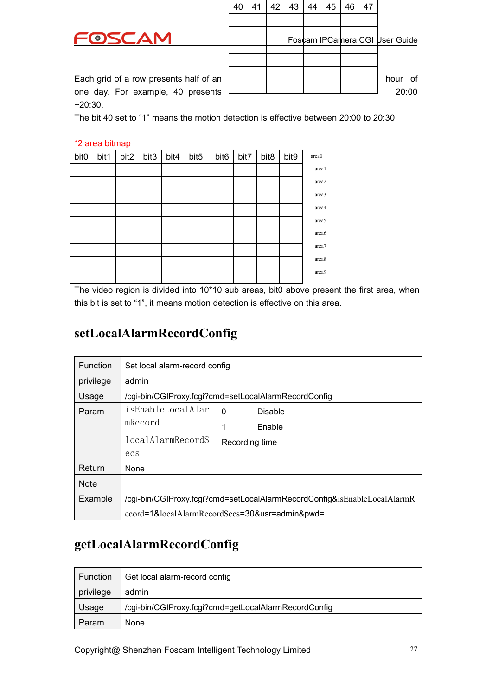

Foscam IPCamera CGI User Guide Each grid of a row presentshalf of an hour of one day. For example, 40 presents 20:00 40 | 41 | 42 | 43 | 44 | 45 | 46 | 47 |

<span id="page-26-0"></span>~20:30.

The bit 40 set to "1" means the motion detection is effective between 20:00 to 20:30

#### \*2 area bitmap

| bit <sub>0</sub> | bit1 | bit2 | bit3 | bit4 | bit5 | bit <sub>6</sub> | bit7 | bit8 | bit9 | area0 |
|------------------|------|------|------|------|------|------------------|------|------|------|-------|
|                  |      |      |      |      |      |                  |      |      |      | area1 |
|                  |      |      |      |      |      |                  |      |      |      | area2 |
|                  |      |      |      |      |      |                  |      |      |      | area3 |
|                  |      |      |      |      |      |                  |      |      |      | area4 |
|                  |      |      |      |      |      |                  |      |      |      | area5 |
|                  |      |      |      |      |      |                  |      |      |      | area6 |
|                  |      |      |      |      |      |                  |      |      |      | area7 |
|                  |      |      |      |      |      |                  |      |      |      | area8 |
|                  |      |      |      |      |      |                  |      |      |      | area9 |
|                  |      |      |      |      |      |                  |      |      |      |       |

The video region is divided into 10\*10 sub areas, bit0 above present the first area, when this bit is set to "1", it means motion detection is effective on this area.

#### **setLocalAlarmRecordConfig**

| <b>Function</b> | Set local alarm-record config                                            |   |                |  |  |  |  |  |
|-----------------|--------------------------------------------------------------------------|---|----------------|--|--|--|--|--|
| privilege       | admin                                                                    |   |                |  |  |  |  |  |
| Usage           | /cgi-bin/CGIProxy.fcgi?cmd=setLocalAlarmRecordConfig                     |   |                |  |  |  |  |  |
| Param           | isEnableLocalAlar                                                        | 0 | <b>Disable</b> |  |  |  |  |  |
|                 | mRecord                                                                  |   | Enable         |  |  |  |  |  |
|                 | localAlarmRecordS<br>Recording time                                      |   |                |  |  |  |  |  |
|                 | ecs                                                                      |   |                |  |  |  |  |  |
| Return          | None                                                                     |   |                |  |  |  |  |  |
| <b>Note</b>     |                                                                          |   |                |  |  |  |  |  |
| Example         | /cgi-bin/CGIProxy.fcgi?cmd=setLocalAlarmRecordConfig&isEnableLocalAlarmR |   |                |  |  |  |  |  |
|                 | ecord=1&localAlarmRecordSecs=30&usr=admin&pwd=                           |   |                |  |  |  |  |  |

#### **getLocalAlarmRecordConfig**

| <b>Function</b> | Get local alarm-record config                        |
|-----------------|------------------------------------------------------|
| privilege       | admin                                                |
| Usage           | /cgi-bin/CGIProxy.fcgi?cmd=getLocalAlarmRecordConfig |
| Param           | <b>None</b>                                          |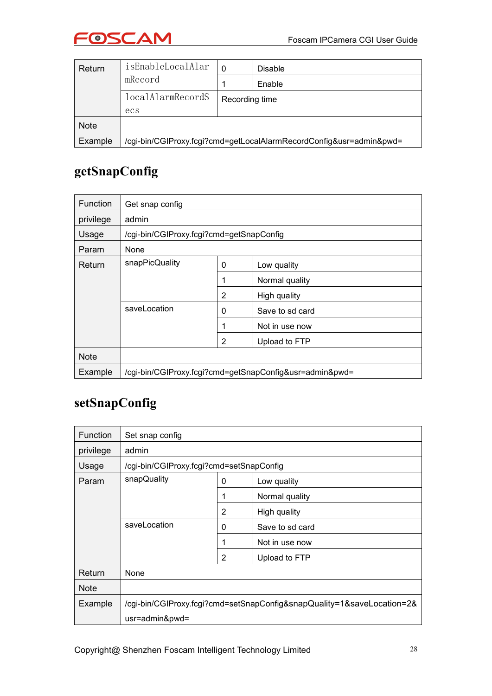

<span id="page-27-0"></span>

| Return      | isEnableLocalAlar                                                   | <b>Disable</b> |        |  |  |  |  |
|-------------|---------------------------------------------------------------------|----------------|--------|--|--|--|--|
|             | mRecord                                                             |                | Enable |  |  |  |  |
|             | <i>localAlarmRecordS</i>                                            | Recording time |        |  |  |  |  |
|             | ecs                                                                 |                |        |  |  |  |  |
| <b>Note</b> |                                                                     |                |        |  |  |  |  |
| Example     | /cgi-bin/CGIProxy.fcgi?cmd=getLocalAlarmRecordConfig&usr=admin&pwd= |                |        |  |  |  |  |

## **getSnapConfig**

| <b>Function</b> | Get snap config                                         |   |                 |  |  |  |
|-----------------|---------------------------------------------------------|---|-----------------|--|--|--|
| privilege       | admin                                                   |   |                 |  |  |  |
| Usage           | /cgi-bin/CGIProxy.fcgi?cmd=getSnapConfig                |   |                 |  |  |  |
| Param           | None                                                    |   |                 |  |  |  |
| Return          | snapPicQuality                                          | 0 | Low quality     |  |  |  |
|                 |                                                         | 1 | Normal quality  |  |  |  |
|                 |                                                         | 2 | High quality    |  |  |  |
|                 | saveLocation                                            | 0 | Save to sd card |  |  |  |
|                 |                                                         | 1 | Not in use now  |  |  |  |
|                 |                                                         | 2 | Upload to FTP   |  |  |  |
| <b>Note</b>     |                                                         |   |                 |  |  |  |
| Example         | /cgi-bin/CGIProxy.fcgi?cmd=getSnapConfig&usr=admin&pwd= |   |                 |  |  |  |

#### **setSnapConfig**

| <b>Function</b> | Set snap config                          |   |                                                                        |  |  |  |  |  |
|-----------------|------------------------------------------|---|------------------------------------------------------------------------|--|--|--|--|--|
| privilege       | admin                                    |   |                                                                        |  |  |  |  |  |
| Usage           | /cgi-bin/CGIProxy.fcgi?cmd=setSnapConfig |   |                                                                        |  |  |  |  |  |
| Param           | snapQuality                              | 0 | Low quality                                                            |  |  |  |  |  |
|                 |                                          |   | Normal quality                                                         |  |  |  |  |  |
|                 |                                          | 2 | High quality                                                           |  |  |  |  |  |
|                 | saveLocation                             | 0 | Save to sd card                                                        |  |  |  |  |  |
|                 |                                          |   | Not in use now                                                         |  |  |  |  |  |
|                 |                                          | 2 | Upload to FTP                                                          |  |  |  |  |  |
| Return          | None                                     |   |                                                                        |  |  |  |  |  |
| <b>Note</b>     |                                          |   |                                                                        |  |  |  |  |  |
| Example         |                                          |   | /cgi-bin/CGIProxy.fcgi?cmd=setSnapConfig&snapQuality=1&saveLocation=2& |  |  |  |  |  |
|                 | usr=admin&pwd=                           |   |                                                                        |  |  |  |  |  |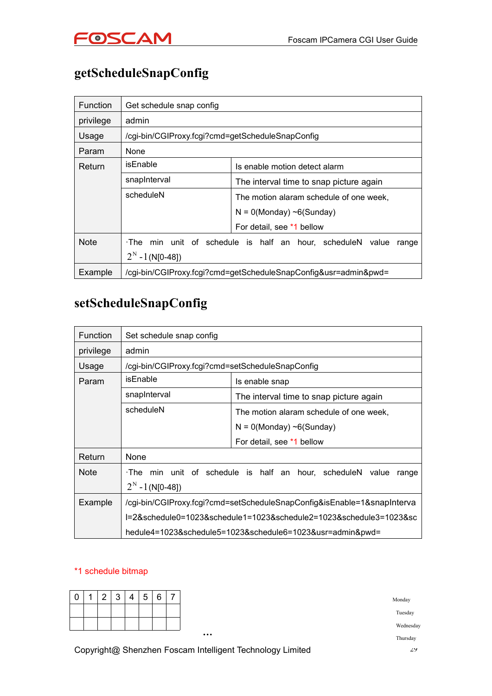

## <span id="page-28-0"></span>**getScheduleSnapConfig**

| <b>Function</b> | Get schedule snap config                                               |                               |  |  |  |  |  |  |
|-----------------|------------------------------------------------------------------------|-------------------------------|--|--|--|--|--|--|
| privilege       | admin                                                                  |                               |  |  |  |  |  |  |
| Usage           | /cgi-bin/CGIProxy.fcgi?cmd=getScheduleSnapConfig                       |                               |  |  |  |  |  |  |
| Param           | <b>None</b>                                                            |                               |  |  |  |  |  |  |
| Return          | isEnable                                                               | Is enable motion detect alarm |  |  |  |  |  |  |
|                 | snapInterval<br>The interval time to snap picture again                |                               |  |  |  |  |  |  |
|                 | scheduleN<br>The motion alaram schedule of one week.                   |                               |  |  |  |  |  |  |
|                 | $N = 0$ (Monday) ~6(Sunday)                                            |                               |  |  |  |  |  |  |
|                 | For detail, see *1 bellow                                              |                               |  |  |  |  |  |  |
| <b>Note</b>     | min unit of schedule is half an hour, scheduleN value<br>∙The<br>range |                               |  |  |  |  |  |  |
|                 | $2^N - 1$ (N[0-48])                                                    |                               |  |  |  |  |  |  |
| Example         | /cgi-bin/CGIProxy.fcgi?cmd=getScheduleSnapConfig&usr=admin&pwd=        |                               |  |  |  |  |  |  |

#### **setScheduleSnapConfig**

| <b>Function</b> | Set schedule snap config                                                |                                                                    |  |  |  |  |  |  |
|-----------------|-------------------------------------------------------------------------|--------------------------------------------------------------------|--|--|--|--|--|--|
| privilege       | admin                                                                   |                                                                    |  |  |  |  |  |  |
| Usage           | /cgi-bin/CGIProxy.fcgi?cmd=setScheduleSnapConfig                        |                                                                    |  |  |  |  |  |  |
| Param           | isEnable                                                                | Is enable snap                                                     |  |  |  |  |  |  |
|                 | snapInterval                                                            | The interval time to snap picture again                            |  |  |  |  |  |  |
|                 | scheduleN                                                               | The motion alaram schedule of one week,                            |  |  |  |  |  |  |
|                 | $N = 0$ (Monday) ~6(Sunday)                                             |                                                                    |  |  |  |  |  |  |
|                 | For detail, see *1 bellow                                               |                                                                    |  |  |  |  |  |  |
| Return          | None                                                                    |                                                                    |  |  |  |  |  |  |
| <b>Note</b>     |                                                                         | The min unit of schedule is half an hour, scheduleN value<br>range |  |  |  |  |  |  |
|                 | $2^N - 1$ (N[0-48])                                                     |                                                                    |  |  |  |  |  |  |
| Example         | /cgi-bin/CGIProxy.fcgi?cmd=setScheduleSnapConfig&isEnable=1&snapInterva |                                                                    |  |  |  |  |  |  |
|                 |                                                                         | l=2&schedule0=1023&schedule1=1023&schedule2=1023&schedule3=1023≻   |  |  |  |  |  |  |
|                 |                                                                         | hedule4=1023&schedule5=1023&schedule6=1023&usr=admin&pwd=          |  |  |  |  |  |  |

#### \*1 schedule bitmap

| $\overline{0}$ | $\sim$<br>∠ | $\sqrt{2}$<br>J | ∸ | 5 | 6 | $\rightarrow$<br>$\overline{\phantom{a}}$ |
|----------------|-------------|-----------------|---|---|---|-------------------------------------------|
|                |             |                 |   |   |   |                                           |
|                |             |                 |   |   |   |                                           |
|                |             |                 |   |   |   |                                           |

Copyright@ Shenzhen Foscam Intelligent Technology Limited 29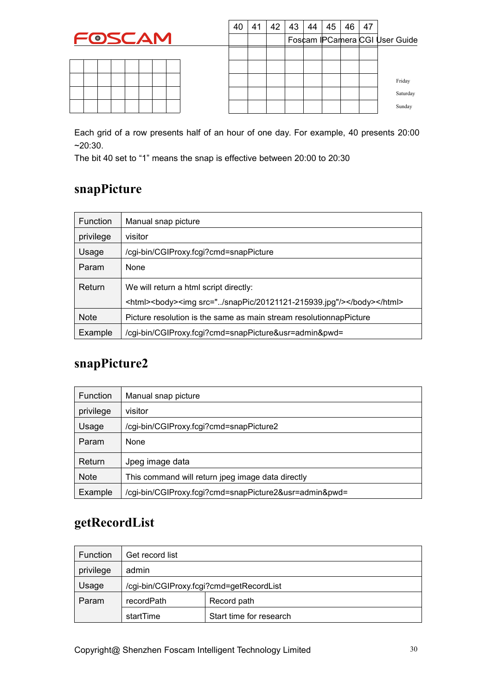|--|

<span id="page-29-0"></span>

| 40 | 41 | 42 | 43 44 | 45 | 46 | 47 |                                |
|----|----|----|-------|----|----|----|--------------------------------|
|    |    |    |       |    |    |    | Foscam IPCamera CGI User Guide |
|    |    |    |       |    |    |    |                                |
|    |    |    |       |    |    |    |                                |
|    |    |    |       |    |    |    | Friday                         |
|    |    |    |       |    |    |    | Saturday                       |
|    |    |    |       |    |    |    | Sunday                         |

Each grid of a row presents half of an hour of one day. For example, 40 presents 20:00 ~20:30.

The bit 40 set to "1" means the snap is effective between 20:00 to 20:30

#### **snapPicture**

| <b>Function</b> | Manual snap picture                                                 |  |  |  |  |  |
|-----------------|---------------------------------------------------------------------|--|--|--|--|--|
| privilege       | visitor                                                             |  |  |  |  |  |
| Usage           | /cgi-bin/CGIProxy.fcgi?cmd=snapPicture                              |  |  |  |  |  |
| Param           | None                                                                |  |  |  |  |  |
| Return          | We will return a html script directly:                              |  |  |  |  |  |
|                 | <html><body><img src="/snapPic/20121121-215939.jpg"/></body></html> |  |  |  |  |  |
| <b>Note</b>     | Picture resolution is the same as main stream resolutionnap Picture |  |  |  |  |  |
| Example         | /cgi-bin/CGIProxy.fcgi?cmd=snapPicture&usr=admin&pwd=               |  |  |  |  |  |

#### **snapPicture2**

| <b>Function</b> | Manual snap picture                                    |
|-----------------|--------------------------------------------------------|
| privilege       | visitor                                                |
| Usage           | /cgi-bin/CGIProxy.fcgi?cmd=snapPicture2                |
| <b>Param</b>    | <b>None</b>                                            |
| Return          | Jpeg image data                                        |
| <b>Note</b>     | This command will return jpeg image data directly      |
| Example         | /cgi-bin/CGIProxy.fcgi?cmd=snapPicture2&usr=admin&pwd= |

### **getRecordList**

| <b>Function</b> | Get record list                          |                         |  |  |  |
|-----------------|------------------------------------------|-------------------------|--|--|--|
| privilege       | admin                                    |                         |  |  |  |
| Usage           | /cgi-bin/CGIProxy.fcgi?cmd=getRecordList |                         |  |  |  |
| Param           | recordPath<br>Record path                |                         |  |  |  |
|                 | startTime                                | Start time for research |  |  |  |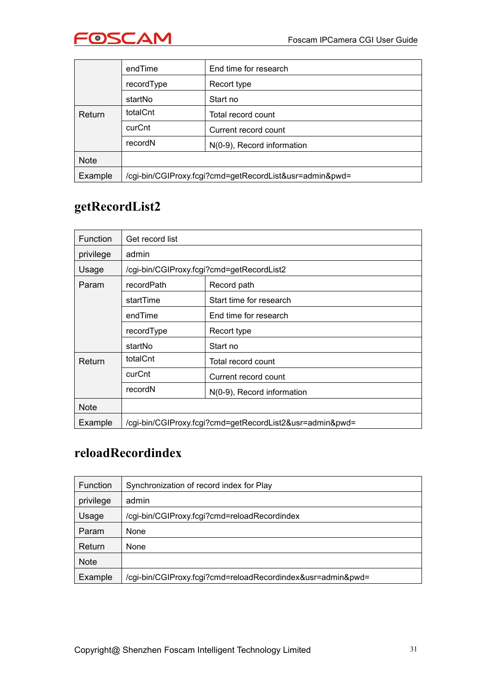

<span id="page-30-0"></span>

|             | endTime                                                 | End time for research |  |  |  |  |
|-------------|---------------------------------------------------------|-----------------------|--|--|--|--|
|             | recordType<br>Recort type                               |                       |  |  |  |  |
|             | Start no                                                |                       |  |  |  |  |
| Return      | totalCnt                                                | Total record count    |  |  |  |  |
|             | curCnt                                                  | Current record count  |  |  |  |  |
|             | recordN<br>N(0-9), Record information                   |                       |  |  |  |  |
| <b>Note</b> |                                                         |                       |  |  |  |  |
| Example     | /cgi-bin/CGIProxy.fcgi?cmd=getRecordList&usr=admin&pwd= |                       |  |  |  |  |

### **getRecordList2**

| <b>Function</b> | Get record list                                          |                                           |  |  |  |  |  |
|-----------------|----------------------------------------------------------|-------------------------------------------|--|--|--|--|--|
| privilege       | admin                                                    |                                           |  |  |  |  |  |
| Usage           |                                                          | /cgi-bin/CGIProxy.fcgi?cmd=getRecordList2 |  |  |  |  |  |
| Param           | Record path<br>recordPath                                |                                           |  |  |  |  |  |
|                 | startTime                                                | Start time for research                   |  |  |  |  |  |
|                 | End time for research<br>endTime                         |                                           |  |  |  |  |  |
|                 | recordType<br>Recort type                                |                                           |  |  |  |  |  |
|                 | startNo<br>Start no                                      |                                           |  |  |  |  |  |
| Return          | totalCnt                                                 | Total record count                        |  |  |  |  |  |
|                 | curCnt<br>Current record count                           |                                           |  |  |  |  |  |
|                 | recordN<br>N(0-9), Record information                    |                                           |  |  |  |  |  |
| <b>Note</b>     |                                                          |                                           |  |  |  |  |  |
| Example         | /cgi-bin/CGIProxy.fcgi?cmd=getRecordList2&usr=admin&pwd= |                                           |  |  |  |  |  |

## **reloadRecordindex**

| <b>Function</b> | Synchronization of record index for Play                    |
|-----------------|-------------------------------------------------------------|
| privilege       | admin                                                       |
| Usage           | /cgi-bin/CGIProxy.fcgi?cmd=reloadRecordindex                |
| Param           | None                                                        |
| Return          | None                                                        |
| <b>Note</b>     |                                                             |
| Example         | /cgi-bin/CGIProxy.fcgi?cmd=reloadRecordindex&usr=admin&pwd= |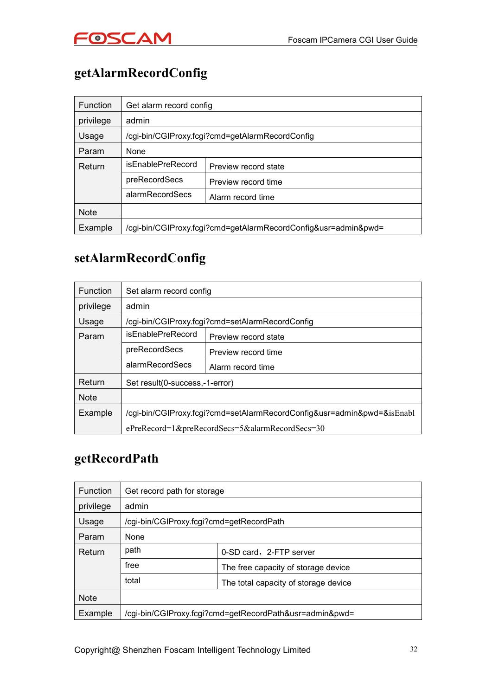

## <span id="page-31-0"></span>**getAlarmRecordConfig**

| <b>Function</b> | Get alarm record config              |                                                                |  |  |  |  |  |
|-----------------|--------------------------------------|----------------------------------------------------------------|--|--|--|--|--|
| privilege       | admin                                |                                                                |  |  |  |  |  |
| Usage           |                                      | /cgi-bin/CGIProxy.fcgi?cmd=getAlarmRecordConfig                |  |  |  |  |  |
| Param           | None                                 |                                                                |  |  |  |  |  |
| Return          | isEnablePreRecord                    | Preview record state                                           |  |  |  |  |  |
|                 | preRecordSecs                        | Preview record time                                            |  |  |  |  |  |
|                 | alarmRecordSecs<br>Alarm record time |                                                                |  |  |  |  |  |
| <b>Note</b>     |                                      |                                                                |  |  |  |  |  |
| Example         |                                      | /cgi-bin/CGIProxy.fcgi?cmd=getAlarmRecordConfig&usr=admin&pwd= |  |  |  |  |  |

#### **setAlarmRecordConfig**

| <b>Function</b> | Set alarm record config                                                |                                                 |  |  |  |  |  |  |
|-----------------|------------------------------------------------------------------------|-------------------------------------------------|--|--|--|--|--|--|
| privilege       | admin                                                                  |                                                 |  |  |  |  |  |  |
| Usage           |                                                                        | /cgi-bin/CGIProxy.fcgi?cmd=setAlarmRecordConfig |  |  |  |  |  |  |
| Param           | isEnablePreRecord<br>Preview record state                              |                                                 |  |  |  |  |  |  |
|                 | preRecordSecs                                                          | Preview record time                             |  |  |  |  |  |  |
|                 | alarmRecordSecs                                                        | Alarm record time                               |  |  |  |  |  |  |
| Return          | Set result(0-success,-1-error)                                         |                                                 |  |  |  |  |  |  |
| <b>Note</b>     |                                                                        |                                                 |  |  |  |  |  |  |
| Example         | /cgi-bin/CGIProxy.fcgi?cmd=setAlarmRecordConfig&usr=admin&pwd=&isEnabl |                                                 |  |  |  |  |  |  |
|                 |                                                                        | ePreRecord=1&preRecordSecs=5&alarmRecordSecs=30 |  |  |  |  |  |  |

#### **getRecordPath**

| <b>Function</b> | Get record path for storage                             |  |  |  |  |  |  |
|-----------------|---------------------------------------------------------|--|--|--|--|--|--|
| privilege       | admin                                                   |  |  |  |  |  |  |
| Usage           | /cgi-bin/CGIProxy.fcgi?cmd=getRecordPath                |  |  |  |  |  |  |
| Param           | None                                                    |  |  |  |  |  |  |
| Return          | path<br>0-SD card, 2-FTP server                         |  |  |  |  |  |  |
|                 | free<br>The free capacity of storage device             |  |  |  |  |  |  |
|                 | total<br>The total capacity of storage device           |  |  |  |  |  |  |
| <b>Note</b>     |                                                         |  |  |  |  |  |  |
| Example         | /cgi-bin/CGIProxy.fcgi?cmd=getRecordPath&usr=admin&pwd= |  |  |  |  |  |  |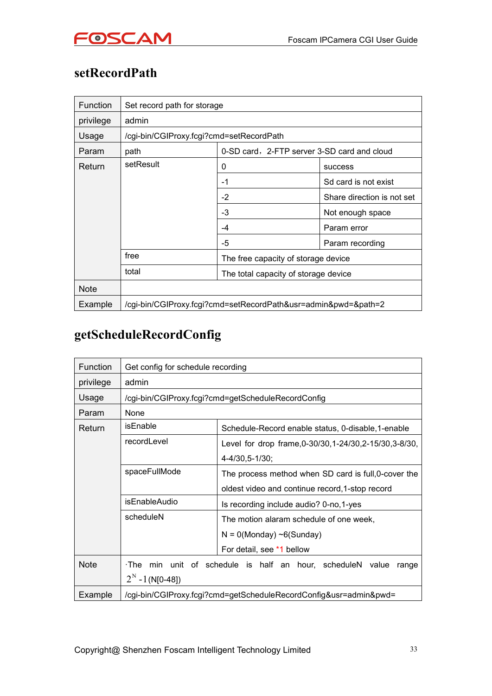

## <span id="page-32-0"></span>**setRecordPath**

| Function    | Set record path for storage                   |                                                                |                                      |  |  |  |  |
|-------------|-----------------------------------------------|----------------------------------------------------------------|--------------------------------------|--|--|--|--|
| privilege   | admin                                         |                                                                |                                      |  |  |  |  |
| Usage       | /cgi-bin/CGIProxy.fcgi?cmd=setRecordPath      |                                                                |                                      |  |  |  |  |
| Param       | path                                          | 0-SD card, 2-FTP server 3-SD card and cloud                    |                                      |  |  |  |  |
| Return      | setResult                                     | $\mathbf{0}$                                                   | <b>SUCCESS</b>                       |  |  |  |  |
|             |                                               | $-1$                                                           | Sd card is not exist                 |  |  |  |  |
|             |                                               | $-2$                                                           | Share direction is not set           |  |  |  |  |
|             | $-3$<br>Not enough space<br>-4<br>Param error |                                                                |                                      |  |  |  |  |
|             |                                               |                                                                |                                      |  |  |  |  |
|             |                                               | $-5$                                                           | Param recording                      |  |  |  |  |
|             | free                                          | The free capacity of storage device                            |                                      |  |  |  |  |
|             | total                                         |                                                                | The total capacity of storage device |  |  |  |  |
| <b>Note</b> |                                               |                                                                |                                      |  |  |  |  |
| Example     |                                               | /cgi-bin/CGIProxy.fcgi?cmd=setRecordPath&usr=admin&pwd=&path=2 |                                      |  |  |  |  |

## **getScheduleRecordConfig**

| <b>Function</b> | Get config for schedule recording |                                                                   |  |  |  |  |
|-----------------|-----------------------------------|-------------------------------------------------------------------|--|--|--|--|
| privilege       | admin                             |                                                                   |  |  |  |  |
| Usage           |                                   | /cgi-bin/CGIProxy.fcgi?cmd=getScheduleRecordConfig                |  |  |  |  |
| Param           | None                              |                                                                   |  |  |  |  |
| Return          | isEnable                          | Schedule-Record enable status, 0-disable, 1-enable                |  |  |  |  |
|                 | recordLevel                       | Level for drop frame, 0-30/30, 1-24/30, 2-15/30, 3-8/30,          |  |  |  |  |
|                 |                                   | 4-4/30,5-1/30;                                                    |  |  |  |  |
|                 | spaceFullMode                     | The process method when SD card is full, 0-cover the              |  |  |  |  |
|                 |                                   | oldest video and continue record, 1-stop record                   |  |  |  |  |
|                 | isEnableAudio                     | Is recording include audio? 0-no, 1-yes                           |  |  |  |  |
|                 | scheduleN                         | The motion alaram schedule of one week,                           |  |  |  |  |
|                 |                                   | $N = 0$ (Monday) ~6(Sunday)                                       |  |  |  |  |
|                 |                                   | For detail, see *1 bellow                                         |  |  |  |  |
| <b>Note</b>     | $\cdot$ The                       | min unit of schedule is half an hour, scheduleN value<br>range    |  |  |  |  |
|                 | $2^N - 1$ (N[0-48])               |                                                                   |  |  |  |  |
| Example         |                                   | /cgi-bin/CGIProxy.fcgi?cmd=getScheduleRecordConfig&usr=admin&pwd= |  |  |  |  |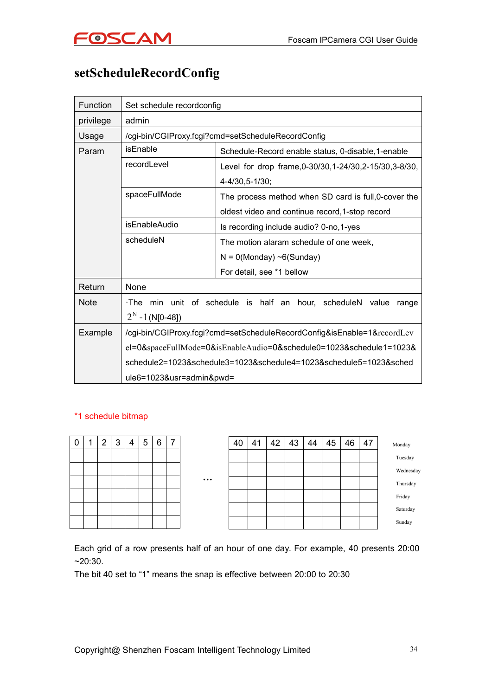

### <span id="page-33-0"></span>**setScheduleRecordConfig**

| <b>Function</b> | Set schedule recordconfig |                                                                         |  |  |  |  |  |
|-----------------|---------------------------|-------------------------------------------------------------------------|--|--|--|--|--|
| privilege       | admin                     |                                                                         |  |  |  |  |  |
| Usage           |                           | /cgi-bin/CGIProxy.fcgi?cmd=setScheduleRecordConfig                      |  |  |  |  |  |
| Param           | isEnable                  | Schedule-Record enable status, 0-disable, 1-enable                      |  |  |  |  |  |
|                 | recordLevel               | Level for drop frame, 0-30/30, 1-24/30, 2-15/30, 3-8/30,                |  |  |  |  |  |
|                 |                           | 4-4/30,5-1/30;                                                          |  |  |  |  |  |
|                 | spaceFullMode             | The process method when SD card is full, 0-cover the                    |  |  |  |  |  |
|                 |                           | oldest video and continue record, 1-stop record                         |  |  |  |  |  |
|                 | isEnableAudio             | Is recording include audio? 0-no, 1-yes                                 |  |  |  |  |  |
|                 | scheduleN                 | The motion alaram schedule of one week,<br>$N = 0$ (Monday) ~6(Sunday)  |  |  |  |  |  |
|                 |                           |                                                                         |  |  |  |  |  |
|                 |                           | For detail, see *1 bellow                                               |  |  |  |  |  |
| Return          | None                      |                                                                         |  |  |  |  |  |
| <b>Note</b>     |                           | The min unit of schedule is half an hour, scheduleN value range         |  |  |  |  |  |
|                 | $2^N - 1$ (N[0-48])       |                                                                         |  |  |  |  |  |
| Example         |                           | /cgi-bin/CGIProxy.fcgi?cmd=setScheduleRecordConfig&isEnable=1&recordLev |  |  |  |  |  |
|                 |                           | el=0&spaceFullMode=0&isEnableAudio=0&schedule0=1023&schedule1=1023&     |  |  |  |  |  |
|                 |                           | schedule2=1023&schedule3=1023&schedule4=1023&schedule5=1023&sched       |  |  |  |  |  |
|                 | ule6=1023&usr=admin&pwd=  |                                                                         |  |  |  |  |  |

#### \*1 schedule bitmap

| 0 |  |  | 1 2 3 4 5 6 7 |          | $40 \mid 41$ |  |
|---|--|--|---------------|----------|--------------|--|
|   |  |  |               |          |              |  |
|   |  |  |               |          |              |  |
|   |  |  |               | $\cdots$ |              |  |
|   |  |  |               |          |              |  |
|   |  |  |               |          |              |  |
|   |  |  |               |          |              |  |

|          | 40 | 41 | 42 | 43 | 44 | 45 | 46 | 47 | Monday   |           |
|----------|----|----|----|----|----|----|----|----|----------|-----------|
|          |    |    |    |    |    |    |    |    | Tuesday  |           |
|          |    |    |    |    |    |    |    |    |          | Wednesday |
| $\cdots$ |    |    |    |    |    |    |    |    |          | Thursday  |
|          |    |    |    |    |    |    |    |    | Friday   |           |
|          |    |    |    |    |    |    |    |    | Saturday |           |
|          |    |    |    |    |    |    |    |    | Sunday   |           |

Each grid of a row presents half of an hour of one day. For example, 40 presents 20:00 ~20:30.

The bit 40 set to "1" means the snap is effective between 20:00 to 20:30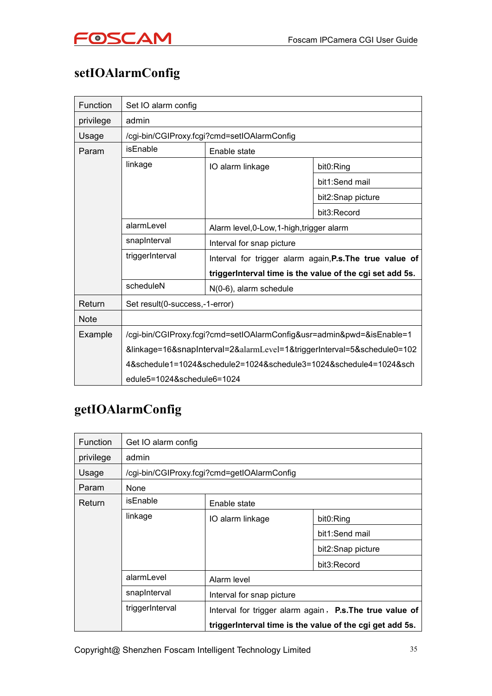

# <span id="page-34-0"></span>**setIOAlarmConfig**

| <b>Function</b> | Set IO alarm config                                                     |                                                                                       |                   |  |
|-----------------|-------------------------------------------------------------------------|---------------------------------------------------------------------------------------|-------------------|--|
| privilege       | admin                                                                   |                                                                                       |                   |  |
| Usage           | /cgi-bin/CGIProxy.fcgi?cmd=setIOAlarmConfig                             |                                                                                       |                   |  |
| Param           | isEnable                                                                | Enable state                                                                          |                   |  |
|                 | linkage                                                                 | IO alarm linkage                                                                      | bit0:Ring         |  |
|                 |                                                                         |                                                                                       | bit1:Send mail    |  |
|                 |                                                                         |                                                                                       | bit2:Snap picture |  |
|                 |                                                                         |                                                                                       | bit3:Record       |  |
|                 | alarmLevel                                                              | Alarm level, 0-Low, 1-high, trigger alarm                                             |                   |  |
|                 | snapInterval                                                            | Interval for snap picture<br>Interval for trigger alarm again, P.s. The true value of |                   |  |
|                 | triggerInterval                                                         |                                                                                       |                   |  |
|                 | triggerInterval time is the value of the cgi set add 5s.                |                                                                                       |                   |  |
|                 | scheduleN                                                               | N(0-6), alarm schedule                                                                |                   |  |
| Return          | Set result(0-success,-1-error)                                          |                                                                                       |                   |  |
| <b>Note</b>     |                                                                         |                                                                                       |                   |  |
| Example         | /cgi-bin/CGIProxy.fcgi?cmd=setIOAlarmConfig&usr=admin&pwd=&isEnable=1   |                                                                                       |                   |  |
|                 | &linkage=16&snapInterval=2&alarmLevel=1&triggerInterval=5&schedule0=102 |                                                                                       |                   |  |
|                 | 4&schedule1=1024&schedule2=1024&schedule3=1024&schedule4=1024&sch       |                                                                                       |                   |  |
|                 | edule5=1024&schedule6=1024                                              |                                                                                       |                   |  |

## **getIOAlarmConfig**

| <b>Function</b> | Get IO alarm config                         |                                                                                                                      |                   |  |  |  |
|-----------------|---------------------------------------------|----------------------------------------------------------------------------------------------------------------------|-------------------|--|--|--|
| privilege       | admin                                       |                                                                                                                      |                   |  |  |  |
| Usage           | /cgi-bin/CGIProxy.fcgi?cmd=getIOAlarmConfig |                                                                                                                      |                   |  |  |  |
| Param           | None                                        |                                                                                                                      |                   |  |  |  |
| Return          | isEnable                                    | Enable state                                                                                                         |                   |  |  |  |
|                 | linkage                                     | IO alarm linkage                                                                                                     | bit0:Ring         |  |  |  |
|                 |                                             |                                                                                                                      | bit1:Send mail    |  |  |  |
|                 |                                             |                                                                                                                      | bit2:Snap picture |  |  |  |
|                 |                                             |                                                                                                                      | bit3:Record       |  |  |  |
|                 | alarmLevel                                  | Alarm level                                                                                                          |                   |  |  |  |
|                 | snapInterval                                | Interval for snap picture                                                                                            |                   |  |  |  |
|                 | triggerInterval                             | Interval for trigger alarm again, P.s. The true value of<br>triggerInterval time is the value of the cgi get add 5s. |                   |  |  |  |
|                 |                                             |                                                                                                                      |                   |  |  |  |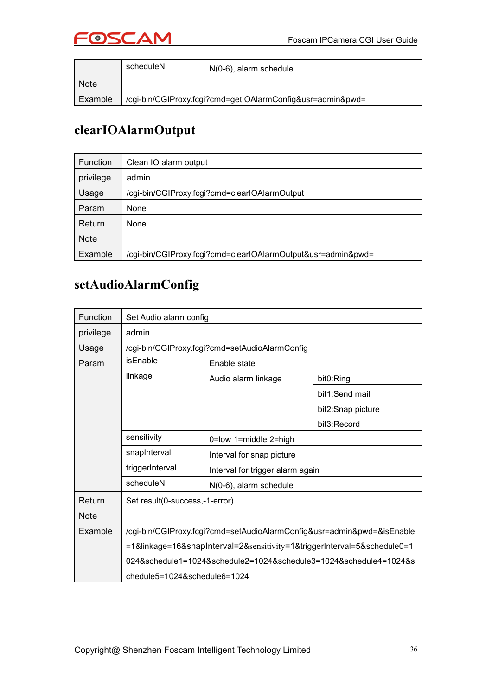

<span id="page-35-0"></span>

|             | scheduleN | $N(0-6)$ , alarm schedule                                  |
|-------------|-----------|------------------------------------------------------------|
| <b>Note</b> |           |                                                            |
| Example     |           | /cgi-bin/CGIProxy.fcgi?cmd=getIOAlarmConfig&usr=admin&pwd= |

#### **clearIOAlarmOutput**

| <b>Function</b> | Clean IO alarm output                                        |  |
|-----------------|--------------------------------------------------------------|--|
| privilege       | admin                                                        |  |
| Usage           | /cgi-bin/CGIProxy.fcgi?cmd=clearIOAlarmOutput                |  |
| Param           | None                                                         |  |
| Return          | None                                                         |  |
| <b>Note</b>     |                                                              |  |
| Example         | /cgi-bin/CGIProxy.fcgi?cmd=clearIOAlarmOutput&usr=admin&pwd= |  |

### **setAudioAlarmConfig**

| Function    | Set Audio alarm config                                                   |                                  |                   |  |
|-------------|--------------------------------------------------------------------------|----------------------------------|-------------------|--|
| privilege   | admin                                                                    |                                  |                   |  |
| Usage       | /cgi-bin/CGIProxy.fcgi?cmd=setAudioAlarmConfig                           |                                  |                   |  |
| Param       | isEnable                                                                 | Enable state                     |                   |  |
|             | linkage                                                                  | Audio alarm linkage              | bit0:Ring         |  |
|             |                                                                          |                                  | bit1:Send mail    |  |
|             |                                                                          |                                  | bit2:Snap picture |  |
|             |                                                                          |                                  | bit3:Record       |  |
|             | sensitivity                                                              | 0=low 1=middle 2=high            |                   |  |
|             | snapInterval                                                             | Interval for snap picture        |                   |  |
|             | triggerInterval                                                          | Interval for trigger alarm again |                   |  |
|             | scheduleN                                                                | N(0-6), alarm schedule           |                   |  |
| Return      | Set result(0-success,-1-error)                                           |                                  |                   |  |
| <b>Note</b> |                                                                          |                                  |                   |  |
| Example     | /cgi-bin/CGIProxy.fcgi?cmd=setAudioAlarmConfig&usr=admin&pwd=&isEnable   |                                  |                   |  |
|             | =1&linkage=16&snapInterval=2&sensitivity=1&triggerInterval=5&schedule0=1 |                                  |                   |  |
|             | 024&schedule1=1024&schedule2=1024&schedule3=1024&schedule4=1024&s        |                                  |                   |  |
|             | chedule5=1024&schedule6=1024                                             |                                  |                   |  |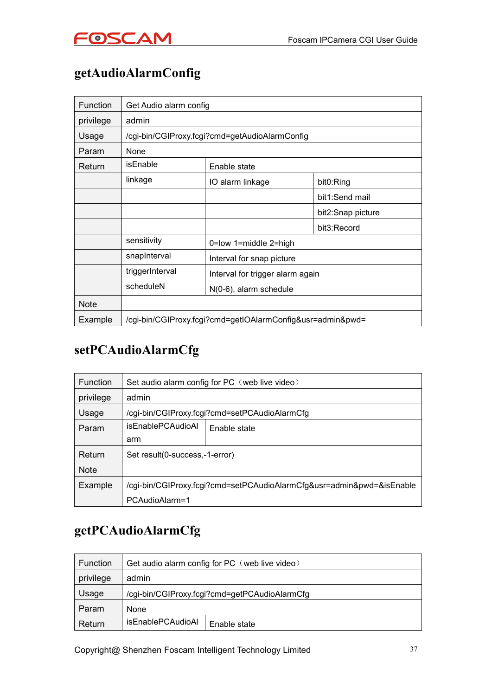

# **getAudioAlarmConfig**

| <b>Function</b> | Get Audio alarm config                         |                                                            |                   |
|-----------------|------------------------------------------------|------------------------------------------------------------|-------------------|
| privilege       | admin                                          |                                                            |                   |
| Usage           | /cgi-bin/CGIProxy.fcgi?cmd=getAudioAlarmConfig |                                                            |                   |
| Param           | None                                           |                                                            |                   |
| Return          | isEnable                                       | Enable state                                               |                   |
|                 | linkage                                        | IO alarm linkage                                           | bit0:Ring         |
|                 |                                                |                                                            | bit1:Send mail    |
|                 |                                                |                                                            | bit2:Snap picture |
|                 |                                                |                                                            | bit3:Record       |
|                 | sensitivity                                    | 0=low 1=middle 2=high                                      |                   |
|                 | snapInterval                                   | Interval for snap picture                                  |                   |
|                 | triggerInterval                                | Interval for trigger alarm again                           |                   |
|                 | scheduleN                                      | N(0-6), alarm schedule                                     |                   |
| <b>Note</b>     |                                                |                                                            |                   |
| Example         |                                                | /cgi-bin/CGIProxy.fcgi?cmd=getIOAlarmConfig&usr=admin&pwd= |                   |

### **setPCAudioAlarmCfg**

| <b>Function</b> | Set audio alarm config for PC (web live video)                        |              |
|-----------------|-----------------------------------------------------------------------|--------------|
| privilege       | admin                                                                 |              |
| Usage           | /cgi-bin/CGIProxy.fcgi?cmd=setPCAudioAlarmCfg                         |              |
| Param           | <i>isEnablePCAudioAl</i>                                              | Enable state |
|                 | arm                                                                   |              |
| Return          | Set result(0-success,-1-error)                                        |              |
| <b>Note</b>     |                                                                       |              |
| Example         | /cgi-bin/CGIProxy.fcgi?cmd=setPCAudioAlarmCfg&usr=admin&pwd=&isEnable |              |
|                 | PCAudioAlarm=1                                                        |              |

### **getPCAudioAlarmCfg**

| <b>Function</b> | Get audio alarm config for PC (web live video) |              |
|-----------------|------------------------------------------------|--------------|
| privilege       | admin                                          |              |
| Usage           | /cgi-bin/CGIProxy.fcgi?cmd=getPCAudioAlarmCfg  |              |
| Param           | None                                           |              |
| Return          | isEnablePCAudioAl                              | Enable state |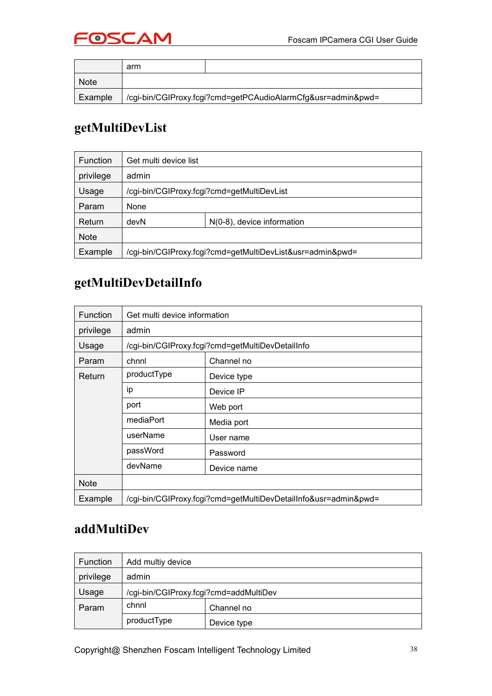

|             | arm                                                          |  |
|-------------|--------------------------------------------------------------|--|
| <b>Note</b> |                                                              |  |
| Example     | /cgi-bin/CGIProxy.fcgi?cmd=getPCAudioAlarmCfg&usr=admin&pwd= |  |

# **getMultiDevList**

| <b>Function</b> | Get multi device list                                     |                            |
|-----------------|-----------------------------------------------------------|----------------------------|
| privilege       | admin                                                     |                            |
| Usage           | /cgi-bin/CGIProxy.fcgi?cmd=getMultiDevList                |                            |
| Param           | None                                                      |                            |
| Return          | devN                                                      | N(0-8), device information |
| <b>Note</b>     |                                                           |                            |
| Example         | /cgi-bin/CGIProxy.fcgi?cmd=getMultiDevList&usr=admin&pwd= |                            |

### **getMultiDevDetailInfo**

| Function    | Get multi device information                                    |                                                  |  |
|-------------|-----------------------------------------------------------------|--------------------------------------------------|--|
| privilege   | admin                                                           |                                                  |  |
| Usage       |                                                                 | /cgi-bin/CGIProxy.fcgi?cmd=getMultiDevDetailInfo |  |
| Param       | chnnl                                                           | Channel no                                       |  |
| Return      | productType                                                     | Device type                                      |  |
|             | ip                                                              | Device IP                                        |  |
|             | port                                                            | Web port                                         |  |
|             | mediaPort                                                       | Media port                                       |  |
|             | userName                                                        | User name                                        |  |
|             | passWord                                                        | Password                                         |  |
|             | devName                                                         | Device name                                      |  |
| <b>Note</b> |                                                                 |                                                  |  |
| Example     | /cgi-bin/CGIProxy.fcgi?cmd=getMultiDevDetailInfo&usr=admin&pwd= |                                                  |  |

#### **addMultiDev**

| Function  | Add multiy device                      |             |
|-----------|----------------------------------------|-------------|
| privilege | admin                                  |             |
| Usage     | /cgi-bin/CGIProxy.fcgi?cmd=addMultiDev |             |
| Param     | chnnl                                  | Channel no  |
|           | productType                            | Device type |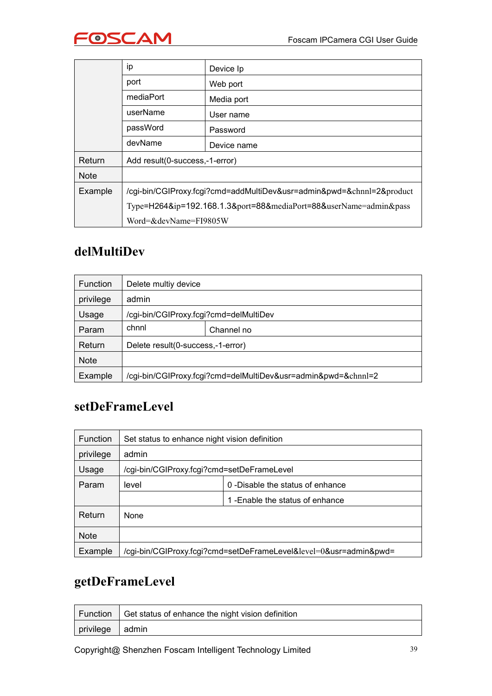

|             | ip                                                                    | Device Ip   |
|-------------|-----------------------------------------------------------------------|-------------|
|             | port                                                                  | Web port    |
|             | mediaPort                                                             | Media port  |
|             | userName                                                              | User name   |
|             | passWord                                                              | Password    |
|             | devName                                                               | Device name |
| Return      | Add result(0-success,-1-error)                                        |             |
| <b>Note</b> |                                                                       |             |
| Example     | /cgi-bin/CGIProxy.fcgi?cmd=addMultiDev&usr=admin&pwd=&chnnl=2&product |             |
|             | Type=H264&ip=192.168.1.3&port=88&mediaPort=88&userName=admin&pass     |             |
|             | Word=&devName=FI9805W                                                 |             |

### **delMultiDev**

| <b>Function</b> | Delete multiy device                                          |            |
|-----------------|---------------------------------------------------------------|------------|
| privilege       | admin                                                         |            |
| Usage           | /cgi-bin/CGIProxy.fcgi?cmd=delMultiDev                        |            |
| Param           | chnnl                                                         | Channel no |
| Return          | Delete result(0-success,-1-error)                             |            |
| <b>Note</b>     |                                                               |            |
| Example         | /cgi-bin/CGIProxy.fcgi?cmd=delMultiDev&usr=admin&pwd=&chnnl=2 |            |

### **setDeFrameLevel**

| Function    | Set status to enhance night vision definition |                                                                   |
|-------------|-----------------------------------------------|-------------------------------------------------------------------|
| privilege   | admin                                         |                                                                   |
| Usage       | /cgi-bin/CGIProxy.fcgi?cmd=setDeFrameLevel    |                                                                   |
| Param       | level                                         | 0 - Disable the status of enhance                                 |
|             |                                               | 1-Enable the status of enhance                                    |
| Return      | None                                          |                                                                   |
| <b>Note</b> |                                               |                                                                   |
| Example     |                                               | /cgi-bin/CGIProxy.fcgi?cmd=setDeFrameLevel&level=0&usr=admin&pwd= |

# **getDeFrameLevel**

|                 | Function   Get status of enhance the night vision definition |
|-----------------|--------------------------------------------------------------|
| privilege admin |                                                              |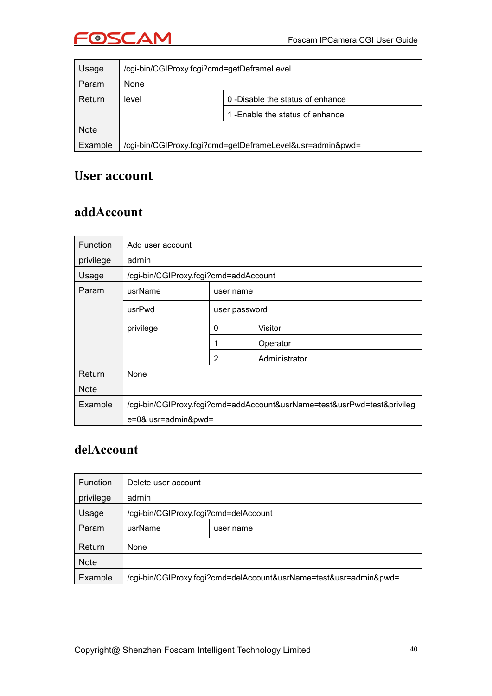

| Usage       | /cgi-bin/CGIProxy.fcgi?cmd=getDeframeLevel                |                                   |
|-------------|-----------------------------------------------------------|-----------------------------------|
| Param       | None                                                      |                                   |
| Return      | level                                                     | 0 - Disable the status of enhance |
|             |                                                           | 1-Enable the status of enhance    |
| <b>Note</b> |                                                           |                                   |
| Example     | /cgi-bin/CGIProxy.fcgi?cmd=getDeframeLevel&usr=admin&pwd= |                                   |

#### **User account**

#### **addAccount**

| <b>Function</b> | Add user account                                                        |                |               |
|-----------------|-------------------------------------------------------------------------|----------------|---------------|
| privilege       | admin                                                                   |                |               |
| Usage           | /cgi-bin/CGIProxy.fcgi?cmd=addAccount                                   |                |               |
| Param           | usrName<br>user name                                                    |                |               |
|                 | usrPwd<br>user password                                                 |                |               |
|                 | privilege                                                               | $\mathbf 0$    | Visitor       |
|                 |                                                                         |                | Operator      |
|                 |                                                                         | $\overline{2}$ | Administrator |
| Return          | <b>None</b>                                                             |                |               |
| <b>Note</b>     |                                                                         |                |               |
| Example         | /cgi-bin/CGIProxy.fcgi?cmd=addAccount&usrName=test&usrPwd=test&privileg |                |               |
|                 | e=0& usr=admin&pwd=                                                     |                |               |

### **delAccount**

| <b>Function</b> | Delete user account                                               |           |  |
|-----------------|-------------------------------------------------------------------|-----------|--|
| privilege       | admin                                                             |           |  |
| Usage           | /cgi-bin/CGIProxy.fcgi?cmd=delAccount                             |           |  |
| Param           | usrName                                                           | user name |  |
| Return          | None                                                              |           |  |
| <b>Note</b>     |                                                                   |           |  |
| Example         | /cgi-bin/CGIProxy.fcgi?cmd=delAccount&usrName=test&usr=admin&pwd= |           |  |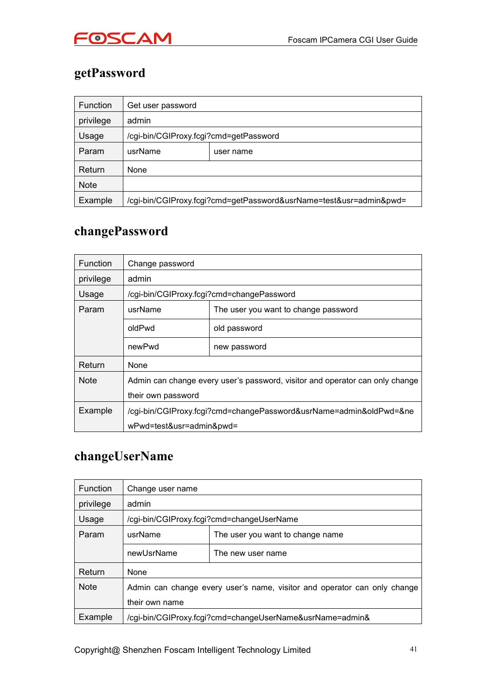

# **getPassword**

| Function    | Get user password |                                                                    |  |  |
|-------------|-------------------|--------------------------------------------------------------------|--|--|
| privilege   | admin             |                                                                    |  |  |
| Usage       |                   | /cgi-bin/CGIProxy.fcgi?cmd=getPassword                             |  |  |
| Param       | usrName           | user name                                                          |  |  |
| Return      | None              |                                                                    |  |  |
| <b>Note</b> |                   |                                                                    |  |  |
| Example     |                   | /cgi-bin/CGIProxy.fcgi?cmd=getPassword&usrName=test&usr=admin&pwd= |  |  |

### **changePassword**

| <b>Function</b> | Change password                                                              |                                           |  |
|-----------------|------------------------------------------------------------------------------|-------------------------------------------|--|
| privilege       | admin                                                                        |                                           |  |
| Usage           |                                                                              | /cgi-bin/CGIProxy.fcgi?cmd=changePassword |  |
| Param           | usrName                                                                      | The user you want to change password      |  |
|                 | oldPwd                                                                       | old password                              |  |
|                 | newPwd                                                                       | new password                              |  |
| Return          | None                                                                         |                                           |  |
| <b>Note</b>     | Admin can change every user's password, visitor and operator can only change |                                           |  |
|                 | their own password                                                           |                                           |  |
| Example         | /cgi-bin/CGIProxy.fcgi?cmd=changePassword&usrName=admin&oldPwd=≠             |                                           |  |
|                 | wPwd=test&usr=admin&pwd=                                                     |                                           |  |

### **changeUserName**

| <b>Function</b> | Change user name                                                         |                                                          |  |
|-----------------|--------------------------------------------------------------------------|----------------------------------------------------------|--|
| privilege       | admin                                                                    |                                                          |  |
| Usage           | /cgi-bin/CGIProxy.fcgi?cmd=changeUserName                                |                                                          |  |
| Param           | usrName                                                                  | The user you want to change name                         |  |
|                 | newUsrName                                                               | The new user name                                        |  |
| Return          | None                                                                     |                                                          |  |
| <b>Note</b>     | Admin can change every user's name, visitor and operator can only change |                                                          |  |
|                 | their own name                                                           |                                                          |  |
| Example         |                                                                          | /cgi-bin/CGIProxy.fcgi?cmd=changeUserName&usrName=admin& |  |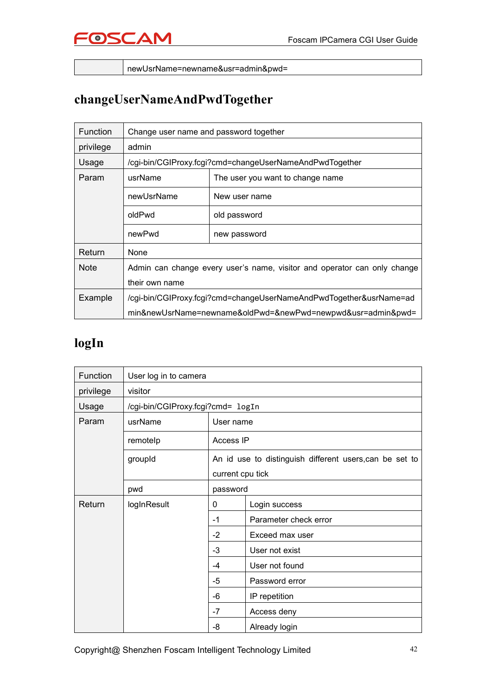

newUsrName=newname&usr=admin&pwd=

# **changeUserNameAndPwdTogether**

| <b>Function</b> | Change user name and password together                                   |                                                             |  |
|-----------------|--------------------------------------------------------------------------|-------------------------------------------------------------|--|
| privilege       | admin                                                                    |                                                             |  |
| Usage           |                                                                          | /cgi-bin/CGIProxy.fcgi?cmd=changeUserNameAndPwdTogether     |  |
| Param           | usrName                                                                  | The user you want to change name                            |  |
|                 | newUsrName                                                               | New user name                                               |  |
|                 | oldPwd                                                                   | old password                                                |  |
|                 | newPwd                                                                   | new password                                                |  |
| Return          | None                                                                     |                                                             |  |
| <b>Note</b>     | Admin can change every user's name, visitor and operator can only change |                                                             |  |
|                 | their own name                                                           |                                                             |  |
| Example         | /cgi-bin/CGIProxy.fcgi?cmd=changeUserNameAndPwdTogether&usrName=ad       |                                                             |  |
|                 |                                                                          | min&newUsrName=newname&oldPwd=&newPwd=newpwd&usr=admin&pwd= |  |

# **logIn**

| Function  | User log in to camera             |                  |                                                         |
|-----------|-----------------------------------|------------------|---------------------------------------------------------|
| privilege | visitor                           |                  |                                                         |
| Usage     | /cgi-bin/CGIProxy.fcgi?cmd= logIn |                  |                                                         |
| Param     | usrName                           | User name        |                                                         |
|           | remotelp                          | Access IP        |                                                         |
|           | groupId                           |                  | An id use to distinguish different users, can be set to |
|           |                                   | current cpu tick |                                                         |
|           | pwd                               | password         |                                                         |
| Return    | logInResult                       | 0                | Login success                                           |
|           |                                   | $-1$             | Parameter check error                                   |
|           |                                   | $-2$             | Exceed max user                                         |
|           |                                   | $-3$             | User not exist                                          |
|           |                                   | -4               | User not found                                          |
|           |                                   | $-5$             | Password error                                          |
|           |                                   | -6               | IP repetition                                           |
|           |                                   | $-7$             | Access deny                                             |
|           |                                   | -8               | Already login                                           |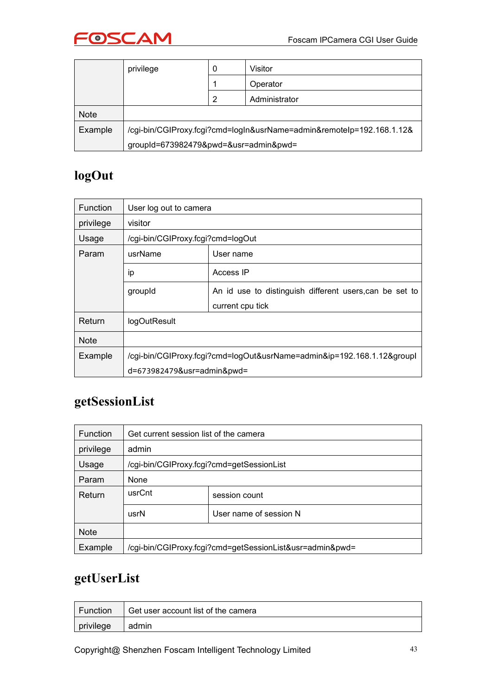

|             | privilege                                                             | 0 | Visitor       |
|-------------|-----------------------------------------------------------------------|---|---------------|
|             |                                                                       |   | Operator      |
|             |                                                                       | 2 | Administrator |
| <b>Note</b> |                                                                       |   |               |
| Example     | /cgi-bin/CGIProxy.fcgi?cmd=logIn&usrName=admin&remoteIp=192.168.1.12& |   |               |
|             | groupId=673982479&pwd=&usr=admin&pwd=                                 |   |               |

# **logOut**

| <b>Function</b> | User log out to camera                                                 |                                                         |  |
|-----------------|------------------------------------------------------------------------|---------------------------------------------------------|--|
| privilege       | visitor                                                                |                                                         |  |
| Usage           | /cgi-bin/CGIProxy.fcgi?cmd=logOut                                      |                                                         |  |
| Param           | usrName                                                                | User name                                               |  |
|                 | ip                                                                     | Access IP                                               |  |
|                 | groupId                                                                | An id use to distinguish different users, can be set to |  |
|                 |                                                                        | current cpu tick                                        |  |
| Return          | logOutResult                                                           |                                                         |  |
| <b>Note</b>     |                                                                        |                                                         |  |
| Example         | /cgi-bin/CGIProxy.fcgi?cmd=logOut&usrName=admin&ip=192.168.1.12&groupl |                                                         |  |
|                 | d=673982479&usr=admin&pwd=                                             |                                                         |  |

# **getSessionList**

| <b>Function</b> | Get current session list of the camera                   |                        |  |
|-----------------|----------------------------------------------------------|------------------------|--|
| privilege       | admin                                                    |                        |  |
| Usage           | /cgi-bin/CGIProxy.fcgi?cmd=getSessionList                |                        |  |
| Param           | None                                                     |                        |  |
| Return          | usrCnt                                                   | session count          |  |
|                 | usrN                                                     | User name of session N |  |
| <b>Note</b>     |                                                          |                        |  |
| Example         | /cgi-bin/CGIProxy.fcgi?cmd=getSessionList&usr=admin&pwd= |                        |  |

# **getUserList**

| Function  | Get user account list of the camera |
|-----------|-------------------------------------|
| privilege | admin                               |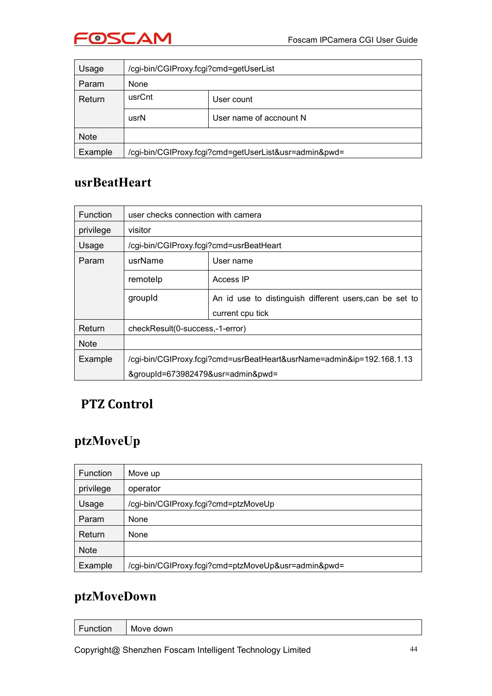

| Usage       | /cgi-bin/CGIProxy.fcgi?cmd=getUserList                |                         |
|-------------|-------------------------------------------------------|-------------------------|
| Param       | None                                                  |                         |
| Return      | usrCnt                                                | User count              |
|             | usrN                                                  | User name of accnount N |
| <b>Note</b> |                                                       |                         |
| Example     | /cgi-bin/CGIProxy.fcgi?cmd=getUserList&usr=admin&pwd= |                         |

### **usrBeatHeart**

| <b>Function</b> | user checks connection with camera      |                                                                       |
|-----------------|-----------------------------------------|-----------------------------------------------------------------------|
| privilege       | visitor                                 |                                                                       |
| Usage           | /cgi-bin/CGIProxy.fcgi?cmd=usrBeatHeart |                                                                       |
| Param           | usrName                                 | User name                                                             |
|                 | remotelp                                | Access IP                                                             |
|                 | groupId                                 | An id use to distinguish different users, can be set to               |
|                 |                                         | current cpu tick                                                      |
| Return          | checkResult(0-success,-1-error)         |                                                                       |
| <b>Note</b>     |                                         |                                                                       |
| Example         |                                         | /cgi-bin/CGIProxy.fcgi?cmd=usrBeatHeart&usrName=admin&ip=192.168.1.13 |
|                 | &groupId=673982479&usr=admin&pwd=       |                                                                       |

### **PTZ Control**

### **ptzMoveUp**

| Function    | Move up                                             |
|-------------|-----------------------------------------------------|
| privilege   | operator                                            |
| Usage       | /cgi-bin/CGIProxy.fcgi?cmd=ptzMoveUp                |
| Param       | None                                                |
| Return      | None                                                |
| <b>Note</b> |                                                     |
| Example     | /cgi-bin/CGIProxy.fcgi?cmd=ptzMoveUp&usr=admin&pwd= |

# **ptzMoveDown**

| $-$<br>unction<br>$-1.10$ | Move down |
|---------------------------|-----------|
|                           |           |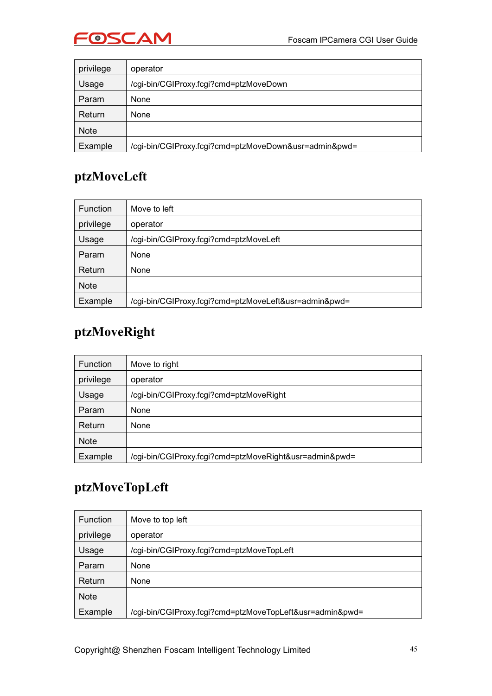

| privilege   | operator                                              |
|-------------|-------------------------------------------------------|
| Usage       | /cgi-bin/CGIProxy.fcgi?cmd=ptzMoveDown                |
| Param       | None                                                  |
| Return      | None                                                  |
| <b>Note</b> |                                                       |
| Example     | /cgi-bin/CGIProxy.fcgi?cmd=ptzMoveDown&usr=admin&pwd= |

### **ptzMoveLeft**

| Function    | Move to left                                          |
|-------------|-------------------------------------------------------|
| privilege   | operator                                              |
| Usage       | /cgi-bin/CGIProxy.fcgi?cmd=ptzMoveLeft                |
| Param       | None                                                  |
| Return      | None                                                  |
| <b>Note</b> |                                                       |
| Example     | /cgi-bin/CGIProxy.fcgi?cmd=ptzMoveLeft&usr=admin&pwd= |

### **ptzMoveRight**

| <b>Function</b> | Move to right                                          |
|-----------------|--------------------------------------------------------|
| privilege       | operator                                               |
| Usage           | /cgi-bin/CGIProxy.fcgi?cmd=ptzMoveRight                |
| Param           | None                                                   |
| Return          | None                                                   |
| <b>Note</b>     |                                                        |
| Example         | /cgi-bin/CGIProxy.fcgi?cmd=ptzMoveRight&usr=admin&pwd= |

# **ptzMoveTopLeft**

| <b>Function</b> | Move to top left                                         |
|-----------------|----------------------------------------------------------|
| privilege       | operator                                                 |
| Usage           | /cgi-bin/CGIProxy.fcgi?cmd=ptzMoveTopLeft                |
| Param           | None                                                     |
| Return          | None                                                     |
| <b>Note</b>     |                                                          |
| Example         | /cgi-bin/CGIProxy.fcgi?cmd=ptzMoveTopLeft&usr=admin&pwd= |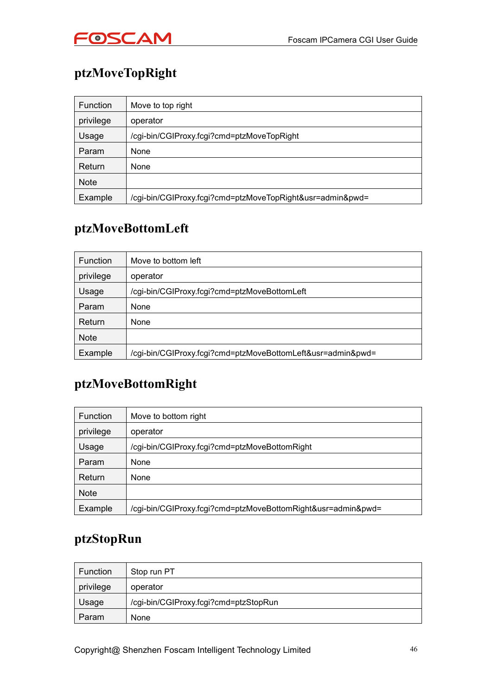

# **ptzMoveTopRight**

| Function    | Move to top right                                         |
|-------------|-----------------------------------------------------------|
| privilege   | operator                                                  |
| Usage       | /cgi-bin/CGIProxy.fcgi?cmd=ptzMoveTopRight                |
| Param       | None                                                      |
| Return      | None                                                      |
| <b>Note</b> |                                                           |
| Example     | /cgi-bin/CGIProxy.fcgi?cmd=ptzMoveTopRight&usr=admin&pwd= |

### **ptzMoveBottomLeft**

| Function    | Move to bottom left                                         |
|-------------|-------------------------------------------------------------|
| privilege   | operator                                                    |
| Usage       | /cgi-bin/CGIProxy.fcgi?cmd=ptzMoveBottomLeft                |
| Param       | None                                                        |
| Return      | None                                                        |
| <b>Note</b> |                                                             |
| Example     | /cgi-bin/CGIProxy.fcgi?cmd=ptzMoveBottomLeft&usr=admin&pwd= |

### **ptzMoveBottomRight**

| <b>Function</b> | Move to bottom right                                         |
|-----------------|--------------------------------------------------------------|
| privilege       | operator                                                     |
| Usage           | /cgi-bin/CGIProxy.fcgi?cmd=ptzMoveBottomRight                |
| Param           | <b>None</b>                                                  |
| Return          | None                                                         |
| <b>Note</b>     |                                                              |
| Example         | /cgi-bin/CGIProxy.fcgi?cmd=ptzMoveBottomRight&usr=admin&pwd= |

### **ptzStopRun**

| Function  | Stop run PT                           |
|-----------|---------------------------------------|
| privilege | operator                              |
| Usage     | /cgi-bin/CGIProxy.fcgi?cmd=ptzStopRun |
| Param     | None                                  |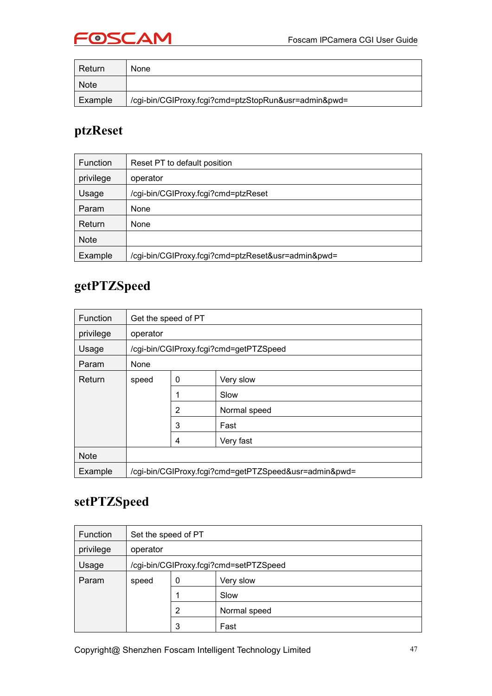

| Return      | None                                                 |
|-------------|------------------------------------------------------|
| <b>Note</b> |                                                      |
| Example     | /cgi-bin/CGIProxy.fcgi?cmd=ptzStopRun&usr=admin&pwd= |

### **ptzReset**

| Function    | Reset PT to default position                       |
|-------------|----------------------------------------------------|
| privilege   | operator                                           |
| Usage       | /cgi-bin/CGIProxy.fcgi?cmd=ptzReset                |
| Param       | None                                               |
| Return      | None                                               |
| <b>Note</b> |                                                    |
| Example     | /cgi-bin/CGIProxy.fcgi?cmd=ptzReset&usr=admin&pwd= |

### **getPTZSpeed**

| <b>Function</b> | Get the speed of PT |   |                                                       |
|-----------------|---------------------|---|-------------------------------------------------------|
| privilege       | operator            |   |                                                       |
| Usage           |                     |   | /cgi-bin/CGIProxy.fcgi?cmd=getPTZSpeed                |
| Param           | None                |   |                                                       |
| Return          | speed               | 0 | Very slow                                             |
|                 |                     |   | Slow                                                  |
|                 |                     | 2 | Normal speed                                          |
|                 |                     | 3 | Fast                                                  |
|                 |                     | 4 | Very fast                                             |
| <b>Note</b>     |                     |   |                                                       |
| Example         |                     |   | /cgi-bin/CGIProxy.fcgi?cmd=getPTZSpeed&usr=admin&pwd= |

### **setPTZSpeed**

| <b>Function</b> | Set the speed of PT |                |                                        |
|-----------------|---------------------|----------------|----------------------------------------|
| privilege       | operator            |                |                                        |
| Usage           |                     |                | /cgi-bin/CGIProxy.fcgi?cmd=setPTZSpeed |
| Param           | speed               | 0              | Very slow                              |
|                 |                     | 1              | Slow                                   |
|                 |                     | $\overline{2}$ | Normal speed                           |
|                 |                     | 3              | Fast                                   |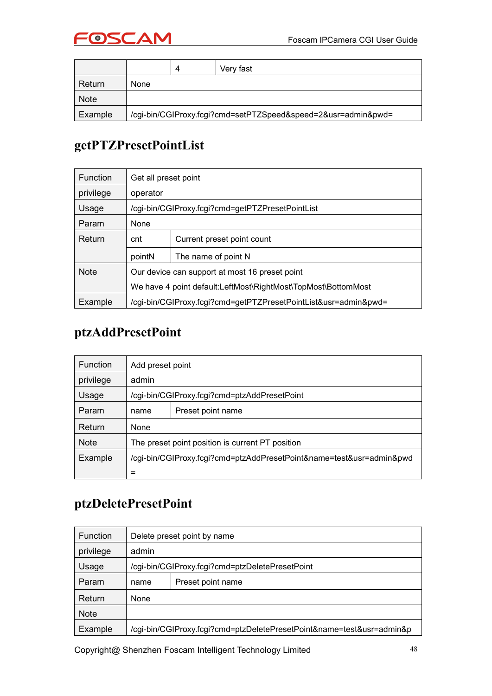

|             |      | Δ | Very fast                                                     |
|-------------|------|---|---------------------------------------------------------------|
| Return      | None |   |                                                               |
| <b>Note</b> |      |   |                                                               |
| Example     |      |   | /cgi-bin/CGIProxy.fcgi?cmd=setPTZSpeed&speed=2&usr=admin&pwd= |

# **getPTZPresetPointList**

| <b>Function</b> | Get all preset point                                            |                                                  |  |  |  |  |
|-----------------|-----------------------------------------------------------------|--------------------------------------------------|--|--|--|--|
| privilege       | operator                                                        |                                                  |  |  |  |  |
| Usage           |                                                                 | /cgi-bin/CGIProxy.fcgi?cmd=getPTZPresetPointList |  |  |  |  |
| Param           | None                                                            |                                                  |  |  |  |  |
| Return          | cnt                                                             | Current preset point count                       |  |  |  |  |
|                 | pointN                                                          | The name of point N                              |  |  |  |  |
| <b>Note</b>     | Our device can support at most 16 preset point                  |                                                  |  |  |  |  |
|                 | We have 4 point default: LeftMost\RightMost\TopMost\BottomMost  |                                                  |  |  |  |  |
| Example         | /cgi-bin/CGIProxy.fcgi?cmd=getPTZPresetPointList&usr=admin&pwd= |                                                  |  |  |  |  |

### **ptzAddPresetPoint**

| <b>Function</b> | Add preset point                                                     |                                              |  |  |  |
|-----------------|----------------------------------------------------------------------|----------------------------------------------|--|--|--|
| privilege       | admin                                                                |                                              |  |  |  |
| Usage           |                                                                      | /cgi-bin/CGIProxy.fcgi?cmd=ptzAddPresetPoint |  |  |  |
| Param           | name                                                                 | Preset point name                            |  |  |  |
| Return          | None                                                                 |                                              |  |  |  |
| <b>Note</b>     | The preset point position is current PT position                     |                                              |  |  |  |
| Example         | /cgi-bin/CGIProxy.fcgi?cmd=ptzAddPresetPoint&name=test&usr=admin&pwd |                                              |  |  |  |
|                 | $\equiv$                                                             |                                              |  |  |  |

### **ptzDeletePresetPoint**

| <b>Function</b> |       | Delete preset point by name                                           |
|-----------------|-------|-----------------------------------------------------------------------|
| privilege       | admin |                                                                       |
| Usage           |       | /cgi-bin/CGIProxy.fcgi?cmd=ptzDeletePresetPoint                       |
| Param           | name  | Preset point name                                                     |
| Return          | None  |                                                                       |
| <b>Note</b>     |       |                                                                       |
| Example         |       | /cgi-bin/CGIProxy.fcgi?cmd=ptzDeletePresetPoint&name=test&usr=admin&p |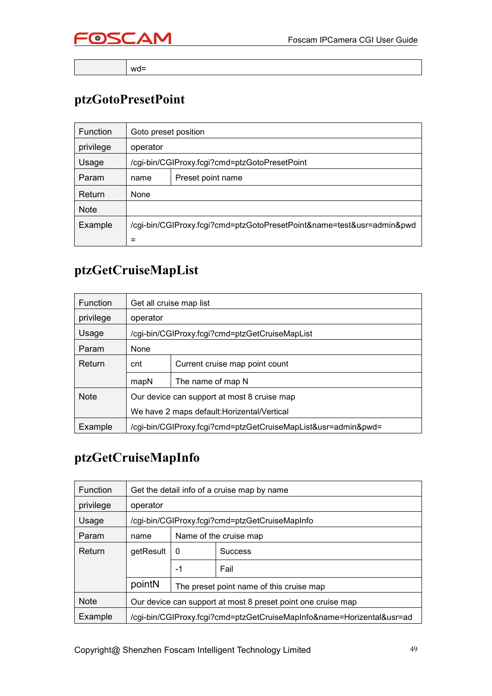

wd=

# **ptzGotoPresetPoint**

| <b>Function</b> | Goto preset position                                                  |                                               |  |  |  |
|-----------------|-----------------------------------------------------------------------|-----------------------------------------------|--|--|--|
| privilege       | operator                                                              |                                               |  |  |  |
| Usage           |                                                                       | /cgi-bin/CGIProxy.fcgi?cmd=ptzGotoPresetPoint |  |  |  |
| Param           | name                                                                  | Preset point name                             |  |  |  |
| Return          | None                                                                  |                                               |  |  |  |
| <b>Note</b>     |                                                                       |                                               |  |  |  |
| Example         | /cgi-bin/CGIProxy.fcgi?cmd=ptzGotoPresetPoint&name=test&usr=admin&pwd |                                               |  |  |  |
|                 | $=$                                                                   |                                               |  |  |  |

# **ptzGetCruiseMapList**

| <b>Function</b> |                                                               | Get all cruise map list                        |  |  |
|-----------------|---------------------------------------------------------------|------------------------------------------------|--|--|
| privilege       | operator                                                      |                                                |  |  |
| Usage           |                                                               | /cgi-bin/CGIProxy.fcgi?cmd=ptzGetCruiseMapList |  |  |
| Param           | None                                                          |                                                |  |  |
| Return          | cnt                                                           | Current cruise map point count                 |  |  |
|                 | The name of map N<br>mapN                                     |                                                |  |  |
| <b>Note</b>     | Our device can support at most 8 cruise map                   |                                                |  |  |
|                 | We have 2 maps default: Horizental/Vertical                   |                                                |  |  |
| Example         | /cgi-bin/CGIProxy.fcgi?cmd=ptzGetCruiseMapList&usr=admin&pwd= |                                                |  |  |

### **ptzGetCruiseMapInfo**

| <b>Function</b> |           |          | Get the detail info of a cruise map by name                           |
|-----------------|-----------|----------|-----------------------------------------------------------------------|
| privilege       | operator  |          |                                                                       |
| Usage           |           |          | /cgi-bin/CGIProxy.fcgi?cmd=ptzGetCruiseMapInfo                        |
| Param           | name      |          | Name of the cruise map                                                |
| Return          | getResult | $\Omega$ | <b>Success</b>                                                        |
|                 |           | -1       | Fail                                                                  |
|                 | pointN    |          | The preset point name of this cruise map                              |
| <b>Note</b>     |           |          | Our device can support at most 8 preset point one cruise map          |
| Example         |           |          | /cgi-bin/CGIProxy.fcgi?cmd=ptzGetCruiseMapInfo&name=Horizental&usr=ad |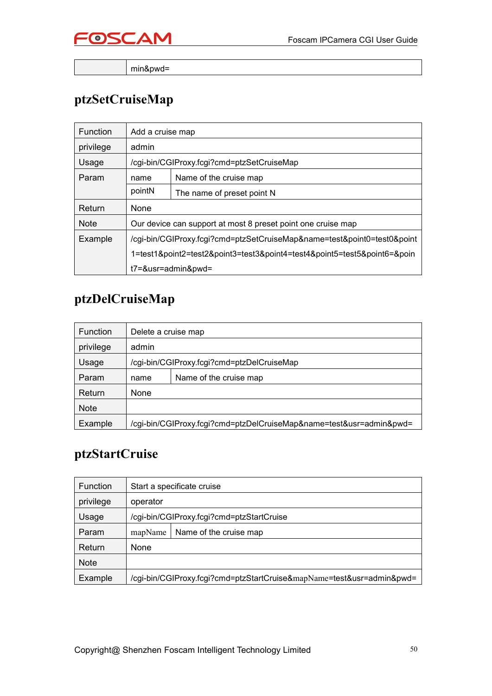

min&pwd=

# **ptzSetCruiseMap**

| <b>Function</b> | Add a cruise map                                                         |                                            |  |  |  |
|-----------------|--------------------------------------------------------------------------|--------------------------------------------|--|--|--|
| privilege       | admin                                                                    |                                            |  |  |  |
| Usage           |                                                                          | /cgi-bin/CGIProxy.fcgi?cmd=ptzSetCruiseMap |  |  |  |
| Param           | name                                                                     | Name of the cruise map                     |  |  |  |
|                 | pointN                                                                   | The name of preset point N                 |  |  |  |
| Return          | None                                                                     |                                            |  |  |  |
| <b>Note</b>     | Our device can support at most 8 preset point one cruise map             |                                            |  |  |  |
| Example         | /cgi-bin/CGIProxy.fcgi?cmd=ptzSetCruiseMap&name=test&point0=test0&point  |                                            |  |  |  |
|                 | 1=test1&point2=test2&point3=test3&point4=test4&point5=test5&point6=&poin |                                            |  |  |  |
|                 | t7=&usr=admin&pwd=                                                       |                                            |  |  |  |

# **ptzDelCruiseMap**

| <b>Function</b> | Delete a cruise map                                                 |                                            |  |  |  |
|-----------------|---------------------------------------------------------------------|--------------------------------------------|--|--|--|
| privilege       | admin                                                               |                                            |  |  |  |
| Usage           |                                                                     | /cgi-bin/CGIProxy.fcgi?cmd=ptzDelCruiseMap |  |  |  |
| Param           | name                                                                | Name of the cruise map                     |  |  |  |
| Return          | None                                                                |                                            |  |  |  |
| <b>Note</b>     |                                                                     |                                            |  |  |  |
| Example         | /cgi-bin/CGIProxy.fcgi?cmd=ptzDelCruiseMap&name=test&usr=admin&pwd= |                                            |  |  |  |

### **ptzStartCruise**

| <b>Function</b> | Start a specificate cruise |                                                                       |
|-----------------|----------------------------|-----------------------------------------------------------------------|
| privilege       | operator                   |                                                                       |
| Usage           |                            | /cgi-bin/CGIProxy.fcgi?cmd=ptzStartCruise                             |
| Param           | mapName                    | Name of the cruise map                                                |
| Return          | None                       |                                                                       |
| <b>Note</b>     |                            |                                                                       |
| Example         |                            | /cgi-bin/CGIProxy.fcgi?cmd=ptzStartCruise&mapName=test&usr=admin&pwd= |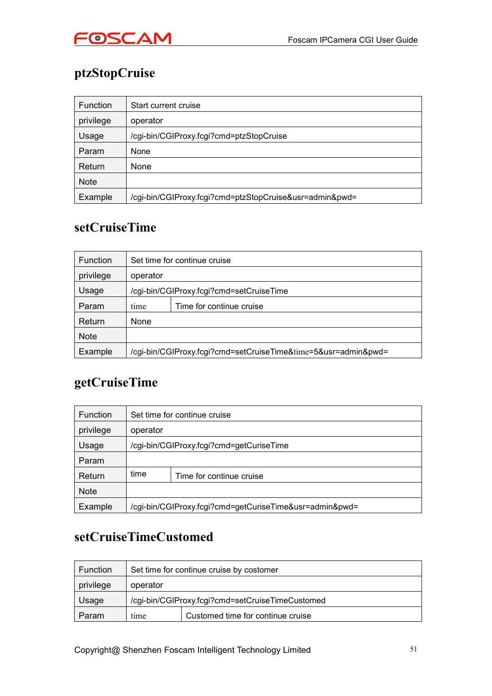

# **ptzStopCruise**

| <b>Function</b> | Start current cruise                                    |  |
|-----------------|---------------------------------------------------------|--|
| privilege       | operator                                                |  |
| Usage           | /cgi-bin/CGIProxy.fcgi?cmd=ptzStopCruise                |  |
| Param           | None                                                    |  |
| Return          | None                                                    |  |
| <b>Note</b>     |                                                         |  |
| Example         | /cgi-bin/CGIProxy.fcgi?cmd=ptzStopCruise&usr=admin&pwd= |  |

# **setCruiseTime**

| <b>Function</b> | Set time for continue cruise             |                                                                |  |
|-----------------|------------------------------------------|----------------------------------------------------------------|--|
| privilege       | operator                                 |                                                                |  |
| Usage           | /cgi-bin/CGIProxy.fcgi?cmd=setCruiseTime |                                                                |  |
| Param           | time                                     | Time for continue cruise                                       |  |
| Return          | None                                     |                                                                |  |
| <b>Note</b>     |                                          |                                                                |  |
| Example         |                                          | /cgi-bin/CGIProxy.fcgi?cmd=setCruiseTime&time=5&usr=admin&pwd= |  |

### **getCruiseTime**

| <b>Function</b> | Set time for continue cruise |                                                         |  |
|-----------------|------------------------------|---------------------------------------------------------|--|
| privilege       | operator                     |                                                         |  |
| Usage           |                              | /cgi-bin/CGIProxy.fcgi?cmd=getCuriseTime                |  |
| Param           |                              |                                                         |  |
| Return          | time                         | Time for continue cruise                                |  |
| <b>Note</b>     |                              |                                                         |  |
| Example         |                              | /cgi-bin/CGIProxy.fcgi?cmd=getCuriseTime&usr=admin&pwd= |  |

### **setCruiseTimeCustomed**

| <b>Function</b> | Set time for continue cruise by costomer         |                                   |  |
|-----------------|--------------------------------------------------|-----------------------------------|--|
| privilege       | operator                                         |                                   |  |
| Usage           | /cgi-bin/CGIProxy.fcgi?cmd=setCruiseTimeCustomed |                                   |  |
| Param           | time                                             | Customed time for continue cruise |  |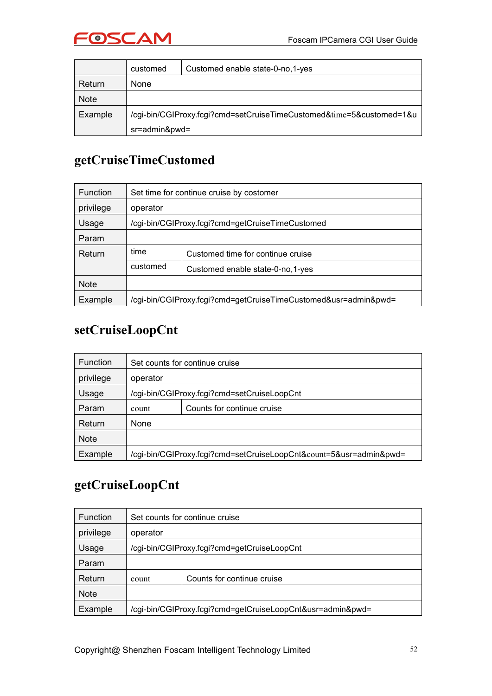

|             | customed                                                             | Customed enable state-0-no, 1-yes |
|-------------|----------------------------------------------------------------------|-----------------------------------|
| Return      | None                                                                 |                                   |
| <b>Note</b> |                                                                      |                                   |
| Example     | /cgi-bin/CGIProxy.fcgi?cmd=setCruiseTimeCustomed&time=5&customed=1&u |                                   |
|             | sr=admin&pwd=                                                        |                                   |

# **getCruiseTimeCustomed**

| <b>Function</b> | Set time for continue cruise by costomer         |                                                                 |  |
|-----------------|--------------------------------------------------|-----------------------------------------------------------------|--|
| privilege       | operator                                         |                                                                 |  |
| Usage           | /cgi-bin/CGIProxy.fcgi?cmd=getCruiseTimeCustomed |                                                                 |  |
| Param           |                                                  |                                                                 |  |
| Return          | time                                             | Customed time for continue cruise                               |  |
|                 | customed                                         | Customed enable state-0-no, 1-yes                               |  |
| <b>Note</b>     |                                                  |                                                                 |  |
| Example         |                                                  | /cgi-bin/CGIProxy.fcgi?cmd=getCruiseTimeCustomed&usr=admin&pwd= |  |

# **setCruiseLoopCnt**

| <b>Function</b> | Set counts for continue cruise                                     |                            |  |  |
|-----------------|--------------------------------------------------------------------|----------------------------|--|--|
| privilege       | operator                                                           |                            |  |  |
| Usage           | /cgi-bin/CGIProxy.fcgi?cmd=setCruiseLoopCnt                        |                            |  |  |
| Param           | count                                                              | Counts for continue cruise |  |  |
| Return          | None                                                               |                            |  |  |
| <b>Note</b>     |                                                                    |                            |  |  |
| Example         | /cgi-bin/CGIProxy.fcgi?cmd=setCruiseLoopCnt&count=5&usr=admin&pwd= |                            |  |  |

### **getCruiseLoopCnt**

| <b>Function</b> | Set counts for continue cruise              |                                                            |
|-----------------|---------------------------------------------|------------------------------------------------------------|
| privilege       | operator                                    |                                                            |
| Usage           | /cgi-bin/CGIProxy.fcgi?cmd=getCruiseLoopCnt |                                                            |
| Param           |                                             |                                                            |
| Return          | count                                       | Counts for continue cruise                                 |
| <b>Note</b>     |                                             |                                                            |
| Example         |                                             | /cgi-bin/CGIProxy.fcgi?cmd=getCruiseLoopCnt&usr=admin&pwd= |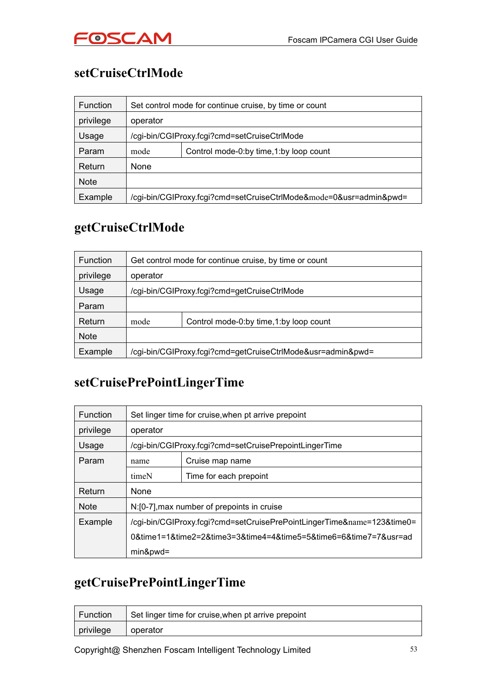

# **setCruiseCtrlMode**

| Function    | Set control mode for continue cruise, by time or count |                                                                    |  |
|-------------|--------------------------------------------------------|--------------------------------------------------------------------|--|
| privilege   | operator                                               |                                                                    |  |
| Usage       | /cgi-bin/CGIProxy.fcgi?cmd=setCruiseCtrlMode           |                                                                    |  |
| Param       | mode                                                   | Control mode-0:by time, 1:by loop count                            |  |
| Return      | None                                                   |                                                                    |  |
| <b>Note</b> |                                                        |                                                                    |  |
| Example     |                                                        | /cgi-bin/CGIProxy.fcgi?cmd=setCruiseCtrlMode&mode=0&usr=admin&pwd= |  |

### **getCruiseCtrlMode**

| <b>Function</b> |          | Get control mode for continue cruise, by time or count      |  |
|-----------------|----------|-------------------------------------------------------------|--|
| privilege       | operator |                                                             |  |
| Usage           |          | /cgi-bin/CGIProxy.fcgi?cmd=getCruiseCtrlMode                |  |
| Param           |          |                                                             |  |
| Return          | mode     | Control mode-0:by time, 1:by loop count                     |  |
| <b>Note</b>     |          |                                                             |  |
| Example         |          | /cgi-bin/CGIProxy.fcgi?cmd=getCruiseCtrlMode&usr=admin&pwd= |  |

### **setCruisePrePointLingerTime**

| <b>Function</b> | Set linger time for cruise, when pt arrive prepoint                    |                        |  |
|-----------------|------------------------------------------------------------------------|------------------------|--|
| privilege       | operator                                                               |                        |  |
| Usage           | /cgi-bin/CGIProxy.fcgi?cmd=setCruisePrepointLingerTime                 |                        |  |
| Param           | name                                                                   | Cruise map name        |  |
|                 | timeN                                                                  | Time for each prepoint |  |
| Return          | None                                                                   |                        |  |
| <b>Note</b>     | N:[0-7], max number of prepoints in cruise                             |                        |  |
| Example         | /cgi-bin/CGIProxy.fcgi?cmd=setCruisePrePointLingerTime&name=123&time0= |                        |  |
|                 | 0&time1=1&time2=2&time3=3&time4=4&time5=5&time6=6&time7=7&usr=ad       |                        |  |
|                 | $min$ &pwd=                                                            |                        |  |

### **getCruisePrePointLingerTime**

| Function                | Set linger time for cruise, when pt arrive prepoint |
|-------------------------|-----------------------------------------------------|
| $\frac{1}{2}$ privilege | operator                                            |

Copyright@ Shenzhen Foscam Intelligent Technology Limited 53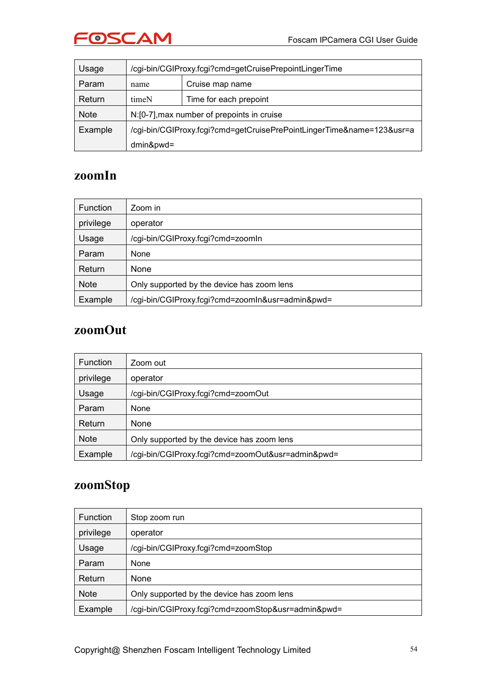

| Usage       | /cgi-bin/CGIProxy.fcgi?cmd=getCruisePrepointLingerTime                |                                            |  |  |  |  |
|-------------|-----------------------------------------------------------------------|--------------------------------------------|--|--|--|--|
| Param       | name                                                                  | Cruise map name                            |  |  |  |  |
| Return      | timeN                                                                 | Time for each prepoint                     |  |  |  |  |
| <b>Note</b> |                                                                       | N:[0-7], max number of prepoints in cruise |  |  |  |  |
| Example     | /cgi-bin/CGIProxy.fcgi?cmd=getCruisePrePointLingerTime&name=123&usr=a |                                            |  |  |  |  |
|             | $dmin$ &pwd=                                                          |                                            |  |  |  |  |

#### **zoomIn**

| <b>Function</b> | Zoom in                                          |
|-----------------|--------------------------------------------------|
| privilege       | operator                                         |
| Usage           | /cgi-bin/CGIProxy.fcgi?cmd=zoomIn                |
| Param           | None                                             |
| Return          | None                                             |
| <b>Note</b>     | Only supported by the device has zoom lens       |
| Example         | /cgi-bin/CGIProxy.fcgi?cmd=zoomIn&usr=admin&pwd= |

#### **zoomOut**

| <b>Function</b> | Zoom out                                          |
|-----------------|---------------------------------------------------|
| privilege       | operator                                          |
| Usage           | /cgi-bin/CGIProxy.fcgi?cmd=zoomOut                |
| Param           | None                                              |
| Return          | None                                              |
| <b>Note</b>     | Only supported by the device has zoom lens        |
| Example         | /cgi-bin/CGIProxy.fcgi?cmd=zoomOut&usr=admin&pwd= |

### **zoomStop**

| <b>Function</b> | Stop zoom run                                      |
|-----------------|----------------------------------------------------|
| privilege       | operator                                           |
| Usage           | /cgi-bin/CGIProxy.fcgi?cmd=zoomStop                |
| Param           | None                                               |
| Return          | None                                               |
| <b>Note</b>     | Only supported by the device has zoom lens         |
| Example         | /cgi-bin/CGIProxy.fcgi?cmd=zoomStop&usr=admin&pwd= |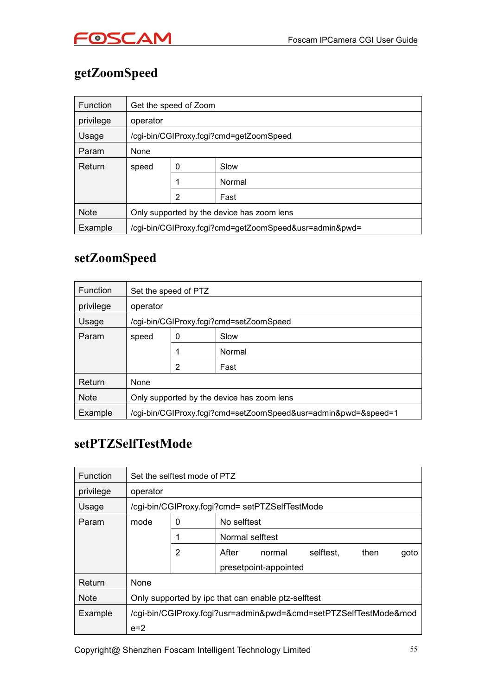

# **getZoomSpeed**

| <b>Function</b> |                                                        | Get the speed of Zoom                   |  |  |  |  |  |  |
|-----------------|--------------------------------------------------------|-----------------------------------------|--|--|--|--|--|--|
| privilege       | operator                                               |                                         |  |  |  |  |  |  |
| Usage           |                                                        | /cgi-bin/CGIProxy.fcgi?cmd=getZoomSpeed |  |  |  |  |  |  |
| Param           | None                                                   |                                         |  |  |  |  |  |  |
| Return          | speed                                                  | 0<br>Slow                               |  |  |  |  |  |  |
|                 |                                                        | Normal<br>4                             |  |  |  |  |  |  |
|                 |                                                        | 2<br>Fast                               |  |  |  |  |  |  |
| <b>Note</b>     | Only supported by the device has zoom lens             |                                         |  |  |  |  |  |  |
| Example         | /cgi-bin/CGIProxy.fcgi?cmd=getZoomSpeed&usr=admin&pwd= |                                         |  |  |  |  |  |  |

### **setZoomSpeed**

| <b>Function</b> |                                            | Set the speed of PTZ |                                                                |  |  |  |
|-----------------|--------------------------------------------|----------------------|----------------------------------------------------------------|--|--|--|
| privilege       | operator                                   |                      |                                                                |  |  |  |
| Usage           |                                            |                      | /cgi-bin/CGIProxy.fcgi?cmd=setZoomSpeed                        |  |  |  |
| Param           | speed                                      | 0                    | Slow                                                           |  |  |  |
|                 |                                            |                      | Normal                                                         |  |  |  |
|                 |                                            | 2                    | Fast                                                           |  |  |  |
| Return          | None                                       |                      |                                                                |  |  |  |
| <b>Note</b>     | Only supported by the device has zoom lens |                      |                                                                |  |  |  |
| Example         |                                            |                      | /cgi-bin/CGIProxy.fcgi?cmd=setZoomSpeed&usr=admin&pwd=&speed=1 |  |  |  |

### **setPTZSelfTestMode**

| <b>Function</b> |                                                    | Set the selftest mode of PTZ |                 |                                                |                                                                  |      |      |
|-----------------|----------------------------------------------------|------------------------------|-----------------|------------------------------------------------|------------------------------------------------------------------|------|------|
| privilege       | operator                                           |                              |                 |                                                |                                                                  |      |      |
| Usage           |                                                    |                              |                 | /cgi-bin/CGIProxy.fcgi?cmd= setPTZSelfTestMode |                                                                  |      |      |
| Param           | mode                                               | $\mathbf 0$                  | No selftest     |                                                |                                                                  |      |      |
|                 |                                                    |                              | Normal selftest |                                                |                                                                  |      |      |
|                 |                                                    | 2                            | After           | normal                                         | selftest.                                                        | then | goto |
|                 |                                                    |                              |                 | presetpoint-appointed                          |                                                                  |      |      |
| Return          | None                                               |                              |                 |                                                |                                                                  |      |      |
| <b>Note</b>     | Only supported by ipc that can enable ptz-selftest |                              |                 |                                                |                                                                  |      |      |
| Example         |                                                    |                              |                 |                                                | /cgi-bin/CGIProxy.fcgi?usr=admin&pwd=&cmd=setPTZSelfTestMode&mod |      |      |
|                 | $e=2$                                              |                              |                 |                                                |                                                                  |      |      |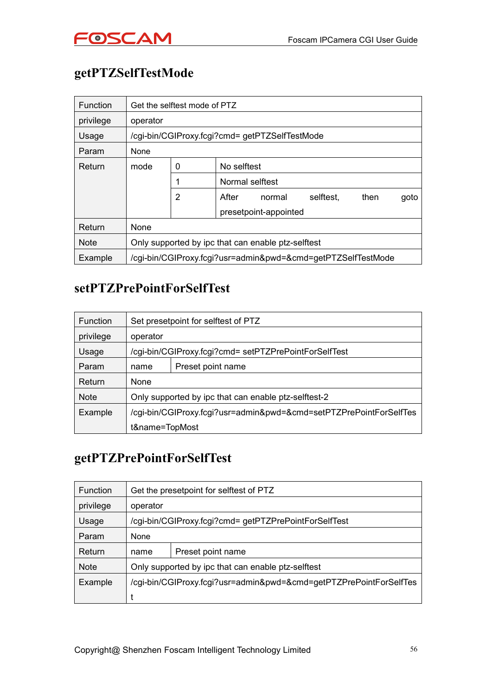# **getPTZSelfTestMode**

| Function    |          | Get the selftest mode of PTZ |                                                    |                       |                                                              |      |      |
|-------------|----------|------------------------------|----------------------------------------------------|-----------------------|--------------------------------------------------------------|------|------|
| privilege   | operator |                              |                                                    |                       |                                                              |      |      |
| Usage       |          |                              | /cgi-bin/CGIProxy.fcgi?cmd= getPTZSelfTestMode     |                       |                                                              |      |      |
| Param       | None     |                              |                                                    |                       |                                                              |      |      |
| Return      | mode     | 0                            | No selftest                                        |                       |                                                              |      |      |
|             |          |                              | Normal selftest                                    |                       |                                                              |      |      |
|             |          | 2                            | After                                              | normal                | selftest.                                                    | then | goto |
|             |          |                              |                                                    | presetpoint-appointed |                                                              |      |      |
| Return      | None     |                              |                                                    |                       |                                                              |      |      |
| <b>Note</b> |          |                              | Only supported by ipc that can enable ptz-selftest |                       |                                                              |      |      |
| Example     |          |                              |                                                    |                       | /cgi-bin/CGIProxy.fcgi?usr=admin&pwd=&cmd=getPTZSelfTestMode |      |      |

### **setPTZPrePointForSelfTest**

| <b>Function</b> | Set presetpoint for selftest of PTZ |                                                                    |  |  |  |  |  |
|-----------------|-------------------------------------|--------------------------------------------------------------------|--|--|--|--|--|
| privilege       | operator                            |                                                                    |  |  |  |  |  |
| Usage           |                                     | /cgi-bin/CGIProxy.fcgi?cmd= setPTZPrePointForSelfTest              |  |  |  |  |  |
| Param           | name                                | Preset point name                                                  |  |  |  |  |  |
| Return          | None                                |                                                                    |  |  |  |  |  |
| <b>Note</b>     |                                     | Only supported by ipc that can enable ptz-selftest-2               |  |  |  |  |  |
| Example         |                                     | /cgi-bin/CGIProxy.fcgi?usr=admin&pwd=&cmd=setPTZPrePointForSelfTes |  |  |  |  |  |
|                 | t&name=TopMost                      |                                                                    |  |  |  |  |  |

### **getPTZPrePointForSelfTest**

| Function    |          | Get the presetpoint for selftest of PTZ                            |  |  |  |  |  |
|-------------|----------|--------------------------------------------------------------------|--|--|--|--|--|
| privilege   | operator |                                                                    |  |  |  |  |  |
| Usage       |          | /cgi-bin/CGIProxy.fcgi?cmd= getPTZPrePointForSelfTest              |  |  |  |  |  |
| Param       | None     |                                                                    |  |  |  |  |  |
| Return      | name     | Preset point name                                                  |  |  |  |  |  |
| <b>Note</b> |          | Only supported by ipc that can enable ptz-selftest                 |  |  |  |  |  |
| Example     |          | /cgi-bin/CGIProxy.fcgi?usr=admin&pwd=&cmd=getPTZPrePointForSelfTes |  |  |  |  |  |
|             |          |                                                                    |  |  |  |  |  |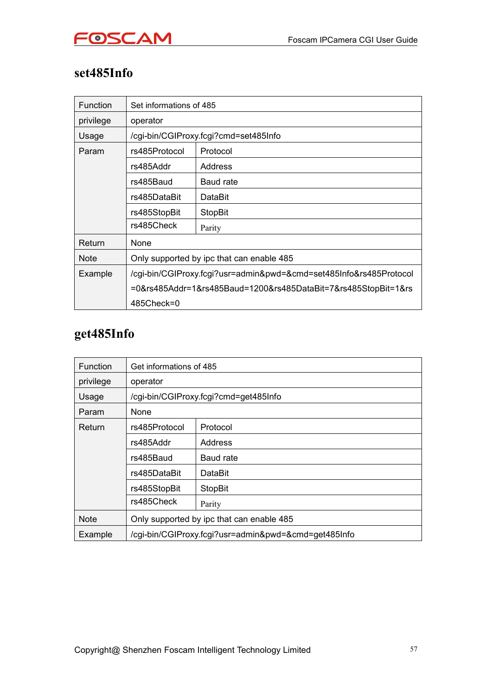

### **set485Info**

| Function    | Set informations of 485                                            |                                                                |  |  |  |  |  |  |
|-------------|--------------------------------------------------------------------|----------------------------------------------------------------|--|--|--|--|--|--|
| privilege   | operator                                                           |                                                                |  |  |  |  |  |  |
| Usage       |                                                                    | /cgi-bin/CGIProxy.fcgi?cmd=set485Info                          |  |  |  |  |  |  |
| Param       | rs485Protocol                                                      | Protocol                                                       |  |  |  |  |  |  |
|             | rs485Addr                                                          | Address                                                        |  |  |  |  |  |  |
|             | rs485Baud                                                          | Baud rate                                                      |  |  |  |  |  |  |
|             | rs485DataBit                                                       | DataBit                                                        |  |  |  |  |  |  |
|             | rs485StopBit                                                       | <b>StopBit</b>                                                 |  |  |  |  |  |  |
|             | rs485Check                                                         | Parity                                                         |  |  |  |  |  |  |
| Return      | None                                                               |                                                                |  |  |  |  |  |  |
| <b>Note</b> |                                                                    | Only supported by ipc that can enable 485                      |  |  |  |  |  |  |
| Example     | /cgi-bin/CGIProxy.fcgi?usr=admin&pwd=&cmd=set485Info&rs485Protocol |                                                                |  |  |  |  |  |  |
|             |                                                                    | =0&rs485Addr=1&rs485Baud=1200&rs485DataBit=7&rs485StopBit=1&rs |  |  |  |  |  |  |
|             | 485Check=0                                                         |                                                                |  |  |  |  |  |  |

# **get485Info**

| <b>Function</b> | Get informations of 485                              |                                       |  |
|-----------------|------------------------------------------------------|---------------------------------------|--|
| privilege       | operator                                             |                                       |  |
| Usage           |                                                      | /cgi-bin/CGIProxy.fcgi?cmd=get485Info |  |
| Param           | None                                                 |                                       |  |
| Return          | rs485Protocol                                        | Protocol                              |  |
|                 | rs485Addr                                            | Address                               |  |
|                 | rs485Baud                                            | Baud rate                             |  |
|                 | rs485DataBit                                         | DataBit                               |  |
|                 | rs485StopBit                                         | <b>StopBit</b>                        |  |
|                 | rs485Check                                           | Parity                                |  |
| <b>Note</b>     | Only supported by ipc that can enable 485            |                                       |  |
| Example         | /cgi-bin/CGIProxy.fcgi?usr=admin&pwd=&cmd=get485Info |                                       |  |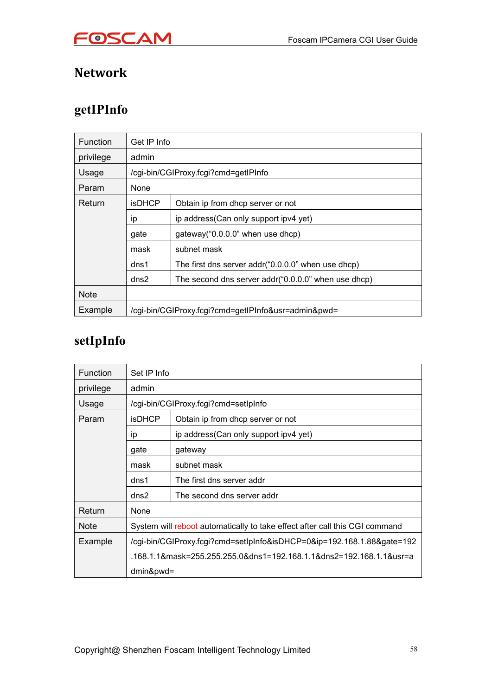



### **Network**

# **getIPInfo**

| <b>Function</b> | Get IP Info   |                                                     |
|-----------------|---------------|-----------------------------------------------------|
| privilege       | admin         |                                                     |
| Usage           |               | /cgi-bin/CGIProxy.fcgi?cmd=getIPInfo                |
| Param           | None          |                                                     |
| Return          | <b>isDHCP</b> | Obtain ip from dhcp server or not                   |
|                 | ip            | ip address(Can only support ipv4 yet)               |
|                 | gate          | gateway("0.0.0.0" when use dhcp)                    |
|                 | mask          | subnet mask                                         |
|                 | dns1          | The first dns server addr("0.0.0.0" when use dhcp)  |
|                 | dns2          | The second dns server addr("0.0.0.0" when use dhcp) |
| <b>Note</b>     |               |                                                     |
| Example         |               | /cgi-bin/CGIProxy.fcgi?cmd=getIPInfo&usr=admin&pwd= |

# **setIpInfo**

| <b>Function</b> | Set IP Info                                                                 |                                       |  |  |
|-----------------|-----------------------------------------------------------------------------|---------------------------------------|--|--|
| privilege       | admin                                                                       |                                       |  |  |
| Usage           |                                                                             | /cgi-bin/CGIProxy.fcgi?cmd=setIpInfo  |  |  |
| Param           | <b>isDHCP</b>                                                               | Obtain ip from dhcp server or not     |  |  |
|                 | ip                                                                          | ip address(Can only support ipv4 yet) |  |  |
|                 | gate                                                                        | gateway                               |  |  |
|                 | mask                                                                        | subnet mask                           |  |  |
|                 | dns1                                                                        | The first dns server addr             |  |  |
|                 | dns2                                                                        | The second dns server addr            |  |  |
| Return          | None                                                                        |                                       |  |  |
| <b>Note</b>     | System will reboot automatically to take effect after call this CGI command |                                       |  |  |
| Example         | /cgi-bin/CGIProxy.fcgi?cmd=setIpInfo&isDHCP=0&ip=192.168.1.88&gate=192      |                                       |  |  |
|                 | .168.1.1&mask=255.255.255.0&dns1=192.168.1.1&dns2=192.168.1.1&usr=a         |                                       |  |  |
|                 | $dmin$ &pwd=                                                                |                                       |  |  |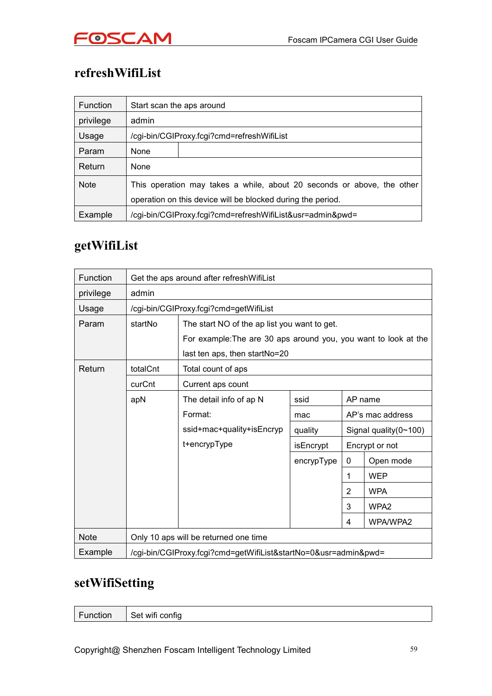

# **refreshWifiList**

| <b>Function</b> | Start scan the aps around                                                                                                             |                                                           |  |
|-----------------|---------------------------------------------------------------------------------------------------------------------------------------|-----------------------------------------------------------|--|
| privilege       | admin                                                                                                                                 |                                                           |  |
| Usage           |                                                                                                                                       | /cgi-bin/CGIProxy.fcgi?cmd=refreshWifiList                |  |
| Param           | None                                                                                                                                  |                                                           |  |
| Return          | None                                                                                                                                  |                                                           |  |
| <b>Note</b>     | This operation may takes a while, about 20 seconds or above, the other<br>operation on this device will be blocked during the period. |                                                           |  |
| Example         |                                                                                                                                       | /cgi-bin/CGIProxy.fcgi?cmd=refreshWifiList&usr=admin&pwd= |  |

### **getWifiList**

| Function    | Get the aps around after refresh WifiList                       |                                                                 |            |                |                               |
|-------------|-----------------------------------------------------------------|-----------------------------------------------------------------|------------|----------------|-------------------------------|
| privilege   | admin                                                           |                                                                 |            |                |                               |
| Usage       |                                                                 | /cgi-bin/CGIProxy.fcgi?cmd=getWifiList                          |            |                |                               |
| Param       | startNo                                                         | The start NO of the ap list you want to get.                    |            |                |                               |
|             |                                                                 | For example: The are 30 aps around you, you want to look at the |            |                |                               |
|             |                                                                 | last ten aps, then startNo=20                                   |            |                |                               |
| Return      | totalCnt                                                        | Total count of aps                                              |            |                |                               |
|             | curCnt                                                          | Current aps count                                               |            |                |                               |
|             | apN                                                             | The detail info of ap N                                         | ssid       |                | AP name                       |
|             |                                                                 | Format:                                                         | mac        |                | AP's mac address              |
|             |                                                                 | ssid+mac+quality+isEncryp                                       | quality    |                | Signal quality $(0 \sim 100)$ |
|             |                                                                 | t+encrypType                                                    | isEncrypt  | Encrypt or not |                               |
|             |                                                                 |                                                                 | encrypType | 0              | Open mode                     |
|             |                                                                 |                                                                 |            | 1              | <b>WEP</b>                    |
|             |                                                                 |                                                                 |            | 2              | <b>WPA</b>                    |
|             |                                                                 |                                                                 |            | 3              | WPA2                          |
|             |                                                                 |                                                                 |            | 4              | WPA/WPA2                      |
| <b>Note</b> | Only 10 aps will be returned one time                           |                                                                 |            |                |                               |
| Example     | /cgi-bin/CGIProxy.fcgi?cmd=getWifiList&startNo=0&usr=admin&pwd= |                                                                 |            |                |                               |

### **setWifiSetting**

| Function<br>Set wifi config |
|-----------------------------|
|-----------------------------|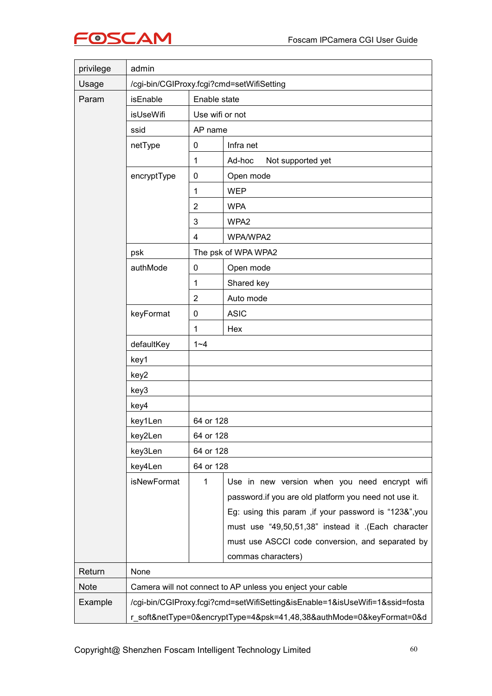

| privilege   | admin                                                                       |                                           |                                                            |  |  |  |
|-------------|-----------------------------------------------------------------------------|-------------------------------------------|------------------------------------------------------------|--|--|--|
| Usage       |                                                                             | /cgi-bin/CGIProxy.fcgi?cmd=setWifiSetting |                                                            |  |  |  |
| Param       | isEnable                                                                    | Enable state                              |                                                            |  |  |  |
|             | isUseWifi                                                                   | Use wifi or not                           |                                                            |  |  |  |
|             | ssid                                                                        | AP name                                   |                                                            |  |  |  |
|             | netType                                                                     | $\mathbf 0$                               | Infra net                                                  |  |  |  |
|             |                                                                             | $\mathbf 1$                               | Ad-hoc<br>Not supported yet                                |  |  |  |
|             | encryptType                                                                 | 0                                         | Open mode                                                  |  |  |  |
|             |                                                                             | 1                                         | <b>WEP</b>                                                 |  |  |  |
|             |                                                                             | $\overline{2}$                            | <b>WPA</b>                                                 |  |  |  |
|             |                                                                             | 3                                         | WPA2                                                       |  |  |  |
|             |                                                                             | $\overline{4}$                            | WPA/WPA2                                                   |  |  |  |
|             | psk                                                                         |                                           | The psk of WPA WPA2                                        |  |  |  |
|             | authMode                                                                    | 0                                         | Open mode                                                  |  |  |  |
|             |                                                                             | 1                                         | Shared key                                                 |  |  |  |
|             |                                                                             | $\sqrt{2}$                                | Auto mode                                                  |  |  |  |
|             | keyFormat                                                                   | 0                                         | <b>ASIC</b>                                                |  |  |  |
|             |                                                                             | 1                                         | Hex                                                        |  |  |  |
|             | defaultKey                                                                  | $1 - 4$                                   |                                                            |  |  |  |
|             | key1                                                                        |                                           |                                                            |  |  |  |
|             | key2                                                                        |                                           |                                                            |  |  |  |
|             | key3                                                                        |                                           |                                                            |  |  |  |
|             | key4                                                                        |                                           |                                                            |  |  |  |
|             | key1Len                                                                     | 64 or 128                                 |                                                            |  |  |  |
|             | key2Len                                                                     | 64 or 128                                 |                                                            |  |  |  |
|             | key3Len                                                                     | 64 or 128                                 |                                                            |  |  |  |
|             | key4Len                                                                     |                                           | 64 or 128                                                  |  |  |  |
|             | isNewFormat                                                                 | $\mathbf{1}$                              | Use in new version when you need encrypt wifi              |  |  |  |
|             |                                                                             |                                           | password.if you are old platform you need not use it.      |  |  |  |
|             |                                                                             |                                           | Eg: using this param , if your password is "123&", you     |  |  |  |
|             |                                                                             |                                           | must use "49,50,51,38" instead it .(Each character         |  |  |  |
|             |                                                                             |                                           | must use ASCCI code conversion, and separated by           |  |  |  |
|             |                                                                             |                                           | commas characters)                                         |  |  |  |
| Return      | None                                                                        |                                           |                                                            |  |  |  |
| <b>Note</b> |                                                                             |                                           | Camera will not connect to AP unless you enject your cable |  |  |  |
| Example     | /cgi-bin/CGIProxy.fcgi?cmd=setWifiSetting&isEnable=1&isUseWifi=1&ssid=fosta |                                           |                                                            |  |  |  |
|             | r_soft&netType=0&encryptType=4&psk=41,48,38&authMode=0&keyFormat=0&d        |                                           |                                                            |  |  |  |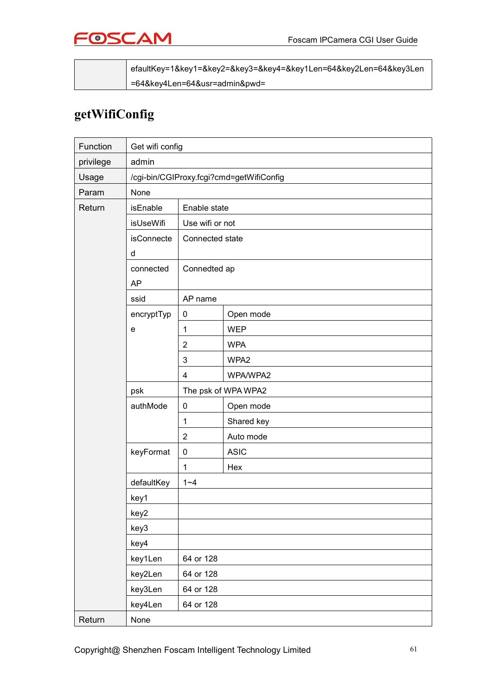

|  | efaultKey=1&key1=&key2=&key3=&key4=&key1Len=64&key2Len=64&key3Len |  |
|--|-------------------------------------------------------------------|--|
|  | =64&key4Len=64&usr=admin&pwd=                                     |  |

### **getWifiConfig**

| Function  | Get wifi config                          |                 |                     |  |
|-----------|------------------------------------------|-----------------|---------------------|--|
| privilege | admin                                    |                 |                     |  |
| Usage     | /cgi-bin/CGIProxy.fcgi?cmd=getWifiConfig |                 |                     |  |
| Param     | None                                     |                 |                     |  |
| Return    | isEnable                                 | Enable state    |                     |  |
|           | isUseWifi                                | Use wifi or not |                     |  |
|           | <b>isConnecte</b>                        | Connected state |                     |  |
|           | d                                        |                 |                     |  |
|           | connected                                | Connedted ap    |                     |  |
|           | <b>AP</b>                                |                 |                     |  |
|           | ssid                                     | AP name         |                     |  |
|           | encryptTyp                               | $\mathbf 0$     | Open mode           |  |
|           | e                                        | $\mathbf{1}$    | <b>WEP</b>          |  |
|           |                                          | $\overline{2}$  | <b>WPA</b>          |  |
|           |                                          | 3               | WPA2                |  |
|           |                                          | 4               | WPA/WPA2            |  |
|           | psk                                      |                 | The psk of WPA WPA2 |  |
|           | authMode                                 | $\mathbf 0$     | Open mode           |  |
|           |                                          | $\mathbf 1$     | Shared key          |  |
|           |                                          | $\overline{2}$  | Auto mode           |  |
|           | keyFormat                                | 0               | <b>ASIC</b>         |  |
|           |                                          | $\mathbf{1}$    | Hex                 |  |
|           | defaultKey                               | $1 - 4$         |                     |  |
|           | key1                                     |                 |                     |  |
|           | key2                                     |                 |                     |  |
|           | key3                                     |                 |                     |  |
|           | key4                                     |                 |                     |  |
|           | key1Len                                  | 64 or 128       |                     |  |
|           | key2Len                                  | 64 or 128       |                     |  |
|           | key3Len                                  | 64 or 128       |                     |  |
|           | key4Len                                  | 64 or 128       |                     |  |
| Return    | None                                     |                 |                     |  |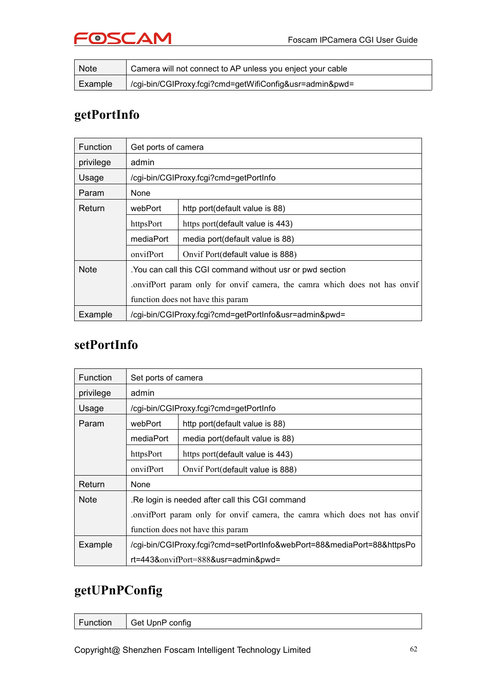# FOSCAM

| <b>Note</b> | Camera will not connect to AP unless you enject your cable |
|-------------|------------------------------------------------------------|
| Example     | /cgi-bin/CGIProxy.fcgi?cmd=getWifiConfig&usr=admin&pwd=    |

### **getPortInfo**

| <b>Function</b> | Get ports of camera                                                       |                                        |  |
|-----------------|---------------------------------------------------------------------------|----------------------------------------|--|
| privilege       | admin                                                                     |                                        |  |
| Usage           |                                                                           | /cgi-bin/CGIProxy.fcgi?cmd=getPortInfo |  |
| Param           | None                                                                      |                                        |  |
| Return          | webPort                                                                   | http port (default value is 88)        |  |
|                 | httpsPort                                                                 | https port (default value is 443)      |  |
|                 | mediaPort                                                                 | media port(default value is 88)        |  |
|                 | onvifPort                                                                 | Onvif Port (default value is 888)      |  |
| <b>Note</b>     | . You can call this CGI command without usr or pwd section                |                                        |  |
|                 | onvifPort param only for onvif camera, the camra which does not has onvif |                                        |  |
|                 | function does not have this param                                         |                                        |  |
| Example         | /cgi-bin/CGIProxy.fcgi?cmd=getPortInfo&usr=admin&pwd=                     |                                        |  |

### **setPortInfo**

| <b>Function</b> | Set ports of camera                                                       |                                        |  |
|-----------------|---------------------------------------------------------------------------|----------------------------------------|--|
| privilege       | admin                                                                     |                                        |  |
| Usage           |                                                                           | /cgi-bin/CGIProxy.fcgi?cmd=getPortInfo |  |
| Param           | webPort                                                                   | http port(default value is 88)         |  |
|                 | mediaPort                                                                 | media port(default value is 88)        |  |
|                 | httpsPort                                                                 | https port (default value is 443)      |  |
|                 | onvifPort                                                                 | Onvif Port(default value is 888)       |  |
| Return          | None                                                                      |                                        |  |
| <b>Note</b>     | .Re login is needed after call this CGI command                           |                                        |  |
|                 | onvifPort param only for onvif camera, the camra which does not has onvif |                                        |  |
|                 | function does not have this param                                         |                                        |  |
| Example         | /cgi-bin/CGIProxy.fcgi?cmd=setPortInfo&webPort=88&mediaPort=88&httpsPo    |                                        |  |
|                 | $rt = 443$ &onvifPort=888&usr=admin&pwd=                                  |                                        |  |

### **getUPnPConfig**

| Function | Get UpnP config |
|----------|-----------------|
|          |                 |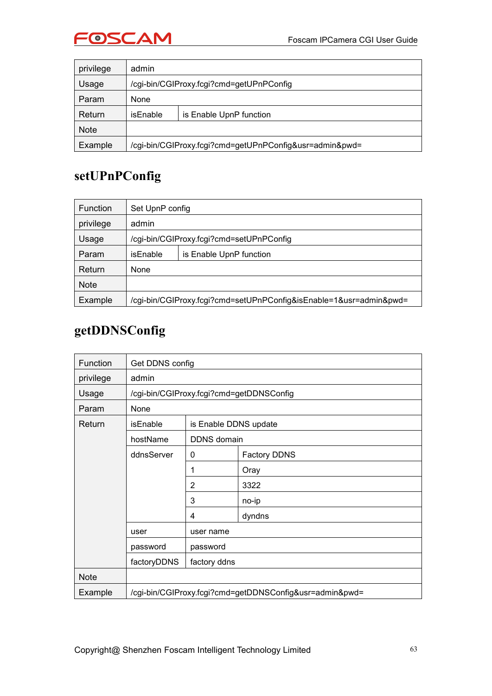

| privilege   | admin                                                   |                         |  |  |  |  |
|-------------|---------------------------------------------------------|-------------------------|--|--|--|--|
| Usage       | /cgi-bin/CGIProxy.fcgi?cmd=getUPnPConfig                |                         |  |  |  |  |
| Param       | <b>None</b>                                             |                         |  |  |  |  |
| Return      | isEnable                                                | is Enable UpnP function |  |  |  |  |
| <b>Note</b> |                                                         |                         |  |  |  |  |
| Example     | /cgi-bin/CGIProxy.fcgi?cmd=getUPnPConfig&usr=admin&pwd= |                         |  |  |  |  |

### **setUPnPConfig**

| <b>Function</b> | Set UpnP config                          |                                                                    |  |  |  |  |
|-----------------|------------------------------------------|--------------------------------------------------------------------|--|--|--|--|
| privilege       | admin                                    |                                                                    |  |  |  |  |
| Usage           | /cgi-bin/CGIProxy.fcgi?cmd=setUPnPConfig |                                                                    |  |  |  |  |
| Param           | isEnable                                 | is Enable UpnP function                                            |  |  |  |  |
| Return          | None                                     |                                                                    |  |  |  |  |
| <b>Note</b>     |                                          |                                                                    |  |  |  |  |
| Example         |                                          | /cgi-bin/CGIProxy.fcgi?cmd=setUPnPConfig&isEnable=1&usr=admin&pwd= |  |  |  |  |

### **getDDNSConfig**

| Function    | Get DDNS config                                         |                       |                                          |  |
|-------------|---------------------------------------------------------|-----------------------|------------------------------------------|--|
| privilege   | admin                                                   |                       |                                          |  |
| Usage       |                                                         |                       | /cgi-bin/CGIProxy.fcgi?cmd=getDDNSConfig |  |
| Param       | None                                                    |                       |                                          |  |
| Return      | isEnable                                                | is Enable DDNS update |                                          |  |
|             | hostName                                                | DDNS domain           |                                          |  |
|             | ddnsServer                                              | 0                     | <b>Factory DDNS</b>                      |  |
|             |                                                         | 1                     | Oray                                     |  |
|             |                                                         | $\overline{2}$        | 3322                                     |  |
|             |                                                         | 3                     | no-ip                                    |  |
|             |                                                         | 4                     | dyndns                                   |  |
|             | user                                                    | user name             |                                          |  |
|             | password                                                | password              |                                          |  |
|             | factoryDDNS                                             | factory ddns          |                                          |  |
| <b>Note</b> |                                                         |                       |                                          |  |
| Example     | /cgi-bin/CGIProxy.fcgi?cmd=getDDNSConfig&usr=admin&pwd= |                       |                                          |  |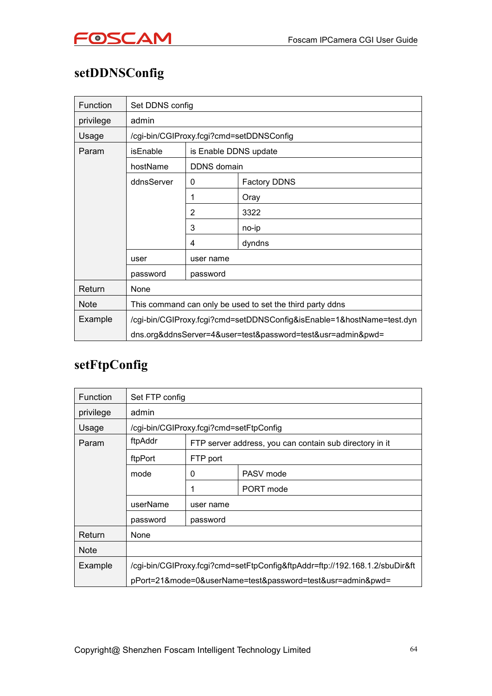

# **setDDNSConfig**

| Function    | Set DDNS config                                                       |                       |                                                             |  |
|-------------|-----------------------------------------------------------------------|-----------------------|-------------------------------------------------------------|--|
| privilege   | admin                                                                 |                       |                                                             |  |
| Usage       |                                                                       |                       | /cgi-bin/CGIProxy.fcgi?cmd=setDDNSConfig                    |  |
| Param       | isEnable                                                              | is Enable DDNS update |                                                             |  |
|             | hostName                                                              | DDNS domain           |                                                             |  |
|             | ddnsServer                                                            | 0                     | <b>Factory DDNS</b>                                         |  |
|             |                                                                       |                       | Oray                                                        |  |
|             |                                                                       | $\overline{2}$        | 3322                                                        |  |
|             |                                                                       | 3                     | no-ip                                                       |  |
|             |                                                                       | 4                     | dyndns                                                      |  |
|             | user                                                                  | user name             |                                                             |  |
|             | password                                                              | password              |                                                             |  |
| Return      | None                                                                  |                       |                                                             |  |
| <b>Note</b> | This command can only be used to set the third party ddns             |                       |                                                             |  |
| Example     | /cgi-bin/CGIProxy.fcgi?cmd=setDDNSConfig&isEnable=1&hostName=test.dyn |                       |                                                             |  |
|             |                                                                       |                       | dns.org&ddnsServer=4&user=test&password=test&usr=admin&pwd= |  |

# **setFtpConfig**

| <b>Function</b> | Set FTP config                                                              |                                                         |           |  |  |
|-----------------|-----------------------------------------------------------------------------|---------------------------------------------------------|-----------|--|--|
| privilege       | admin                                                                       |                                                         |           |  |  |
| Usage           | /cgi-bin/CGIProxy.fcgi?cmd=setFtpConfig                                     |                                                         |           |  |  |
| Param           | ftpAddr                                                                     | FTP server address, you can contain sub directory in it |           |  |  |
|                 | ftpPort                                                                     | FTP port                                                |           |  |  |
|                 | mode                                                                        | 0                                                       | PASV mode |  |  |
|                 |                                                                             | 1                                                       | PORT mode |  |  |
|                 | userName<br>user name                                                       |                                                         |           |  |  |
|                 | password                                                                    | password                                                |           |  |  |
| Return          | None                                                                        |                                                         |           |  |  |
| <b>Note</b>     |                                                                             |                                                         |           |  |  |
| Example         | /cgi-bin/CGIProxy.fcgi?cmd=setFtpConfig&ftpAddr=ftp://192.168.1.2/sbuDir&ft |                                                         |           |  |  |
|                 | pPort=21&mode=0&userName=test&password=test&usr=admin&pwd=                  |                                                         |           |  |  |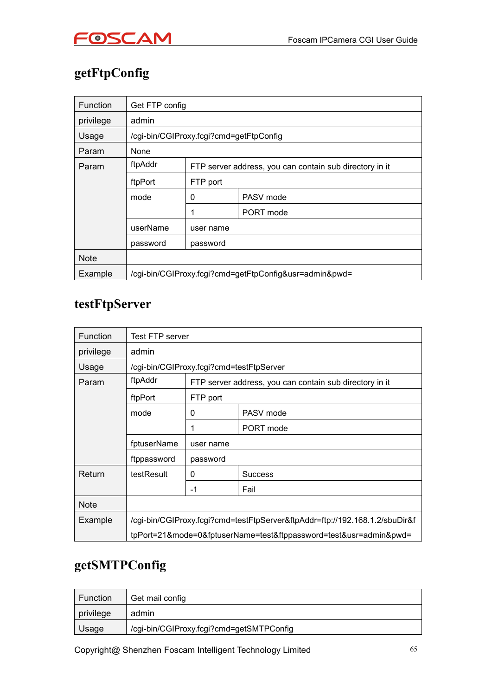

# **getFtpConfig**

| <b>Function</b> | Get FTP config                                         |           |                                                         |  |  |
|-----------------|--------------------------------------------------------|-----------|---------------------------------------------------------|--|--|
| privilege       | admin                                                  |           |                                                         |  |  |
| Usage           |                                                        |           | /cgi-bin/CGIProxy.fcgi?cmd=getFtpConfig                 |  |  |
| Param           | None                                                   |           |                                                         |  |  |
| Param           | ftpAddr                                                |           | FTP server address, you can contain sub directory in it |  |  |
|                 | ftpPort                                                | FTP port  |                                                         |  |  |
|                 | mode                                                   | 0         | PASV mode                                               |  |  |
|                 |                                                        |           | PORT mode                                               |  |  |
|                 | userName                                               | user name |                                                         |  |  |
|                 | password                                               | password  |                                                         |  |  |
| <b>Note</b>     |                                                        |           |                                                         |  |  |
| Example         | /cgi-bin/CGIProxy.fcgi?cmd=getFtpConfig&usr=admin&pwd= |           |                                                         |  |  |

### **testFtpServer**

| <b>Function</b> | Test FTP server                                                             |           |                                                         |  |  |
|-----------------|-----------------------------------------------------------------------------|-----------|---------------------------------------------------------|--|--|
| privilege       | admin                                                                       |           |                                                         |  |  |
| Usage           | /cgi-bin/CGIProxy.fcgi?cmd=testFtpServer                                    |           |                                                         |  |  |
| Param           | ftpAddr                                                                     |           | FTP server address, you can contain sub directory in it |  |  |
|                 | ftpPort                                                                     | FTP port  |                                                         |  |  |
|                 | mode                                                                        | 0         | PASV mode                                               |  |  |
|                 |                                                                             |           | PORT mode                                               |  |  |
|                 | fptuserName                                                                 | user name | password                                                |  |  |
|                 | ftppassword                                                                 |           |                                                         |  |  |
| Return          | testResult                                                                  | 0         | <b>Success</b>                                          |  |  |
|                 |                                                                             | $-1$      | Fail                                                    |  |  |
| <b>Note</b>     |                                                                             |           |                                                         |  |  |
| Example         | /cgi-bin/CGIProxy.fcgi?cmd=testFtpServer&ftpAddr=ftp://192.168.1.2/sbuDir&f |           |                                                         |  |  |
|                 | tpPort=21&mode=0&fptuserName=test&ftppassword=test&usr=admin&pwd=           |           |                                                         |  |  |

### **getSMTPConfig**

| <b>Function</b> | Get mail config                          |
|-----------------|------------------------------------------|
| privilege       | admin                                    |
| Usage           | /cgi-bin/CGIProxy.fcgi?cmd=getSMTPConfig |

Copyright@ Shenzhen Foscam Intelligent Technology Limited 65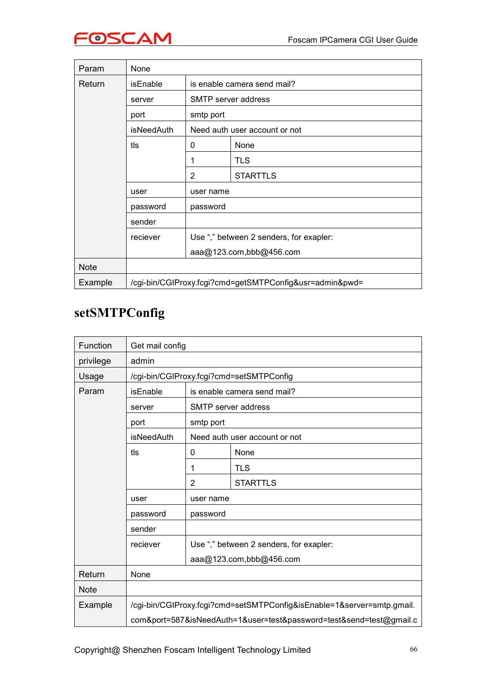| Param       | None                                                    |                             |                                         |  |
|-------------|---------------------------------------------------------|-----------------------------|-----------------------------------------|--|
| Return      | <b>isEnable</b>                                         | is enable camera send mail? |                                         |  |
|             | server                                                  | SMTP server address         |                                         |  |
|             | port                                                    | smtp port                   |                                         |  |
|             | isNeedAuth                                              |                             | Need auth user account or not           |  |
|             | tls                                                     | 0                           | None                                    |  |
|             |                                                         |                             | <b>TLS</b>                              |  |
|             |                                                         | 2                           | <b>STARTTLS</b>                         |  |
|             | user<br>user name                                       |                             |                                         |  |
|             | password                                                | password                    |                                         |  |
|             | sender                                                  |                             |                                         |  |
|             | reciever                                                |                             | Use "," between 2 senders, for exapler: |  |
|             |                                                         | aaa@123.com,bbb@456.com     |                                         |  |
| <b>Note</b> |                                                         |                             |                                         |  |
| Example     | /cgi-bin/CGIProxy.fcgi?cmd=getSMTPConfig&usr=admin&pwd= |                             |                                         |  |

# **setSMTPConfig**

| Function    | Get mail config                                                        |                                         |                               |  |  |
|-------------|------------------------------------------------------------------------|-----------------------------------------|-------------------------------|--|--|
| privilege   | admin                                                                  |                                         |                               |  |  |
| Usage       | /cgi-bin/CGIProxy.fcgi?cmd=setSMTPConfig                               |                                         |                               |  |  |
| Param       | isEnable                                                               | is enable camera send mail?             |                               |  |  |
|             | SMTP server address<br>server                                          |                                         |                               |  |  |
|             | port                                                                   | smtp port                               |                               |  |  |
|             | <b>isNeedAuth</b>                                                      |                                         | Need auth user account or not |  |  |
|             | tls                                                                    | 0                                       | None                          |  |  |
|             |                                                                        | 1                                       | <b>TLS</b>                    |  |  |
|             |                                                                        | $\overline{2}$                          | <b>STARTTLS</b>               |  |  |
|             | user                                                                   |                                         | user name                     |  |  |
|             | password                                                               | password                                |                               |  |  |
|             | sender                                                                 |                                         |                               |  |  |
|             | reciever                                                               | Use "," between 2 senders, for exapler: |                               |  |  |
|             |                                                                        | aaa@123.com,bbb@456.com                 |                               |  |  |
| Return      | None                                                                   |                                         |                               |  |  |
| <b>Note</b> |                                                                        |                                         |                               |  |  |
| Example     | /cgi-bin/CGIProxy.fcgi?cmd=setSMTPConfig&isEnable=1&server=smtp.gmail. |                                         |                               |  |  |
|             | com&port=587&isNeedAuth=1&user=test&password=test&send=test@gmail.c    |                                         |                               |  |  |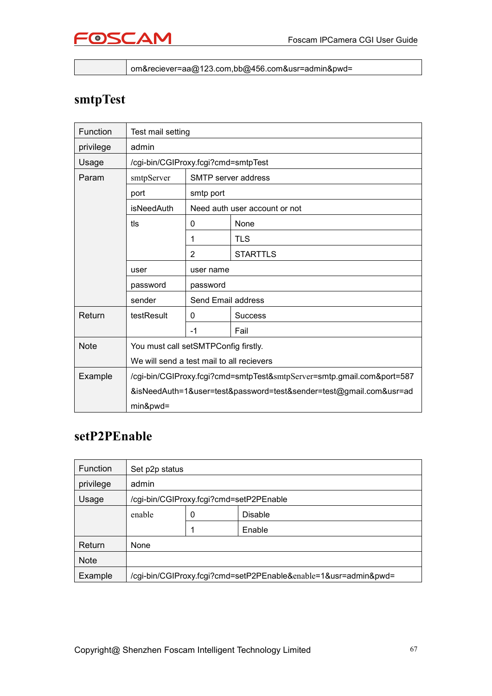

om&reciever=aa@123.com,bb@456.com&usr=admin&pwd=

### **smtpTest**

| Function    | Test mail setting                                                      |                                      |                                                                    |  |  |  |
|-------------|------------------------------------------------------------------------|--------------------------------------|--------------------------------------------------------------------|--|--|--|
| privilege   | admin                                                                  |                                      |                                                                    |  |  |  |
| Usage       | /cgi-bin/CGIProxy.fcgi?cmd=smtpTest                                    |                                      |                                                                    |  |  |  |
| Param       | smtpServer                                                             |                                      | SMTP server address                                                |  |  |  |
|             | port                                                                   | smtp port                            |                                                                    |  |  |  |
|             | <i>isNeedAuth</i>                                                      |                                      | Need auth user account or not                                      |  |  |  |
|             | tls                                                                    | 0                                    | None                                                               |  |  |  |
|             |                                                                        | 1                                    | <b>TLS</b>                                                         |  |  |  |
|             |                                                                        | $\overline{2}$                       | <b>STARTTLS</b>                                                    |  |  |  |
|             | user                                                                   |                                      | user name                                                          |  |  |  |
|             | password                                                               | password                             |                                                                    |  |  |  |
|             | sender                                                                 | Send Email address                   |                                                                    |  |  |  |
| Return      | testResult                                                             | 0<br><b>Success</b>                  |                                                                    |  |  |  |
|             |                                                                        | $-1$                                 | Fail                                                               |  |  |  |
| <b>Note</b> |                                                                        | You must call setSMTPConfig firstly. |                                                                    |  |  |  |
|             | We will send a test mail to all recievers                              |                                      |                                                                    |  |  |  |
| Example     | /cgi-bin/CGIProxy.fcgi?cmd=smtpTest&smtpServer=smtp.gmail.com&port=587 |                                      |                                                                    |  |  |  |
|             |                                                                        |                                      | &isNeedAuth=1&user=test&password=test&sender=test@gmail.com&usr=ad |  |  |  |
|             | min&pwd=                                                               |                                      |                                                                    |  |  |  |

### **setP2PEnable**

| <b>Function</b> | Set p2p status                                                  |   |        |  |
|-----------------|-----------------------------------------------------------------|---|--------|--|
| privilege       | admin                                                           |   |        |  |
| Usage           | /cgi-bin/CGIProxy.fcgi?cmd=setP2PEnable                         |   |        |  |
|                 | enable<br>0<br>Disable                                          |   |        |  |
|                 |                                                                 | 1 | Enable |  |
| Return          | None                                                            |   |        |  |
| <b>Note</b>     |                                                                 |   |        |  |
| Example         | /cgi-bin/CGIProxy.fcgi?cmd=setP2PEnable&enable=1&usr=admin&pwd= |   |        |  |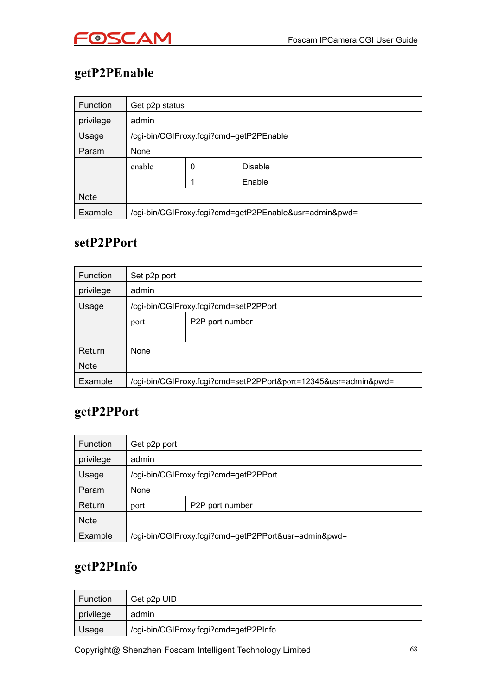

# **getP2PEnable**

| <b>Function</b> | Get p2p status                                         |  |        |  |
|-----------------|--------------------------------------------------------|--|--------|--|
| privilege       | admin                                                  |  |        |  |
| Usage           | /cgi-bin/CGIProxy.fcgi?cmd=getP2PEnable                |  |        |  |
| Param           | None                                                   |  |        |  |
|                 | enable<br>Disable<br>0                                 |  |        |  |
|                 |                                                        |  | Enable |  |
| <b>Note</b>     |                                                        |  |        |  |
| Example         | /cgi-bin/CGIProxy.fcgi?cmd=getP2PEnable&usr=admin&pwd= |  |        |  |

### **setP2PPort**

| <b>Function</b> | Set p2p port                                                    |                 |  |  |
|-----------------|-----------------------------------------------------------------|-----------------|--|--|
| privilege       | admin                                                           |                 |  |  |
| Usage           | /cgi-bin/CGIProxy.fcgi?cmd=setP2PPort                           |                 |  |  |
|                 | port                                                            | P2P port number |  |  |
|                 |                                                                 |                 |  |  |
| Return          | <b>None</b>                                                     |                 |  |  |
| <b>Note</b>     |                                                                 |                 |  |  |
| Example         | /cgi-bin/CGIProxy.fcgi?cmd=setP2PPort&port=12345&usr=admin&pwd= |                 |  |  |

### **getP2PPort**

| <b>Function</b> | Get p2p port                                         |  |  |
|-----------------|------------------------------------------------------|--|--|
| privilege       | admin                                                |  |  |
| Usage           | /cgi-bin/CGIProxy.fcgi?cmd=getP2PPort                |  |  |
| Param           | None                                                 |  |  |
| Return          | P2P port number<br>port                              |  |  |
| <b>Note</b>     |                                                      |  |  |
| Example         | /cgi-bin/CGIProxy.fcgi?cmd=getP2PPort&usr=admin&pwd= |  |  |

### **getP2PInfo**

| <b>Function</b> | Get p2p UID                           |
|-----------------|---------------------------------------|
| privilege       | admin                                 |
| Usage           | /cgi-bin/CGIProxy.fcgi?cmd=getP2PInfo |

Copyright@ Shenzhen Foscam Intelligent Technology Limited 68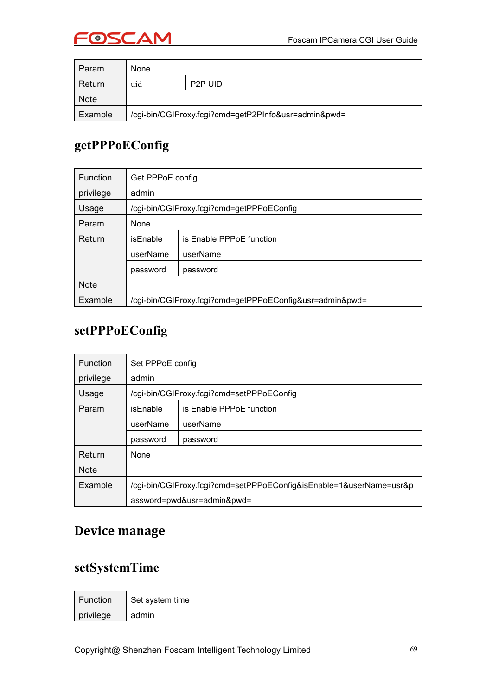

| Param   | None                                                 |                      |  |
|---------|------------------------------------------------------|----------------------|--|
| Return  | uid                                                  | P <sub>2</sub> P UID |  |
| Note    |                                                      |                      |  |
| Example | /cgi-bin/CGIProxy.fcgi?cmd=getP2PInfo&usr=admin&pwd= |                      |  |

### **getPPPoEConfig**

| <b>Function</b> | Get PPPoE config                          |                                                          |  |  |
|-----------------|-------------------------------------------|----------------------------------------------------------|--|--|
| privilege       | admin                                     |                                                          |  |  |
| Usage           | /cgi-bin/CGIProxy.fcgi?cmd=getPPPoEConfig |                                                          |  |  |
| Param           | None                                      |                                                          |  |  |
| Return          | is Enable PPPoE function<br>isEnable      |                                                          |  |  |
|                 | userName<br>userName                      |                                                          |  |  |
|                 | password<br>password                      |                                                          |  |  |
| <b>Note</b>     |                                           |                                                          |  |  |
| Example         |                                           | /cgi-bin/CGIProxy.fcgi?cmd=getPPPoEConfig&usr=admin&pwd= |  |  |

### **setPPPoEConfig**

| <b>Function</b> | Set PPPoE config                                                    |                                           |  |  |  |
|-----------------|---------------------------------------------------------------------|-------------------------------------------|--|--|--|
| privilege       | admin                                                               |                                           |  |  |  |
| Usage           |                                                                     | /cgi-bin/CGIProxy.fcgi?cmd=setPPPoEConfig |  |  |  |
| Param           | isEnable                                                            | is Enable PPPoE function                  |  |  |  |
|                 | userName                                                            | userName                                  |  |  |  |
|                 | password                                                            | password                                  |  |  |  |
| Return          | None                                                                |                                           |  |  |  |
| <b>Note</b>     |                                                                     |                                           |  |  |  |
| Example         | /cgi-bin/CGIProxy.fcgi?cmd=setPPPoEConfig&isEnable=1&userName=usr&p |                                           |  |  |  |
|                 |                                                                     | assword=pwd&usr=admin&pwd=                |  |  |  |

### **Device manage**

### **setSystemTime**

| Function            | Set system time |
|---------------------|-----------------|
| $\langle$ privilege | admin           |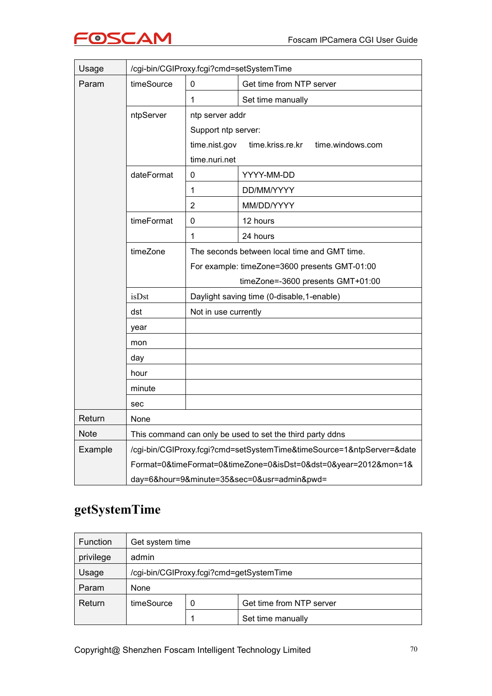

| Usage       | /cgi-bin/CGIProxy.fcgi?cmd=setSystemTime                  |                                               |                                                                       |  |  |
|-------------|-----------------------------------------------------------|-----------------------------------------------|-----------------------------------------------------------------------|--|--|
| Param       | timeSource                                                | 0                                             | Get time from NTP server                                              |  |  |
|             |                                                           | 1                                             | Set time manually                                                     |  |  |
|             | ntpServer                                                 | ntp server addr                               |                                                                       |  |  |
|             |                                                           | Support ntp server:                           |                                                                       |  |  |
|             |                                                           |                                               | time.nist.gov<br>time.kriss.re.kr<br>time.windows.com                 |  |  |
|             |                                                           | time.nuri.net                                 |                                                                       |  |  |
|             | dateFormat                                                | $\pmb{0}$                                     | YYYY-MM-DD                                                            |  |  |
|             |                                                           | $\mathbf 1$                                   | DD/MM/YYYY                                                            |  |  |
|             |                                                           | $\overline{2}$                                | MM/DD/YYYY                                                            |  |  |
|             | timeFormat                                                | $\mathbf 0$                                   | 12 hours                                                              |  |  |
|             |                                                           | 1                                             | 24 hours                                                              |  |  |
|             | timeZone                                                  | The seconds between local time and GMT time.  |                                                                       |  |  |
|             |                                                           | For example: timeZone=3600 presents GMT-01:00 |                                                                       |  |  |
|             |                                                           |                                               | timeZone=-3600 presents GMT+01:00                                     |  |  |
|             | isDst                                                     | Daylight saving time (0-disable, 1-enable)    |                                                                       |  |  |
|             | dst                                                       | Not in use currently                          |                                                                       |  |  |
|             | year                                                      |                                               |                                                                       |  |  |
|             | mon                                                       |                                               |                                                                       |  |  |
|             | day                                                       |                                               |                                                                       |  |  |
|             | hour                                                      |                                               |                                                                       |  |  |
|             | minute                                                    |                                               |                                                                       |  |  |
|             | sec                                                       |                                               |                                                                       |  |  |
| Return      | None                                                      |                                               |                                                                       |  |  |
| <b>Note</b> | This command can only be used to set the third party ddns |                                               |                                                                       |  |  |
| Example     |                                                           |                                               | /cgi-bin/CGIProxy.fcgi?cmd=setSystemTime&timeSource=1&ntpServer=&date |  |  |
|             |                                                           |                                               | Format=0&timeFormat=0&timeZone=0&isDst=0&dst=0&year=2012&mon=1&       |  |  |
|             | day=6&hour=9&minute=35&sec=0&usr=admin&pwd=               |                                               |                                                                       |  |  |

# **getSystemTime**

| <b>Function</b> | Get system time                          |   |                          |  |
|-----------------|------------------------------------------|---|--------------------------|--|
| privilege       | admin                                    |   |                          |  |
| Usage           | /cgi-bin/CGIProxy.fcgi?cmd=getSystemTime |   |                          |  |
| Param           | None                                     |   |                          |  |
| Return          | timeSource                               | 0 | Get time from NTP server |  |
|                 |                                          |   | Set time manually        |  |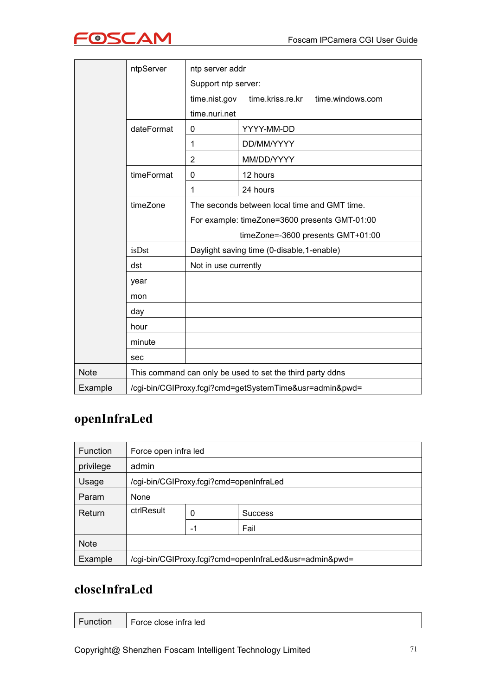

|             | ntpServer                                               | ntp server addr                                           |                                               |  |
|-------------|---------------------------------------------------------|-----------------------------------------------------------|-----------------------------------------------|--|
|             |                                                         | Support ntp server:                                       |                                               |  |
|             |                                                         | time.nist.gov                                             | time.kriss.re.kr<br>time.windows.com          |  |
|             |                                                         | time.nuri.net                                             |                                               |  |
|             | dateFormat                                              | $\mathbf 0$                                               | YYYY-MM-DD                                    |  |
|             |                                                         | 1                                                         | DD/MM/YYYY                                    |  |
|             |                                                         | $\overline{2}$                                            | MM/DD/YYYY                                    |  |
|             | timeFormat                                              | $\mathbf 0$                                               | 12 hours                                      |  |
|             |                                                         | 1                                                         | 24 hours                                      |  |
|             | timeZone                                                |                                                           | The seconds between local time and GMT time.  |  |
|             |                                                         |                                                           | For example: timeZone=3600 presents GMT-01:00 |  |
|             |                                                         |                                                           | timeZone=-3600 presents GMT+01:00             |  |
|             | isDst                                                   |                                                           | Daylight saving time (0-disable, 1-enable)    |  |
|             | dst                                                     | Not in use currently                                      |                                               |  |
|             | year                                                    |                                                           |                                               |  |
|             | mon                                                     |                                                           |                                               |  |
|             | day                                                     |                                                           |                                               |  |
|             | hour                                                    |                                                           |                                               |  |
|             | minute                                                  |                                                           |                                               |  |
|             | sec                                                     |                                                           |                                               |  |
| <b>Note</b> |                                                         | This command can only be used to set the third party ddns |                                               |  |
| Example     | /cgi-bin/CGIProxy.fcgi?cmd=getSystemTime&usr=admin&pwd= |                                                           |                                               |  |

### **openInfraLed**

| <b>Function</b> | Force open infra led                                   |    |                |
|-----------------|--------------------------------------------------------|----|----------------|
| privilege       | admin                                                  |    |                |
| Usage           | /cgi-bin/CGIProxy.fcgi?cmd=openInfraLed                |    |                |
| Param           | None                                                   |    |                |
| Return          | ctrlResult                                             | 0  | <b>Success</b> |
|                 |                                                        | -1 | Fail           |
| <b>Note</b>     |                                                        |    |                |
| Example         | /cgi-bin/CGIProxy.fcgi?cmd=openInfraLed&usr=admin&pwd= |    |                |

### **closeInfraLed**

| $\sim$  | $\sim$                |
|---------|-----------------------|
| unction | Force close infra led |
|         |                       |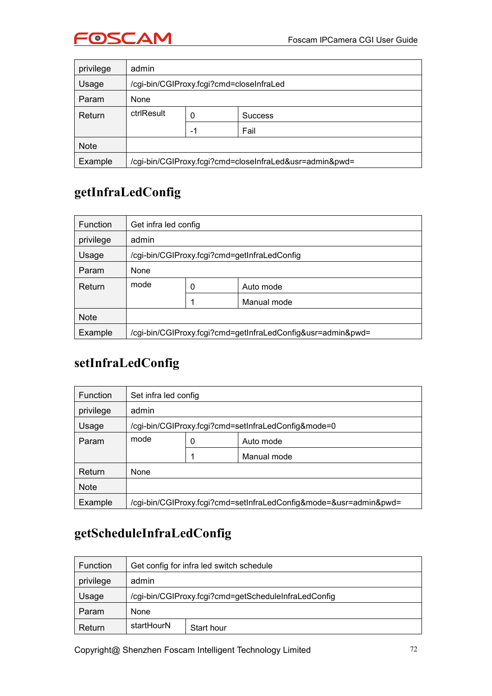

| privilege   | admin                                                   |    |                |  |
|-------------|---------------------------------------------------------|----|----------------|--|
| Usage       | /cgi-bin/CGIProxy.fcgi?cmd=closeInfraLed                |    |                |  |
| Param       | None                                                    |    |                |  |
| Return      | ctrlResult                                              | 0  | <b>Success</b> |  |
|             |                                                         | -1 | Fail           |  |
| <b>Note</b> |                                                         |    |                |  |
| Example     | /cgi-bin/CGIProxy.fcgi?cmd=closeInfraLed&usr=admin&pwd= |    |                |  |

### **getInfraLedConfig**

| <b>Function</b> | Get infra led config                                        |   |             |
|-----------------|-------------------------------------------------------------|---|-------------|
| privilege       | admin                                                       |   |             |
| Usage           | /cgi-bin/CGIProxy.fcgi?cmd=getInfraLedConfig                |   |             |
| Param           | None                                                        |   |             |
| Return          | mode                                                        | 0 | Auto mode   |
|                 |                                                             |   | Manual mode |
| <b>Note</b>     |                                                             |   |             |
| Example         | /cgi-bin/CGIProxy.fcgi?cmd=getInfraLedConfig&usr=admin&pwd= |   |             |

# **setInfraLedConfig**

| <b>Function</b> | Set infra led config                                              |   |             |
|-----------------|-------------------------------------------------------------------|---|-------------|
| privilege       | admin                                                             |   |             |
| Usage           | /cgi-bin/CGIProxy.fcgi?cmd=setInfraLedConfig&mode=0               |   |             |
| Param           | mode                                                              | 0 | Auto mode   |
|                 |                                                                   |   | Manual mode |
| Return          | None                                                              |   |             |
| <b>Note</b>     |                                                                   |   |             |
| Example         | /cgi-bin/CGIProxy.fcgi?cmd=setInfraLedConfig&mode=&usr=admin&pwd= |   |             |

# **getScheduleInfraLedConfig**

| <b>Function</b> | Get config for infra led switch schedule             |            |  |
|-----------------|------------------------------------------------------|------------|--|
| privilege       | admin                                                |            |  |
| Usage           | /cgi-bin/CGIProxy.fcgi?cmd=getScheduleInfraLedConfig |            |  |
| Param           | None                                                 |            |  |
| Return          | startHourN                                           | Start hour |  |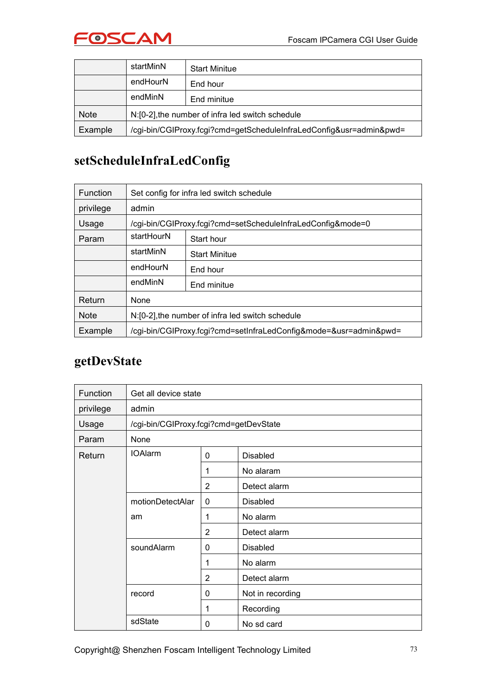

|             | startMinN                                                           | <b>Start Minitue</b> |
|-------------|---------------------------------------------------------------------|----------------------|
|             | endHourN                                                            | End hour             |
|             | endMinN                                                             | End minitue          |
| <b>Note</b> | N:[0-2], the number of infra led switch schedule                    |                      |
| Example     | /cgi-bin/CGIProxy.fcgi?cmd=getScheduleInfraLedConfig&usr=admin&pwd= |                      |

#### **setScheduleInfraLedConfig**

| <b>Function</b> | Set config for infra led switch schedule         |                                                                   |  |  |
|-----------------|--------------------------------------------------|-------------------------------------------------------------------|--|--|
| privilege       | admin                                            |                                                                   |  |  |
| Usage           |                                                  | /cgi-bin/CGIProxy.fcgi?cmd=setScheduleInfraLedConfig&mode=0       |  |  |
| Param           | startHourN                                       | Start hour                                                        |  |  |
|                 | startMinN                                        | <b>Start Minitue</b>                                              |  |  |
|                 | endHourN                                         | End hour                                                          |  |  |
|                 | endMinN                                          | End minitue                                                       |  |  |
| Return          | None                                             |                                                                   |  |  |
| <b>Note</b>     | N:[0-2], the number of infra led switch schedule |                                                                   |  |  |
| Example         |                                                  | /cgi-bin/CGIProxy.fcgi?cmd=setInfraLedConfig&mode=&usr=admin&pwd= |  |  |

#### **getDevState**

| Function  | Get all device state                   |                |                  |
|-----------|----------------------------------------|----------------|------------------|
| privilege | admin                                  |                |                  |
| Usage     | /cgi-bin/CGIProxy.fcgi?cmd=getDevState |                |                  |
| Param     | None                                   |                |                  |
| Return    | <b>IOAlarm</b>                         | 0              | <b>Disabled</b>  |
|           |                                        | 1              | No alaram        |
|           |                                        | $\overline{2}$ | Detect alarm     |
|           | motionDetectAlar                       | 0              | <b>Disabled</b>  |
|           | am                                     | 1              | No alarm         |
|           |                                        | $\overline{2}$ | Detect alarm     |
|           | soundAlarm                             | 0              | <b>Disabled</b>  |
|           |                                        | 1              | No alarm         |
|           |                                        | $\overline{2}$ | Detect alarm     |
|           | record                                 | 0              | Not in recording |
|           |                                        | 1              | Recording        |
|           | sdState                                | 0              | No sd card       |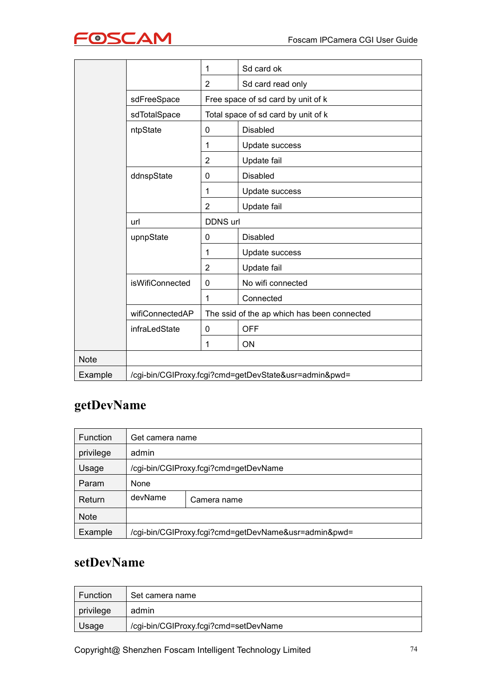

|             |                 | 1               | Sd card ok                                            |
|-------------|-----------------|-----------------|-------------------------------------------------------|
|             |                 | $\overline{2}$  | Sd card read only                                     |
|             | sdFreeSpace     |                 | Free space of sd card by unit of k                    |
|             | sdTotalSpace    |                 | Total space of sd card by unit of k                   |
|             | ntpState        | 0               | <b>Disabled</b>                                       |
|             |                 | 1               | Update success                                        |
|             |                 | 2               | Update fail                                           |
|             | ddnspState      | 0               | <b>Disabled</b>                                       |
|             |                 | 1               | Update success                                        |
|             |                 | $\overline{2}$  | Update fail                                           |
|             | url             | <b>DDNS url</b> |                                                       |
|             | upnpState       | 0               | <b>Disabled</b>                                       |
|             |                 | 1               | Update success                                        |
|             |                 | $\overline{2}$  | Update fail                                           |
|             | isWifiConnected | 0               | No wifi connected                                     |
|             |                 | 1               | Connected                                             |
|             | wifiConnectedAP |                 | The ssid of the ap which has been connected           |
|             | infraLedState   | 0               | <b>OFF</b>                                            |
|             |                 | 1               | ON                                                    |
| <b>Note</b> |                 |                 |                                                       |
| Example     |                 |                 | /cgi-bin/CGIProxy.fcgi?cmd=getDevState&usr=admin&pwd= |

## **getDevName**

| <b>Function</b> | Get camera name |                                                      |
|-----------------|-----------------|------------------------------------------------------|
| privilege       | admin           |                                                      |
| Usage           |                 | /cgi-bin/CGIProxy.fcgi?cmd=getDevName                |
| Param           | None            |                                                      |
| Return          | devName         | Camera name                                          |
| <b>Note</b>     |                 |                                                      |
| Example         |                 | /cgi-bin/CGIProxy.fcgi?cmd=getDevName&usr=admin&pwd= |

#### **setDevName**

| Function  | Set camera name                       |
|-----------|---------------------------------------|
| privilege | admin                                 |
| Usage     | /cgi-bin/CGIProxy.fcgi?cmd=setDevName |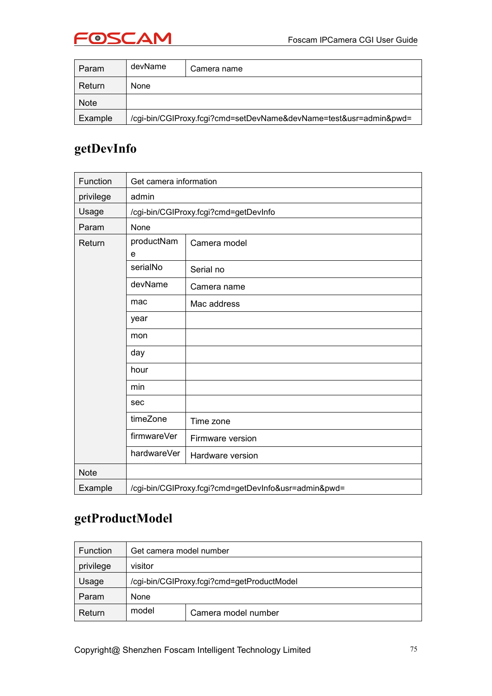

| Param       | devName     | Camera name                                                       |
|-------------|-------------|-------------------------------------------------------------------|
| Return      | <b>None</b> |                                                                   |
| <b>Note</b> |             |                                                                   |
| Example     |             | /cgi-bin/CGIProxy.fcgi?cmd=setDevName&devName=test&usr=admin&pwd= |

#### **getDevInfo**

| Function    | Get camera information |                                                      |
|-------------|------------------------|------------------------------------------------------|
| privilege   | admin                  |                                                      |
| Usage       |                        | /cgi-bin/CGIProxy.fcgi?cmd=getDevInfo                |
| Param       | None                   |                                                      |
| Return      | productNam<br>e        | Camera model                                         |
|             | serialNo               | Serial no                                            |
|             | devName                | Camera name                                          |
|             | mac                    | Mac address                                          |
|             | year                   |                                                      |
|             | mon                    |                                                      |
|             | day                    |                                                      |
|             | hour                   |                                                      |
|             | min                    |                                                      |
|             | sec                    |                                                      |
|             | timeZone               | Time zone                                            |
|             | firmwareVer            | Firmware version                                     |
|             | hardwareVer            | Hardware version                                     |
| <b>Note</b> |                        |                                                      |
| Example     |                        | /cgi-bin/CGIProxy.fcgi?cmd=getDevInfo&usr=admin&pwd= |

#### **getProductModel**

| <b>Function</b> | Get camera model number                    |                     |  |
|-----------------|--------------------------------------------|---------------------|--|
| privilege       | visitor                                    |                     |  |
| Usage           | /cgi-bin/CGIProxy.fcgi?cmd=getProductModel |                     |  |
| Param           | None                                       |                     |  |
| Return          | model                                      | Camera model number |  |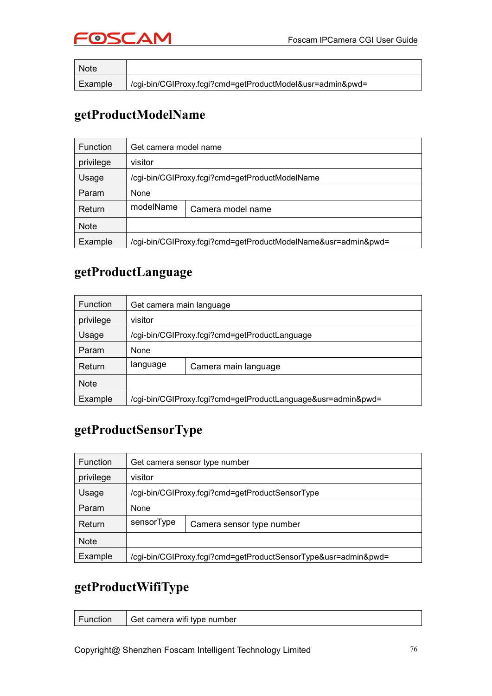

| <b>Note</b> |                                                           |
|-------------|-----------------------------------------------------------|
| Example     | /cgi-bin/CGIProxy.fcgi?cmd=getProductModel&usr=admin&pwd= |

#### **getProductModelName**

| <b>Function</b> | Get camera model name                                         |                   |  |
|-----------------|---------------------------------------------------------------|-------------------|--|
| privilege       | visitor                                                       |                   |  |
| Usage           | /cgi-bin/CGIProxy.fcgi?cmd=getProductModelName                |                   |  |
| Param           | None                                                          |                   |  |
| Return          | modelName                                                     | Camera model name |  |
| <b>Note</b>     |                                                               |                   |  |
| Example         | /cgi-bin/CGIProxy.fcgi?cmd=getProductModelName&usr=admin&pwd= |                   |  |

#### **getProductLanguage**

| <b>Function</b> | Get camera main language |                                                              |
|-----------------|--------------------------|--------------------------------------------------------------|
| privilege       | visitor                  |                                                              |
| Usage           |                          | /cgi-bin/CGIProxy.fcgi?cmd=getProductLanguage                |
| Param           | None                     |                                                              |
| Return          | language                 | Camera main language                                         |
| <b>Note</b>     |                          |                                                              |
| Example         |                          | /cgi-bin/CGIProxy.fcgi?cmd=getProductLanguage&usr=admin&pwd= |

## **getProductSensorType**

| <b>Function</b> |            | Get camera sensor type number                                  |  |
|-----------------|------------|----------------------------------------------------------------|--|
| privilege       | visitor    |                                                                |  |
| Usage           |            | /cgi-bin/CGIProxy.fcgi?cmd=getProductSensorType                |  |
| Param           | None       |                                                                |  |
| Return          | sensorType | Camera sensor type number                                      |  |
| <b>Note</b>     |            |                                                                |  |
| Example         |            | /cgi-bin/CGIProxy.fcgi?cmd=getProductSensorType&usr=admin&pwd= |  |

#### **getProductWifiType**

| 'Function | Get camera wifi type number |
|-----------|-----------------------------|
|           |                             |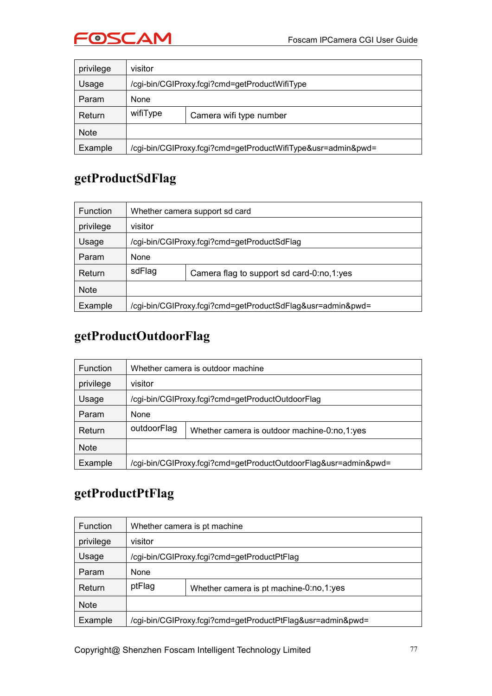



| privilege   | visitor                                       |                                                              |  |
|-------------|-----------------------------------------------|--------------------------------------------------------------|--|
| Usage       | /cgi-bin/CGIProxy.fcgi?cmd=getProductWifiType |                                                              |  |
| Param       | None                                          |                                                              |  |
| Return      | wifiType                                      | Camera wifi type number                                      |  |
| <b>Note</b> |                                               |                                                              |  |
| Example     |                                               | /cgi-bin/CGIProxy.fcgi?cmd=getProductWifiType&usr=admin&pwd= |  |

#### **getProductSdFlag**

| <b>Function</b> | Whether camera support sd card              |                                                            |  |
|-----------------|---------------------------------------------|------------------------------------------------------------|--|
| privilege       | visitor                                     |                                                            |  |
| Usage           | /cgi-bin/CGIProxy.fcgi?cmd=getProductSdFlag |                                                            |  |
| Param           | None                                        |                                                            |  |
| Return          | sdFlag                                      | Camera flag to support sd card-0:no,1:yes                  |  |
| <b>Note</b>     |                                             |                                                            |  |
| Example         |                                             | /cgi-bin/CGIProxy.fcgi?cmd=getProductSdFlag&usr=admin&pwd= |  |

#### **getProductOutdoorFlag**

| <b>Function</b> | Whether camera is outdoor machine                |                                                                 |  |
|-----------------|--------------------------------------------------|-----------------------------------------------------------------|--|
| privilege       | visitor                                          |                                                                 |  |
| Usage           | /cgi-bin/CGIProxy.fcgi?cmd=getProductOutdoorFlag |                                                                 |  |
| Param           | None                                             |                                                                 |  |
| Return          | outdoorFlag                                      | Whether camera is outdoor machine-0:no,1:yes                    |  |
| <b>Note</b>     |                                                  |                                                                 |  |
| Example         |                                                  | /cgi-bin/CGIProxy.fcgi?cmd=getProductOutdoorFlag&usr=admin&pwd= |  |

## **getProductPtFlag**

| <b>Function</b> |         | Whether camera is pt machine                               |
|-----------------|---------|------------------------------------------------------------|
| privilege       | visitor |                                                            |
| Usage           |         | /cgi-bin/CGIProxy.fcgi?cmd=getProductPtFlag                |
| Param           | None    |                                                            |
| Return          | ptFlag  | Whether camera is pt machine-0:no,1:yes                    |
| <b>Note</b>     |         |                                                            |
| Example         |         | /cgi-bin/CGIProxy.fcgi?cmd=getProductPtFlag&usr=admin&pwd= |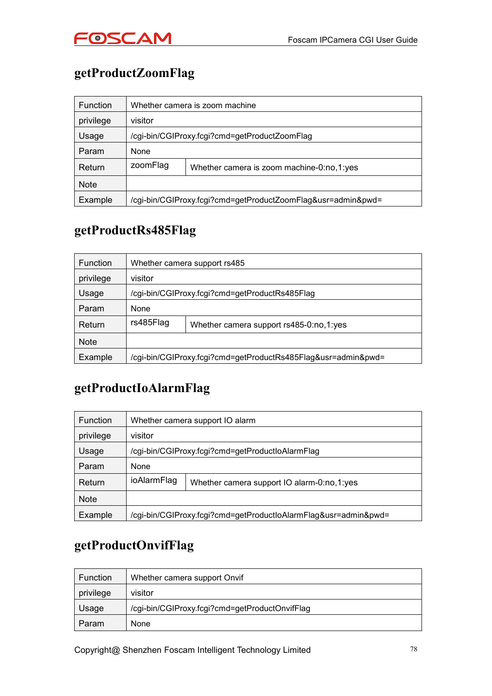

## **getProductZoomFlag**

| <b>Function</b> | Whether camera is zoom machine                |                                                              |  |
|-----------------|-----------------------------------------------|--------------------------------------------------------------|--|
| privilege       | visitor                                       |                                                              |  |
| Usage           | /cgi-bin/CGIProxy.fcgi?cmd=getProductZoomFlag |                                                              |  |
| Param           | None                                          |                                                              |  |
| Return          | zoomFlag                                      | Whether camera is zoom machine-0:no,1:yes                    |  |
| <b>Note</b>     |                                               |                                                              |  |
| Example         |                                               | /cgi-bin/CGIProxy.fcgi?cmd=getProductZoomFlag&usr=admin&pwd= |  |

#### **getProductRs485Flag**

| <b>Function</b> | Whether camera support rs485                   |                                                               |  |
|-----------------|------------------------------------------------|---------------------------------------------------------------|--|
| privilege       | visitor                                        |                                                               |  |
| Usage           | /cgi-bin/CGIProxy.fcgi?cmd=getProductRs485Flag |                                                               |  |
| Param           | None                                           |                                                               |  |
| Return          | rs485Flag                                      | Whether camera support rs485-0:no,1:yes                       |  |
| <b>Note</b>     |                                                |                                                               |  |
| Example         |                                                | /cgi-bin/CGIProxy.fcgi?cmd=getProductRs485Flag&usr=admin&pwd= |  |

#### **getProductIoAlarmFlag**

| Function    | Whether camera support IO alarm                  |                                                                 |  |
|-------------|--------------------------------------------------|-----------------------------------------------------------------|--|
| privilege   | visitor                                          |                                                                 |  |
| Usage       | /cgi-bin/CGIProxy.fcgi?cmd=getProductIoAlarmFlag |                                                                 |  |
| Param       | None                                             |                                                                 |  |
| Return      | ioAlarmFlag                                      | Whether camera support IO alarm-0:no,1:yes                      |  |
| <b>Note</b> |                                                  |                                                                 |  |
| Example     |                                                  | /cgi-bin/CGIProxy.fcgi?cmd=getProductIoAlarmFlag&usr=admin&pwd= |  |

#### **getProductOnvifFlag**

| <b>Function</b> | Whether camera support Onvif                   |
|-----------------|------------------------------------------------|
| privilege       | visitor                                        |
| Usage           | /cgi-bin/CGIProxy.fcgi?cmd=getProductOnvifFlag |
| Param           | <b>None</b>                                    |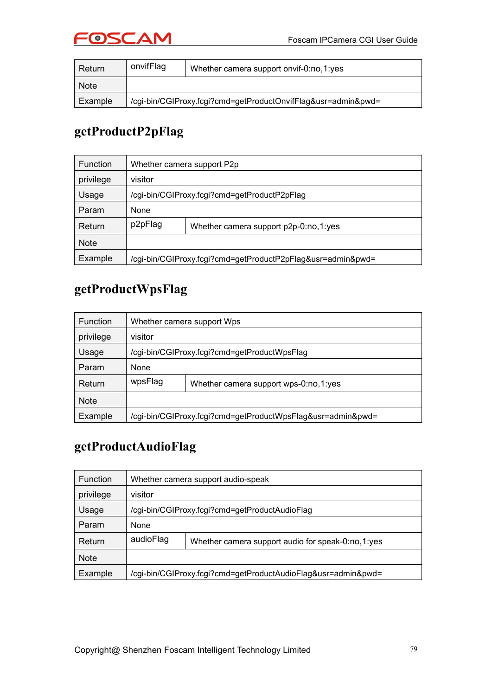

| Return      | onvifFlag                                                     | Whether camera support onvif-0:no,1:yes |
|-------------|---------------------------------------------------------------|-----------------------------------------|
| <b>Note</b> |                                                               |                                         |
| Example     | /cgi-bin/CGIProxy.fcgi?cmd=getProductOnvifFlag&usr=admin&pwd= |                                         |

#### **getProductP2pFlag**

| <b>Function</b> | Whether camera support P2p                                  |                                       |  |
|-----------------|-------------------------------------------------------------|---------------------------------------|--|
| privilege       | visitor                                                     |                                       |  |
| Usage           | /cgi-bin/CGIProxy.fcgi?cmd=getProductP2pFlag                |                                       |  |
| Param           | None                                                        |                                       |  |
| Return          | p2pFlag                                                     | Whether camera support p2p-0:no,1:yes |  |
| <b>Note</b>     |                                                             |                                       |  |
| Example         | /cgi-bin/CGIProxy.fcgi?cmd=getProductP2pFlag&usr=admin&pwd= |                                       |  |

#### **getProductWpsFlag**

| <b>Function</b> |         | Whether camera support Wps                                  |  |
|-----------------|---------|-------------------------------------------------------------|--|
| privilege       | visitor |                                                             |  |
| Usage           |         | /cgi-bin/CGIProxy.fcgi?cmd=getProductWpsFlag                |  |
| Param           | None    |                                                             |  |
| Return          | wpsFlag | Whether camera support wps-0:no,1:yes                       |  |
| <b>Note</b>     |         |                                                             |  |
| Example         |         | /cgi-bin/CGIProxy.fcgi?cmd=getProductWpsFlag&usr=admin&pwd= |  |

#### **getProductAudioFlag**

| <b>Function</b> | Whether camera support audio-speak |                                                               |
|-----------------|------------------------------------|---------------------------------------------------------------|
| privilege       | visitor                            |                                                               |
| Usage           |                                    | /cgi-bin/CGIProxy.fcgi?cmd=getProductAudioFlag                |
| Param           | None                               |                                                               |
| Return          | audioFlag                          | Whether camera support audio for speak-0:no,1:yes             |
| <b>Note</b>     |                                    |                                                               |
| Example         |                                    | /cgi-bin/CGIProxy.fcgi?cmd=getProductAudioFlag&usr=admin&pwd= |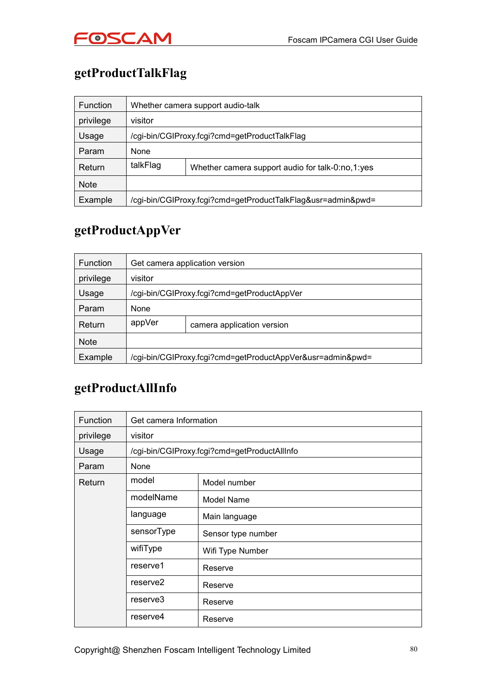

## **getProductTalkFlag**

| <b>Function</b> |          | Whether camera support audio-talk                            |
|-----------------|----------|--------------------------------------------------------------|
| privilege       | visitor  |                                                              |
| Usage           |          | /cgi-bin/CGIProxy.fcgi?cmd=getProductTalkFlag                |
| Param           | None     |                                                              |
| Return          | talkFlag | Whether camera support audio for talk-0:no,1:yes             |
| <b>Note</b>     |          |                                                              |
| Example         |          | /cgi-bin/CGIProxy.fcgi?cmd=getProductTalkFlag&usr=admin&pwd= |

#### **getProductAppVer**

| <b>Function</b> | Get camera application version |                                                            |  |
|-----------------|--------------------------------|------------------------------------------------------------|--|
| privilege       | visitor                        |                                                            |  |
| Usage           |                                | /cgi-bin/CGIProxy.fcgi?cmd=getProductAppVer                |  |
| Param           | None                           |                                                            |  |
| Return          | appVer                         | camera application version                                 |  |
| <b>Note</b>     |                                |                                                            |  |
| Example         |                                | /cgi-bin/CGIProxy.fcgi?cmd=getProductAppVer&usr=admin&pwd= |  |

#### **getProductAllInfo**

| <b>Function</b> | Get camera Information |                                              |
|-----------------|------------------------|----------------------------------------------|
| privilege       | visitor                |                                              |
| Usage           |                        | /cgi-bin/CGIProxy.fcgi?cmd=getProductAllInfo |
| Param           | None                   |                                              |
| Return          | model                  | Model number                                 |
|                 | modelName              | Model Name                                   |
|                 | language               | Main language                                |
|                 | sensorType             | Sensor type number                           |
|                 | wifiType               | Wifi Type Number                             |
|                 | reserve1               | Reserve                                      |
|                 | reserve <sub>2</sub>   | Reserve                                      |
|                 | reserve3               | Reserve                                      |
|                 | reserve4               | Reserve                                      |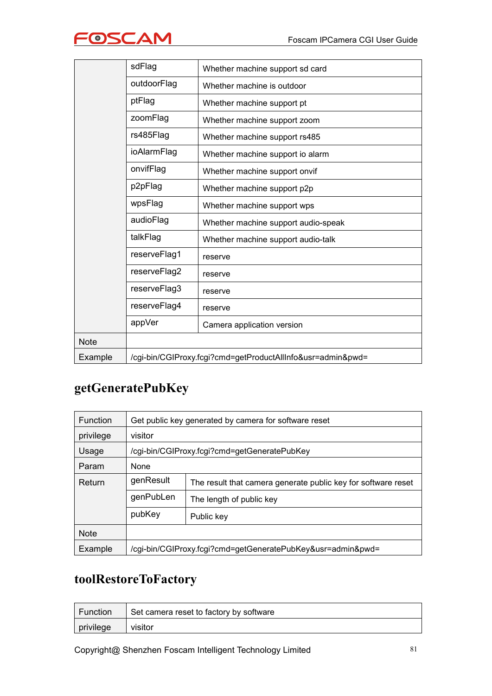|--|

|             | sdFlag       | Whether machine support sd card                             |
|-------------|--------------|-------------------------------------------------------------|
|             | outdoorFlag  | Whether machine is outdoor                                  |
|             | ptFlag       | Whether machine support pt                                  |
|             | zoomFlag     | Whether machine support zoom                                |
|             | rs485Flag    | Whether machine support rs485                               |
|             | ioAlarmFlag  | Whether machine support io alarm                            |
|             | onvifFlag    | Whether machine support onvif                               |
|             | p2pFlag      | Whether machine support p2p                                 |
|             | wpsFlag      | Whether machine support wps                                 |
|             | audioFlag    | Whether machine support audio-speak                         |
|             | talkFlag     | Whether machine support audio-talk                          |
|             | reserveFlag1 | reserve                                                     |
|             | reserveFlag2 | reserve                                                     |
|             | reserveFlag3 | reserve                                                     |
|             | reserveFlag4 | reserve                                                     |
|             | appVer       | Camera application version                                  |
| <b>Note</b> |              |                                                             |
| Example     |              | /cgi-bin/CGIProxy.fcgi?cmd=getProductAllInfo&usr=admin&pwd= |

## **getGeneratePubKey**

| <b>Function</b> | Get public key generated by camera for software reset                      |                                              |
|-----------------|----------------------------------------------------------------------------|----------------------------------------------|
| privilege       | visitor                                                                    |                                              |
| Usage           |                                                                            | /cgi-bin/CGIProxy.fcgi?cmd=getGeneratePubKey |
| Param           | None                                                                       |                                              |
| Return          | genResult<br>The result that camera generate public key for software reset |                                              |
|                 | genPubLen                                                                  | The length of public key                     |
|                 | pubKey                                                                     | Public key                                   |
| <b>Note</b>     |                                                                            |                                              |
| Example         | /cgi-bin/CGIProxy.fcgi?cmd=getGeneratePubKey&usr=admin&pwd=                |                                              |

#### **toolRestoreToFactory**

| Function  | <sup>1</sup> Set camera reset to factory by software |
|-----------|------------------------------------------------------|
| privilege | visitor                                              |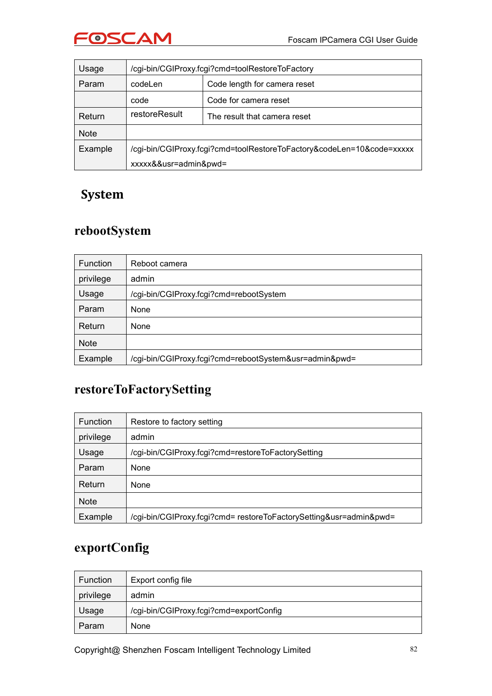

| Usage       | /cgi-bin/CGIProxy.fcgi?cmd=toolRestoreToFactory                       |                              |
|-------------|-----------------------------------------------------------------------|------------------------------|
| Param       | Code length for camera reset<br>codeLen                               |                              |
|             | code                                                                  | Code for camera reset        |
| Return      | restoreResult                                                         | The result that camera reset |
| <b>Note</b> |                                                                       |                              |
| Example     | /cgi-bin/CGIProxy.fcgi?cmd=toolRestoreToFactory&codeLen=10&code=xxxxx |                              |
|             | xxxxx&&usr=admin&pwd=                                                 |                              |

#### **System**

#### **rebootSystem**

| <b>Function</b> | Reboot camera                                          |  |
|-----------------|--------------------------------------------------------|--|
| privilege       | admin                                                  |  |
| Usage           | /cgi-bin/CGIProxy.fcgi?cmd=rebootSystem                |  |
| Param           | None                                                   |  |
| Return          | None                                                   |  |
| <b>Note</b>     |                                                        |  |
| Example         | /cgi-bin/CGIProxy.fcgi?cmd=rebootSystem&usr=admin&pwd= |  |

#### **restoreToFactorySetting**

| <b>Function</b> | Restore to factory setting                                         |  |
|-----------------|--------------------------------------------------------------------|--|
| privilege       | admin                                                              |  |
| Usage           | /cgi-bin/CGIProxy.fcgi?cmd=restoreToFactorySetting                 |  |
| Param           | None                                                               |  |
| Return          | None                                                               |  |
| <b>Note</b>     |                                                                    |  |
| Example         | /cgi-bin/CGIProxy.fcgi?cmd= restoreToFactorySetting&usr=admin&pwd= |  |

## **exportConfig**

| Function  | Export config file                      |
|-----------|-----------------------------------------|
| privilege | admin                                   |
| Usage     | /cgi-bin/CGIProxy.fcgi?cmd=exportConfig |
| Param     | <b>None</b>                             |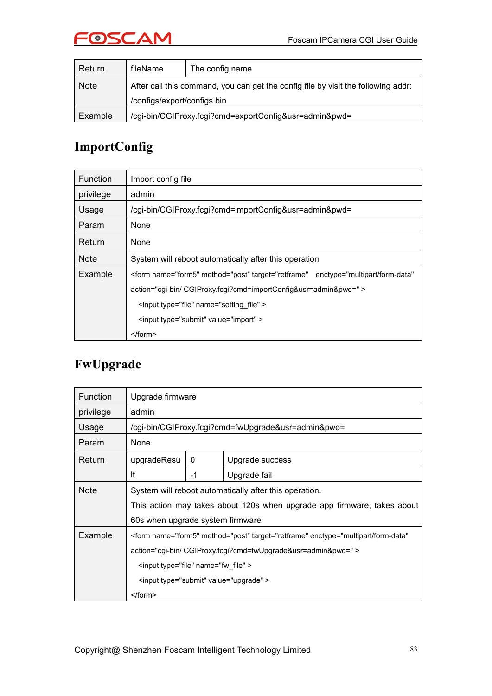

| Return      | fileName                                                                          | The config name |
|-------------|-----------------------------------------------------------------------------------|-----------------|
| <b>Note</b> | After call this command, you can get the config file by visit the following addr: |                 |
|             | /configs/export/configs.bin                                                       |                 |
| Example     | /cgi-bin/CGIProxy.fcgi?cmd=exportConfig&usr=admin&pwd=                            |                 |

## **ImportConfig**

| <b>Function</b> | Import config file                                                                                  |
|-----------------|-----------------------------------------------------------------------------------------------------|
| privilege       | admin                                                                                               |
| Usage           | /cgi-bin/CGIProxy.fcgi?cmd=importConfig&usr=admin&pwd=                                              |
| Param           | None                                                                                                |
| Return          | None                                                                                                |
| <b>Note</b>     | System will reboot automatically after this operation                                               |
| Example         | <form <="" enctype="multipart/form-data" method="post" name="form5" target="retframe" td=""></form> |
|                 | action="cqi-bin/ CGIProxy.fcqi?cmd=importConfig&usr=admin&pwd=" >                                   |
|                 | <input name="setting file" type="file"/>                                                            |
|                 | <input type="submit" value="import"/>                                                               |
|                 |                                                                                                     |

#### **FwUpgrade**

| Function  | Upgrade firmware                                                                                    |      |                                                                         |
|-----------|-----------------------------------------------------------------------------------------------------|------|-------------------------------------------------------------------------|
| privilege | admin                                                                                               |      |                                                                         |
| Usage     | /cgi-bin/CGIProxy.fcgi?cmd=fwUpgrade&usr=admin&pwd=                                                 |      |                                                                         |
| Param     | None                                                                                                |      |                                                                         |
| Return    | upgradeResu                                                                                         | 0    | Upgrade success                                                         |
|           | It                                                                                                  | $-1$ | Upgrade fail                                                            |
| Note      |                                                                                                     |      | System will reboot automatically after this operation.                  |
|           |                                                                                                     |      | This action may takes about 120s when upgrade app firmware, takes about |
|           | 60s when upgrade system firmware                                                                    |      |                                                                         |
| Example   | <form <="" enctype="multipart/form-data" method="post" name="form5" target="retframe" td=""></form> |      |                                                                         |
|           | action="cgi-bin/ CGIProxy.fcgi?cmd=fwUpgrade&usr=admin&pwd=" >                                      |      |                                                                         |
|           | <input name="fw file" type="file"/>                                                                 |      |                                                                         |
|           | <input type="submit" value="upgrade"/>                                                              |      |                                                                         |
|           | $<$ /form>                                                                                          |      |                                                                         |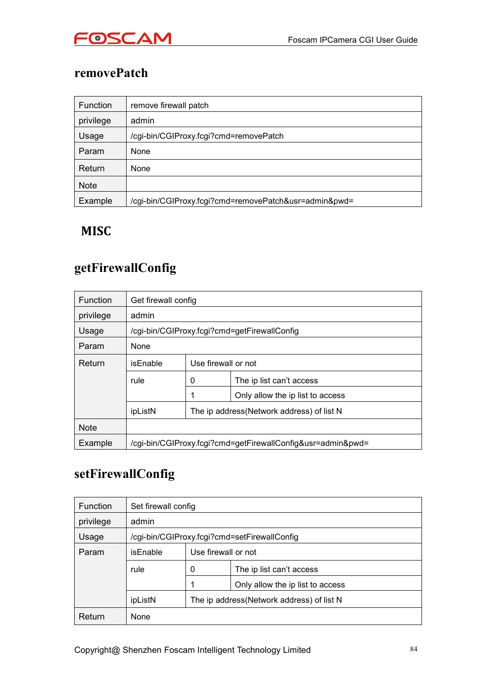

#### **removePatch**

| Function    | remove firewall patch                                 |
|-------------|-------------------------------------------------------|
| privilege   | admin                                                 |
| Usage       | /cgi-bin/CGIProxy.fcgi?cmd=removePatch                |
| Param       | None                                                  |
| Return      | None                                                  |
| <b>Note</b> |                                                       |
| Example     | /cgi-bin/CGIProxy.fcgi?cmd=removePatch&usr=admin&pwd= |

#### **MISC**

#### **getFirewallConfig**

| <b>Function</b> | Get firewall config                                         |                                            |                                              |
|-----------------|-------------------------------------------------------------|--------------------------------------------|----------------------------------------------|
| privilege       | admin                                                       |                                            |                                              |
| Usage           |                                                             |                                            | /cgi-bin/CGIProxy.fcgi?cmd=getFirewallConfig |
| Param           | None                                                        |                                            |                                              |
| Return          | isEnable                                                    | Use firewall or not                        |                                              |
|                 | rule                                                        | 0<br>The ip list can't access              |                                              |
|                 |                                                             |                                            | Only allow the ip list to access             |
|                 | ipListN                                                     | The ip address (Network address) of list N |                                              |
| <b>Note</b>     |                                                             |                                            |                                              |
| Example         | /cgi-bin/CGIProxy.fcgi?cmd=getFirewallConfig&usr=admin&pwd= |                                            |                                              |

#### **setFirewallConfig**

| <b>Function</b> | Set firewall config |                     |                                              |
|-----------------|---------------------|---------------------|----------------------------------------------|
| privilege       | admin               |                     |                                              |
| Usage           |                     |                     | /cgi-bin/CGIProxy.fcgi?cmd=setFirewallConfig |
| Param           | isEnable            | Use firewall or not |                                              |
|                 | rule                | 0                   | The ip list can't access                     |
|                 |                     |                     | Only allow the ip list to access             |
|                 | ipListN             |                     | The ip address (Network address) of list N   |
| Return          | None                |                     |                                              |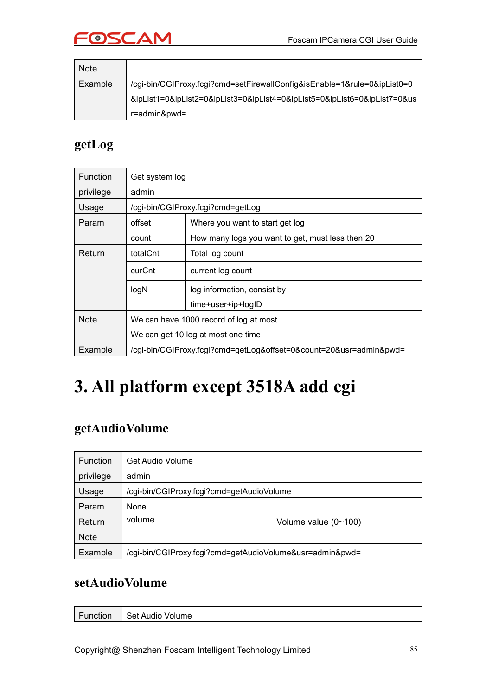

| <b>Note</b> |                                                                           |
|-------------|---------------------------------------------------------------------------|
| Example     | /cgi-bin/CGIProxy.fcgi?cmd=setFirewallConfig&isEnable=1&rule=0&ipList0=0  |
|             | &ipList1=0&ipList2=0&ipList3=0&ipList4=0&ipList5=0&ipList6=0&ipList7=0&us |
|             | r=admin&pwd=                                                              |

#### **getLog**

| <b>Function</b> | Get system log                                                     |                                                  |  |
|-----------------|--------------------------------------------------------------------|--------------------------------------------------|--|
| privilege       | admin                                                              |                                                  |  |
| Usage           |                                                                    | /cgi-bin/CGIProxy.fcgi?cmd=getLog                |  |
| Param           | offset<br>Where you want to start get log                          |                                                  |  |
|                 | count                                                              | How many logs you want to get, must less then 20 |  |
| Return          | totalCnt<br>Total log count                                        |                                                  |  |
|                 | curCnt<br>current log count                                        |                                                  |  |
|                 | logN<br>log information, consist by                                |                                                  |  |
|                 |                                                                    | time+user+ip+logID                               |  |
| <b>Note</b>     | We can have 1000 record of log at most.                            |                                                  |  |
|                 | We can get 10 log at most one time                                 |                                                  |  |
| Example         | /cgi-bin/CGIProxy.fcgi?cmd=getLog&offset=0&count=20&usr=admin&pwd= |                                                  |  |

## **3. All platform except 3518A add cgi**

#### **getAudioVolume**

| <b>Function</b> | Get Audio Volume                                         |                             |
|-----------------|----------------------------------------------------------|-----------------------------|
| privilege       | admin                                                    |                             |
| Usage           | /cgi-bin/CGIProxy.fcgi?cmd=getAudioVolume                |                             |
| Param           | None                                                     |                             |
| Return          | volume                                                   | Volume value $(0 \sim 100)$ |
| <b>Note</b>     |                                                          |                             |
| Example         | /cgi-bin/CGIProxy.fcgi?cmd=getAudioVolume&usr=admin&pwd= |                             |

#### **setAudioVolume**

| Function | Set Audio Volume |
|----------|------------------|
|          |                  |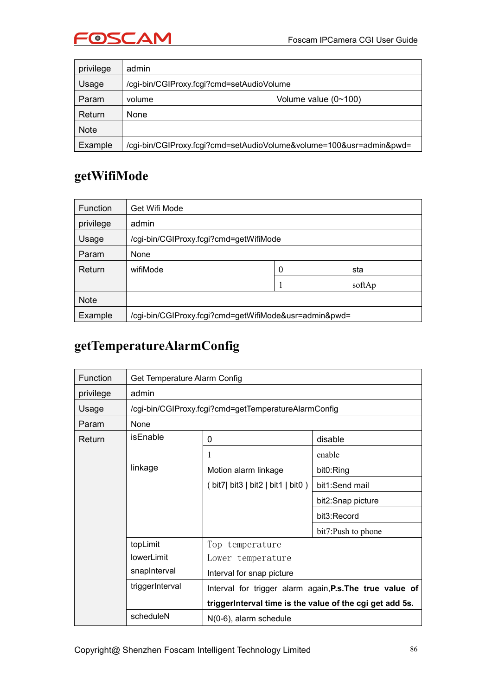

| privilege   | admin                                                               |                             |  |
|-------------|---------------------------------------------------------------------|-----------------------------|--|
| Usage       | /cgi-bin/CGIProxy.fcgi?cmd=setAudioVolume                           |                             |  |
| Param       | volume                                                              | Volume value $(0 \sim 100)$ |  |
| Return      | <b>None</b>                                                         |                             |  |
| <b>Note</b> |                                                                     |                             |  |
| Example     | /cgi-bin/CGIProxy.fcgi?cmd=setAudioVolume&volume=100&usr=admin&pwd= |                             |  |

#### **getWifiMode**

| <b>Function</b> | Get Wifi Mode                                         |   |        |
|-----------------|-------------------------------------------------------|---|--------|
| privilege       | admin                                                 |   |        |
| Usage           | /cgi-bin/CGIProxy.fcgi?cmd=getWifiMode                |   |        |
| Param           | None                                                  |   |        |
| Return          | wifiMode                                              | 0 | sta    |
|                 |                                                       |   | softAp |
| <b>Note</b>     |                                                       |   |        |
| Example         | /cgi-bin/CGIProxy.fcgi?cmd=getWifiMode&usr=admin&pwd= |   |        |

#### **getTemperatureAlarmConfig**

| Function                    | Get Temperature Alarm Config |                                                          |                    |
|-----------------------------|------------------------------|----------------------------------------------------------|--------------------|
| privilege                   | admin                        |                                                          |                    |
| Usage                       |                              | /cgi-bin/CGIProxy.fcgi?cmd=getTemperatureAlarmConfig     |                    |
| Param                       | None                         |                                                          |                    |
| Return                      | <b>isEnable</b>              | 0                                                        | disable            |
|                             |                              |                                                          | enable             |
|                             | linkage                      | Motion alarm linkage                                     | bit0:Ring          |
|                             |                              | (bit7) bit3   bit2   bit1   bit0)                        | bit1:Send mail     |
|                             |                              |                                                          | bit2:Snap picture  |
|                             |                              |                                                          | bit3:Record        |
|                             |                              |                                                          | bit7:Push to phone |
| topLimit<br>Top temperature |                              |                                                          |                    |
|                             | lowerLimit                   | Lower temperature                                        |                    |
|                             | snapInterval                 | Interval for snap picture                                |                    |
|                             | triggerInterval              | Interval for trigger alarm again, P.s. The true value of |                    |
|                             |                              | triggerInterval time is the value of the cgi get add 5s. |                    |
|                             | scheduleN                    | $N(0-6)$ , alarm schedule                                |                    |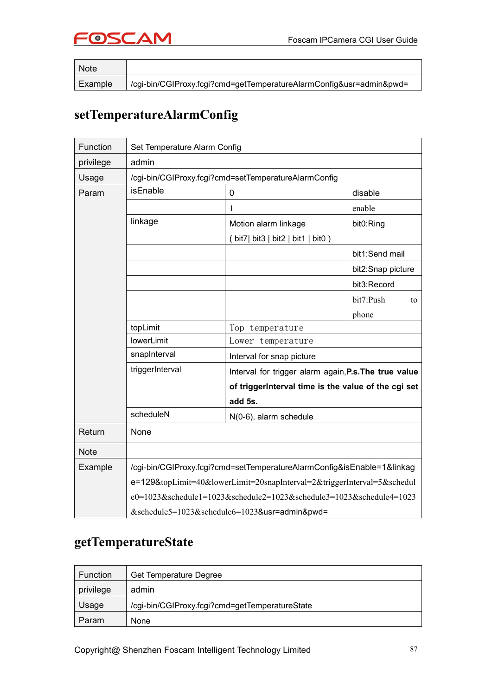

| <b>Note</b> |                                                                     |
|-------------|---------------------------------------------------------------------|
| Example     | /cgi-bin/CGIProxy.fcgi?cmd=getTemperatureAlarmConfig&usr=admin&pwd= |

#### **setTemperatureAlarmConfig**

| Function    | Set Temperature Alarm Config                  |                                                                         |                   |  |
|-------------|-----------------------------------------------|-------------------------------------------------------------------------|-------------------|--|
| privilege   | admin                                         |                                                                         |                   |  |
| Usage       |                                               | /cgi-bin/CGIProxy.fcgi?cmd=setTemperatureAlarmConfig                    |                   |  |
| Param       | isEnable                                      | $\mathbf 0$                                                             | disable           |  |
|             |                                               |                                                                         | enable            |  |
|             | linkage                                       | Motion alarm linkage                                                    | bit0:Ring         |  |
|             |                                               | (bit7) bit3   bit2   bit1   bit0)                                       |                   |  |
|             |                                               |                                                                         | bit1:Send mail    |  |
|             |                                               |                                                                         | bit2:Snap picture |  |
|             |                                               |                                                                         | bit3:Record       |  |
|             |                                               |                                                                         | bit7:Push<br>to   |  |
|             |                                               |                                                                         | phone             |  |
|             | topLimit                                      | Top temperature                                                         |                   |  |
|             | <b>lowerLimit</b>                             | Lower temperature                                                       |                   |  |
|             | snapInterval                                  | Interval for snap picture                                               |                   |  |
|             | triggerInterval                               | Interval for trigger alarm again, P.s. The true value                   |                   |  |
|             |                                               | of triggerInterval time is the value of the cgi set                     |                   |  |
|             |                                               | add 5s.                                                                 |                   |  |
|             | scheduleN                                     | N(0-6), alarm schedule                                                  |                   |  |
| Return      | None                                          |                                                                         |                   |  |
| <b>Note</b> |                                               |                                                                         |                   |  |
| Example     |                                               | /cgi-bin/CGIProxy.fcgi?cmd=setTemperatureAlarmConfig&isEnable=1&linkag  |                   |  |
|             |                                               | e=129&topLimit=40&lowerLimit=20snapInterval=2&triggerInterval=5&schedul |                   |  |
|             |                                               | e0=1023&schedule1=1023&schedule2=1023&schedule3=1023&schedule4=1023     |                   |  |
|             | &schedule5=1023&schedule6=1023&usr=admin&pwd= |                                                                         |                   |  |

#### **getTemperatureState**

| Function  | Get Temperature Degree                         |
|-----------|------------------------------------------------|
| privilege | admin                                          |
| Usage     | /cgi-bin/CGIProxy.fcgi?cmd=getTemperatureState |
| Param     | None                                           |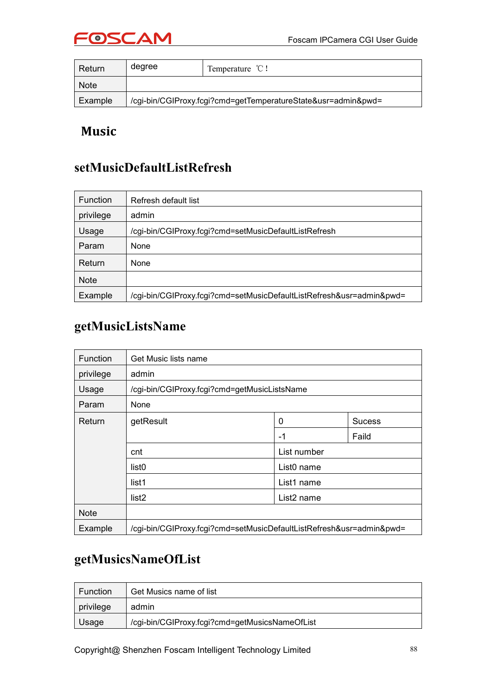

| Return      | degree                                                        | Temperature $\mathcal{C}!$ |
|-------------|---------------------------------------------------------------|----------------------------|
| <b>Note</b> |                                                               |                            |
| Example     | /cgi-bin/CGIProxy.fcgi?cmd=getTemperatureState&usr=admin&pwd= |                            |

#### **Music**

#### **setMusicDefaultListRefresh**

| <b>Function</b> | Refresh default list                                                 |  |
|-----------------|----------------------------------------------------------------------|--|
| privilege       | admin                                                                |  |
| Usage           | /cgi-bin/CGIProxy.fcgi?cmd=setMusicDefaultListRefresh                |  |
| Param           | None                                                                 |  |
| Return          | None                                                                 |  |
| <b>Note</b>     |                                                                      |  |
| Example         | /cgi-bin/CGIProxy.fcgi?cmd=setMusicDefaultListRefresh&usr=admin&pwd= |  |

#### **getMusicListsName**

| Function    | Get Music lists name                                                 |                        |       |  |
|-------------|----------------------------------------------------------------------|------------------------|-------|--|
| privilege   | admin                                                                |                        |       |  |
| Usage       | /cgi-bin/CGIProxy.fcgi?cmd=getMusicListsName                         |                        |       |  |
| Param       | None                                                                 |                        |       |  |
| Return      | getResult                                                            | 0<br><b>Sucess</b>     |       |  |
|             |                                                                      | -1                     | Faild |  |
|             | List number<br>cnt                                                   |                        |       |  |
|             | list <sub>0</sub>                                                    | List <sub>0</sub> name |       |  |
|             | list1                                                                | List1 name             |       |  |
|             | list <sub>2</sub>                                                    | List2 name             |       |  |
| <b>Note</b> |                                                                      |                        |       |  |
| Example     | /cgi-bin/CGIProxy.fcgi?cmd=setMusicDefaultListRefresh&usr=admin&pwd= |                        |       |  |

#### **getMusicsNameOfList**

| Function  | Get Musics name of list                        |
|-----------|------------------------------------------------|
| privilege | admin                                          |
| Usage     | /cgi-bin/CGIProxy.fcgi?cmd=getMusicsNameOfList |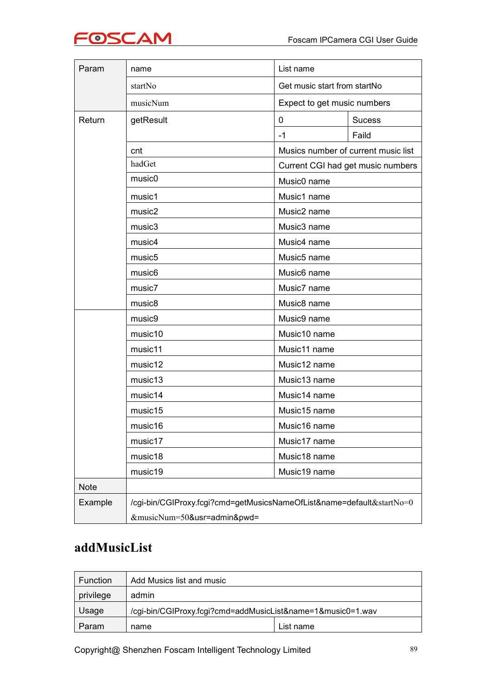

| Param       | name                                                                  | List name                           |                                   |  |
|-------------|-----------------------------------------------------------------------|-------------------------------------|-----------------------------------|--|
|             | startNo                                                               | Get music start from startNo        |                                   |  |
|             | musicNum                                                              | Expect to get music numbers         |                                   |  |
| Return      | getResult                                                             | $\mathbf 0$                         | <b>Sucess</b>                     |  |
|             |                                                                       | $-1$                                | Faild                             |  |
|             | cnt                                                                   | Musics number of current music list |                                   |  |
|             | hadGet                                                                |                                     | Current CGI had get music numbers |  |
|             | music <sub>0</sub>                                                    | Music0 name                         |                                   |  |
|             | music1                                                                | Music1 name                         |                                   |  |
|             | music2                                                                | Music2 name                         |                                   |  |
|             | music3                                                                | Music3 name                         |                                   |  |
|             | music4                                                                | Music4 name                         |                                   |  |
|             | music <sub>5</sub>                                                    | Music5 name                         |                                   |  |
|             | music <sub>6</sub>                                                    | Music6 name                         |                                   |  |
|             | music7                                                                | Music7 name                         |                                   |  |
|             | music <sub>8</sub>                                                    | Music8 name                         |                                   |  |
|             | music9                                                                | Music9 name                         |                                   |  |
|             | music10                                                               | Music10 name                        |                                   |  |
|             | music11                                                               | Music11 name                        |                                   |  |
|             | music12                                                               | Music12 name                        |                                   |  |
|             | music13                                                               | Music13 name                        |                                   |  |
|             | music14                                                               | Music14 name                        |                                   |  |
|             | music15                                                               | Music15 name                        |                                   |  |
|             | music16                                                               | Music16 name                        |                                   |  |
|             | music17                                                               | Music17 name                        |                                   |  |
|             | music18                                                               | Music18 name                        |                                   |  |
|             | music19                                                               | Music19 name                        |                                   |  |
| <b>Note</b> |                                                                       |                                     |                                   |  |
| Example     | /cgi-bin/CGIProxy.fcgi?cmd=getMusicsNameOfList&name=default&startNo=0 |                                     |                                   |  |
|             | &musicNum=50&usr=admin&pwd=                                           |                                     |                                   |  |

#### **addMusicList**

| <b>Function</b> | Add Musics list and music                                   |           |  |
|-----------------|-------------------------------------------------------------|-----------|--|
| privilege       | admin                                                       |           |  |
| Usage           | /cgi-bin/CGIProxy.fcgi?cmd=addMusicList&name=1&music0=1.wav |           |  |
| Param           | name                                                        | List name |  |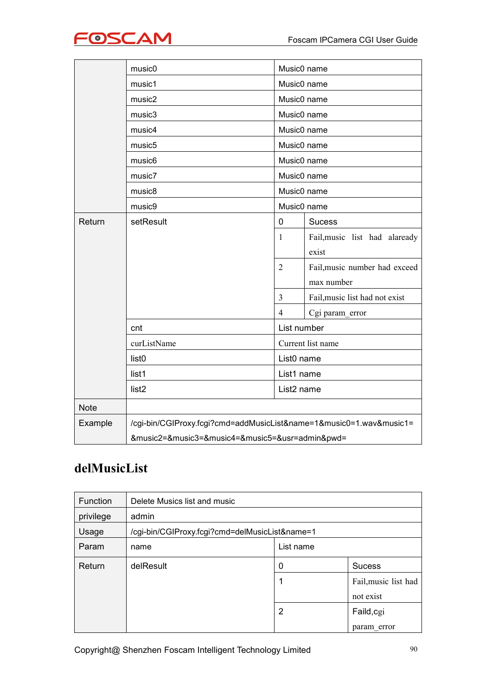

|             | music0                                          | Music0 name                                                                                                          |                                |  |
|-------------|-------------------------------------------------|----------------------------------------------------------------------------------------------------------------------|--------------------------------|--|
|             | music1                                          | Music0 name                                                                                                          |                                |  |
|             | music2                                          | Music0 name<br>Music0 name<br>Music0 name<br>Music0 name<br>Music0 name<br>Music0 name<br>Music0 name<br>Music0 name |                                |  |
|             | music3                                          |                                                                                                                      |                                |  |
|             | music4                                          |                                                                                                                      |                                |  |
|             | music <sub>5</sub>                              |                                                                                                                      |                                |  |
|             | music <sub>6</sub>                              |                                                                                                                      |                                |  |
|             | music7                                          |                                                                                                                      |                                |  |
|             | music8                                          |                                                                                                                      |                                |  |
|             | music9                                          |                                                                                                                      |                                |  |
| Return      | setResult                                       | 0                                                                                                                    | <b>Sucess</b>                  |  |
|             |                                                 | $\mathbf{1}$                                                                                                         | Fail, music list had alaready  |  |
|             |                                                 |                                                                                                                      | exist                          |  |
|             |                                                 | $\overline{2}$                                                                                                       | Fail, music number had exceed  |  |
|             |                                                 |                                                                                                                      | max number                     |  |
|             |                                                 | $\mathfrak{Z}$                                                                                                       | Fail, music list had not exist |  |
|             |                                                 | $\overline{4}$                                                                                                       | Cgi param_error                |  |
|             | cnt                                             | List number                                                                                                          |                                |  |
|             | curListName                                     | Current list name                                                                                                    |                                |  |
|             | list <sub>0</sub>                               | List0 name                                                                                                           |                                |  |
|             | list1                                           | List1 name                                                                                                           |                                |  |
|             | list <sub>2</sub>                               | List <sub>2</sub> name                                                                                               |                                |  |
| <b>Note</b> |                                                 |                                                                                                                      |                                |  |
| Example     |                                                 | /cgi-bin/CGIProxy.fcgi?cmd=addMusicList&name=1&music0=1.wav&music1=                                                  |                                |  |
|             | &music2=&music3=&music4=&music5=&usr=admin&pwd= |                                                                                                                      |                                |  |

## **delMusicList**

| Function  | Delete Musics list and music                   |                |                      |  |
|-----------|------------------------------------------------|----------------|----------------------|--|
| privilege | admin                                          |                |                      |  |
| Usage     | /cgi-bin/CGIProxy.fcgi?cmd=delMusicList&name=1 |                |                      |  |
| Param     | name                                           | List name      |                      |  |
| Return    | delResult                                      | 0              | Sucess               |  |
|           |                                                |                | Fail, music list had |  |
|           |                                                |                | not exist            |  |
|           |                                                | $\overline{2}$ | Faild, cgi           |  |
|           |                                                |                | param error          |  |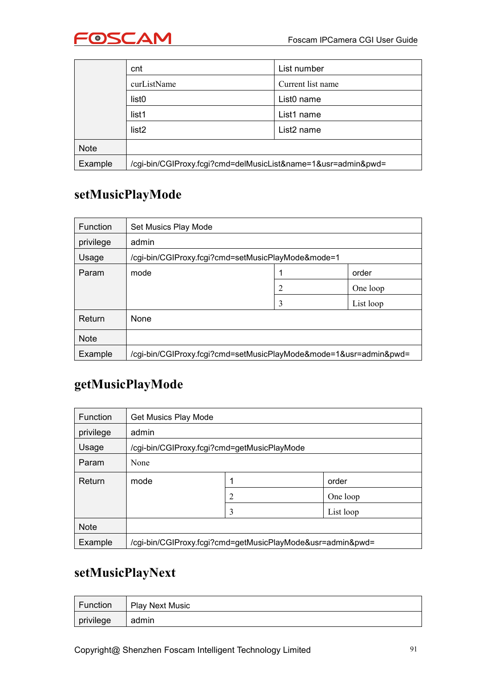

|             | cnt                                                           | List number            |
|-------------|---------------------------------------------------------------|------------------------|
|             | curListName                                                   | Current list name      |
|             | list <sub>0</sub>                                             | List <sub>0</sub> name |
|             | list1                                                         | List1 name             |
|             | list <sub>2</sub>                                             | List <sub>2</sub> name |
| <b>Note</b> |                                                               |                        |
| Example     | /cgi-bin/CGIProxy.fcgi?cmd=delMusicList&name=1&usr=admin&pwd= |                        |

#### **setMusicPlayMode**

| Function    | Set Musics Play Mode                                              |               |  |  |  |  |
|-------------|-------------------------------------------------------------------|---------------|--|--|--|--|
| privilege   | admin                                                             |               |  |  |  |  |
| Usage       | /cgi-bin/CGIProxy.fcgi?cmd=setMusicPlayMode&mode=1                |               |  |  |  |  |
| Param       | mode                                                              | order         |  |  |  |  |
|             |                                                                   | 2<br>One loop |  |  |  |  |
|             | 3<br>List loop                                                    |               |  |  |  |  |
| Return      | None                                                              |               |  |  |  |  |
| <b>Note</b> |                                                                   |               |  |  |  |  |
| Example     | /cgi-bin/CGIProxy.fcgi?cmd=setMusicPlayMode&mode=1&usr=admin&pwd= |               |  |  |  |  |

#### **getMusicPlayMode**

| Function    | Get Musics Play Mode                                       |   |           |
|-------------|------------------------------------------------------------|---|-----------|
| privilege   | admin                                                      |   |           |
| Usage       | /cgi-bin/CGIProxy.fcgi?cmd=getMusicPlayMode                |   |           |
| Param       | None                                                       |   |           |
| Return      | mode                                                       |   | order     |
|             |                                                            | 2 | One loop  |
|             |                                                            | 3 | List loop |
| <b>Note</b> |                                                            |   |           |
| Example     | /cgi-bin/CGIProxy.fcgi?cmd=getMusicPlayMode&usr=admin&pwd= |   |           |

#### **setMusicPlayNext**

| Function  | <b>Play Next Music</b> |
|-----------|------------------------|
| privilege | admin                  |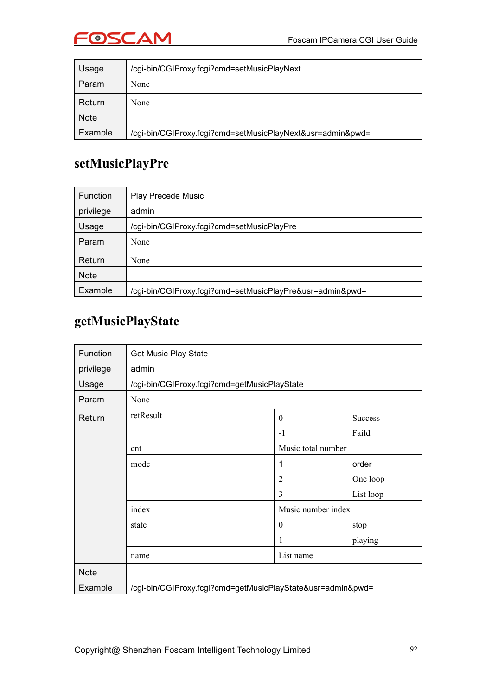

| Usage       | /cgi-bin/CGIProxy.fcgi?cmd=setMusicPlayNext                |
|-------------|------------------------------------------------------------|
| Param       | None                                                       |
| Return      | None                                                       |
| <b>Note</b> |                                                            |
| Example     | /cgi-bin/CGIProxy.fcgi?cmd=setMusicPlayNext&usr=admin&pwd= |

#### **setMusicPlayPre**

| Function    | <b>Play Precede Music</b>                                 |
|-------------|-----------------------------------------------------------|
| privilege   | admin                                                     |
| Usage       | /cgi-bin/CGIProxy.fcgi?cmd=setMusicPlayPre                |
| Param       | None                                                      |
| Return      | None                                                      |
| <b>Note</b> |                                                           |
| Example     | /cgi-bin/CGIProxy.fcgi?cmd=setMusicPlayPre&usr=admin&pwd= |

#### **getMusicPlayState**

| Function    | Get Music Play State                                        |                    |           |  |
|-------------|-------------------------------------------------------------|--------------------|-----------|--|
| privilege   | admin                                                       |                    |           |  |
| Usage       | /cgi-bin/CGIProxy.fcgi?cmd=getMusicPlayState                |                    |           |  |
| Param       | None                                                        |                    |           |  |
| Return      | retResult                                                   | $\boldsymbol{0}$   | Success   |  |
|             |                                                             | $-1$               | Faild     |  |
|             | cnt                                                         | Music total number |           |  |
|             | mode                                                        | 1                  | order     |  |
|             |                                                             | $\overline{2}$     | One loop  |  |
|             |                                                             | 3                  | List loop |  |
|             | index                                                       | Music number index |           |  |
|             | state                                                       | $\boldsymbol{0}$   | stop      |  |
|             |                                                             | 1                  | playing   |  |
|             | name                                                        | List name          |           |  |
| <b>Note</b> |                                                             |                    |           |  |
| Example     | /cgi-bin/CGIProxy.fcgi?cmd=getMusicPlayState&usr=admin&pwd= |                    |           |  |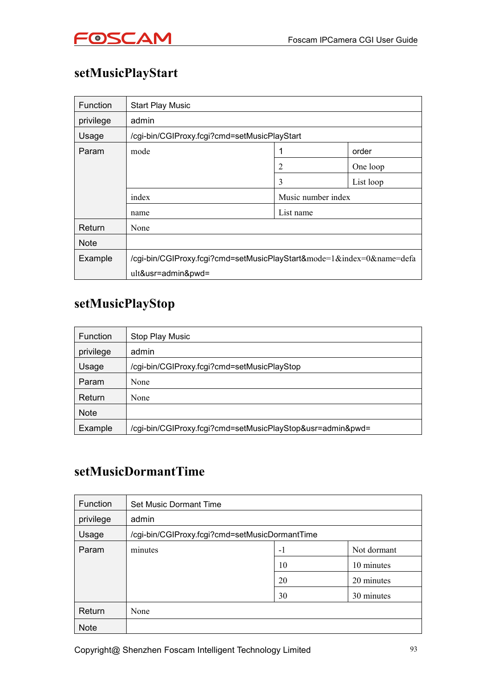## **setMusicPlayStart**

| <b>Function</b> | <b>Start Play Music</b>                                               |                    |  |  |  |
|-----------------|-----------------------------------------------------------------------|--------------------|--|--|--|
| privilege       | admin                                                                 |                    |  |  |  |
| Usage           | /cgi-bin/CGIProxy.fcgi?cmd=setMusicPlayStart                          |                    |  |  |  |
| Param           | mode                                                                  | order              |  |  |  |
|                 |                                                                       | 2<br>One loop      |  |  |  |
|                 |                                                                       | 3<br>List loop     |  |  |  |
|                 | index                                                                 | Music number index |  |  |  |
|                 | name                                                                  | List name          |  |  |  |
| Return          | None                                                                  |                    |  |  |  |
| <b>Note</b>     |                                                                       |                    |  |  |  |
| Example         | /cgi-bin/CGIProxy.fcgi?cmd=setMusicPlayStart&mode=1&index=0&name=defa |                    |  |  |  |
|                 | ult&usr=admin&pwd=                                                    |                    |  |  |  |

#### **setMusicPlayStop**

| Function    | Stop Play Music                                            |
|-------------|------------------------------------------------------------|
| privilege   | admin                                                      |
| Usage       | /cgi-bin/CGIProxy.fcgi?cmd=setMusicPlayStop                |
| Param       | None                                                       |
| Return      | None                                                       |
| <b>Note</b> |                                                            |
| Example     | /cgi-bin/CGIProxy.fcgi?cmd=setMusicPlayStop&usr=admin&pwd= |

#### **setMusicDormantTime**

| Function    | Set Music Dormant Time                         |      |             |
|-------------|------------------------------------------------|------|-------------|
| privilege   | admin                                          |      |             |
| Usage       | /cgi-bin/CGIProxy.fcgi?cmd=setMusicDormantTime |      |             |
| Param       | minutes                                        | $-1$ | Not dormant |
|             |                                                | 10   | 10 minutes  |
|             |                                                | 20   | 20 minutes  |
|             |                                                | 30   | 30 minutes  |
| Return      | None                                           |      |             |
| <b>Note</b> |                                                |      |             |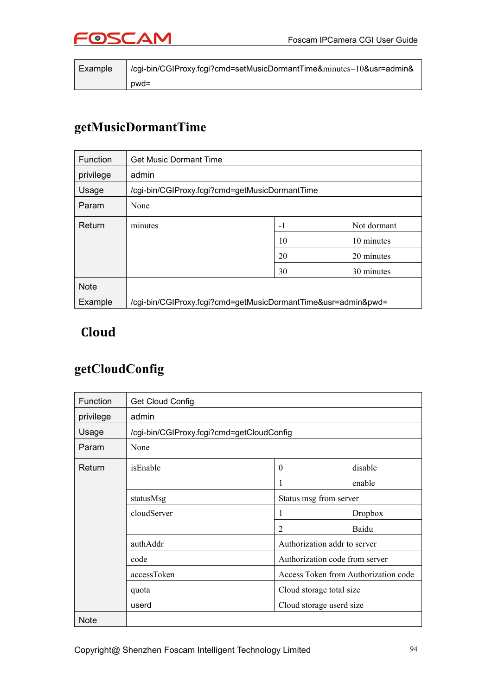

| Example | /cgi-bin/CGIProxy.fcgi?cmd=setMusicDormantTime&minutes=10&usr=admin& |  |
|---------|----------------------------------------------------------------------|--|
|         | $pwd =$                                                              |  |

## **getMusicDormantTime**

| Function    | <b>Get Music Dormant Time</b>                                 |    |            |  |
|-------------|---------------------------------------------------------------|----|------------|--|
| privilege   | admin                                                         |    |            |  |
| Usage       | /cgi-bin/CGIProxy.fcgi?cmd=getMusicDormantTime                |    |            |  |
| Param       | None                                                          |    |            |  |
| Return      | Not dormant<br>-1<br>minutes                                  |    |            |  |
|             |                                                               | 10 | 10 minutes |  |
|             |                                                               | 20 | 20 minutes |  |
|             |                                                               | 30 | 30 minutes |  |
| <b>Note</b> |                                                               |    |            |  |
| Example     | /cgi-bin/CGIProxy.fcgi?cmd=getMusicDormantTime&usr=admin&pwd= |    |            |  |

#### **Cloud**

#### **getCloudConfig**

| Function    | <b>Get Cloud Config</b>                   |                                |                                      |  |  |
|-------------|-------------------------------------------|--------------------------------|--------------------------------------|--|--|
| privilege   | admin                                     |                                |                                      |  |  |
| Usage       | /cgi-bin/CGIProxy.fcgi?cmd=getCloudConfig |                                |                                      |  |  |
| Param       | None                                      |                                |                                      |  |  |
| Return      | disable<br>isEnable<br>$\theta$           |                                |                                      |  |  |
|             |                                           |                                | enable                               |  |  |
|             | statusMsg                                 | Status msg from server         |                                      |  |  |
|             | cloudServer                               | 1                              | Dropbox                              |  |  |
|             |                                           | $\overline{2}$                 | Baidu                                |  |  |
|             | authAddr                                  | Authorization addr to server   |                                      |  |  |
|             | code                                      | Authorization code from server |                                      |  |  |
|             | accessToken                               |                                | Access Token from Authorization code |  |  |
|             | quota                                     | Cloud storage total size       |                                      |  |  |
|             | userd                                     | Cloud storage userd size       |                                      |  |  |
| <b>Note</b> |                                           |                                |                                      |  |  |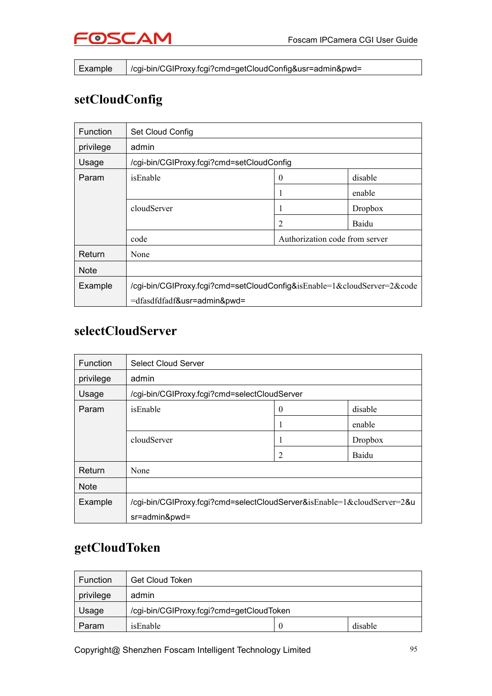

Example /cgi-bin/CGIProxy.fcgi?cmd=getCloudConfig&usr=admin&pwd=

#### **setCloudConfig**

| <b>Function</b> | Set Cloud Config                                                        |                                |         |  |  |
|-----------------|-------------------------------------------------------------------------|--------------------------------|---------|--|--|
| privilege       | admin                                                                   |                                |         |  |  |
| Usage           | /cgi-bin/CGIProxy.fcgi?cmd=setCloudConfig                               |                                |         |  |  |
| Param           | isEnable<br>disable<br>$\theta$                                         |                                |         |  |  |
|                 | enable                                                                  |                                |         |  |  |
|                 | cloudServer                                                             |                                | Dropbox |  |  |
|                 |                                                                         | 2                              | Baidu   |  |  |
|                 | code                                                                    | Authorization code from server |         |  |  |
| Return          | None                                                                    |                                |         |  |  |
| <b>Note</b>     |                                                                         |                                |         |  |  |
| Example         | /cgi-bin/CGIProxy.fcgi?cmd=setCloudConfig&isEnable=1&cloudServer=2&code |                                |         |  |  |
|                 | =dfasdfdfadf&usr=admin&pwd=                                             |                                |         |  |  |

#### **selectCloudServer**

| Function    | <b>Select Cloud Server</b>                                              |   |                |  |
|-------------|-------------------------------------------------------------------------|---|----------------|--|
| privilege   | admin                                                                   |   |                |  |
| Usage       | /cgi-bin/CGIProxy.fcgi?cmd=selectCloudServer                            |   |                |  |
| Param       | isEnable<br>disable<br>0                                                |   |                |  |
|             |                                                                         |   | enable         |  |
|             | cloudServer                                                             |   | <b>Dropbox</b> |  |
|             |                                                                         | 2 | Baidu          |  |
| Return      | None                                                                    |   |                |  |
| <b>Note</b> |                                                                         |   |                |  |
| Example     | /cgi-bin/CGIProxy.fcgi?cmd=selectCloudServer&isEnable=1&cloudServer=2&u |   |                |  |
|             | sr=admin&pwd=                                                           |   |                |  |

#### **getCloudToken**

| <b>Function</b> | <b>Get Cloud Token</b>                   |          |         |
|-----------------|------------------------------------------|----------|---------|
| privilege       | admin                                    |          |         |
| Usage           | /cgi-bin/CGIProxy.fcgi?cmd=getCloudToken |          |         |
| Param           | isEnable                                 | $\theta$ | disable |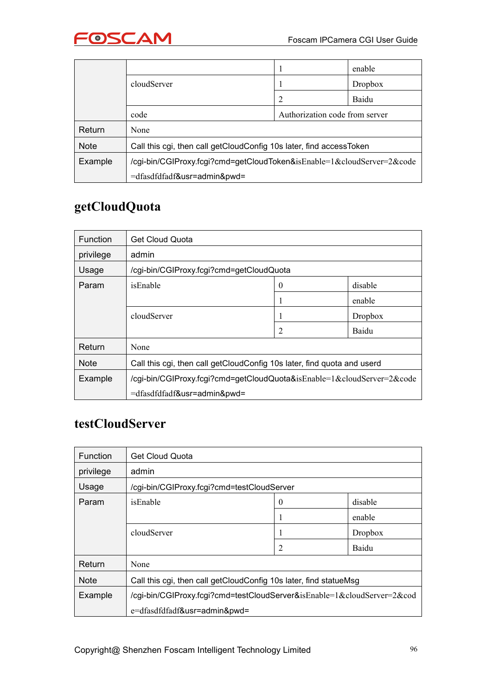

|             |                                                                        |                                | enable  |  |
|-------------|------------------------------------------------------------------------|--------------------------------|---------|--|
|             | cloudServer                                                            |                                | Dropbox |  |
|             |                                                                        | $\overline{2}$                 | Baidu   |  |
|             | code                                                                   | Authorization code from server |         |  |
| Return      | None                                                                   |                                |         |  |
| <b>Note</b> | Call this cgi, then call getCloudConfig 10s later, find accessToken    |                                |         |  |
| Example     | /cgi-bin/CGIProxy.fcgi?cmd=getCloudToken&isEnable=1&cloudServer=2&code |                                |         |  |
|             | =dfasdfdfadf&usr=admin&pwd=                                            |                                |         |  |

## **getCloudQuota**

| Function    | <b>Get Cloud Quota</b>                                                  |   |         |  |  |
|-------------|-------------------------------------------------------------------------|---|---------|--|--|
| privilege   | admin                                                                   |   |         |  |  |
| Usage       | /cgi-bin/CGIProxy.fcgi?cmd=getCloudQuota                                |   |         |  |  |
| Param       | disable<br>isEnable<br>0                                                |   |         |  |  |
|             | enable<br>H                                                             |   |         |  |  |
|             | cloudServer                                                             |   | Dropbox |  |  |
|             |                                                                         | 2 | Baidu   |  |  |
| Return      | None                                                                    |   |         |  |  |
| <b>Note</b> | Call this cgi, then call getCloudConfig 10s later, find quota and userd |   |         |  |  |
| Example     | /cgi-bin/CGIProxy.fcgi?cmd=getCloudQuota&isEnable=1&cloudServer=2&code  |   |         |  |  |
|             | =dfasdfdfadf&usr=admin&pwd=                                             |   |         |  |  |

### **testCloudServer**

| <b>Function</b> | Get Cloud Quota                                                         |                |         |  |
|-----------------|-------------------------------------------------------------------------|----------------|---------|--|
| privilege       | admin                                                                   |                |         |  |
| Usage           | /cgi-bin/CGIProxy.fcgi?cmd=testCloudServer                              |                |         |  |
| Param           | isEnable<br>disable<br>$\theta$                                         |                |         |  |
|                 |                                                                         | -1             | enable  |  |
|                 | cloudServer                                                             |                | Dropbox |  |
|                 |                                                                         | $\overline{2}$ | Baidu   |  |
| Return          | None                                                                    |                |         |  |
| <b>Note</b>     | Call this cgi, then call getCloudConfig 10s later, find statueMsg       |                |         |  |
| Example         | /cgi-bin/CGIProxy.fcgi?cmd=testCloudServer&isEnable=1&cloudServer=2&cod |                |         |  |
|                 | e=dfasdfdfadf&usr=admin&pwd=                                            |                |         |  |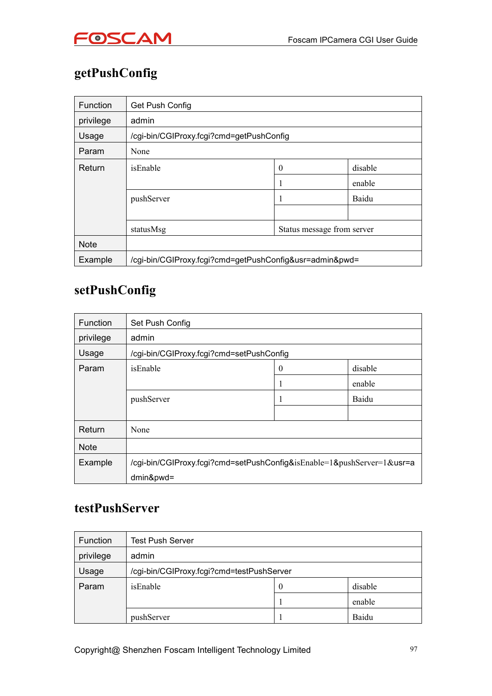

## **getPushConfig**

| <b>Function</b> | Get Push Config                                         |   |        |  |
|-----------------|---------------------------------------------------------|---|--------|--|
| privilege       | admin                                                   |   |        |  |
| Usage           | /cgi-bin/CGIProxy.fcgi?cmd=getPushConfig                |   |        |  |
| Param           | None                                                    |   |        |  |
| Return          | disable<br>isEnable<br>$\boldsymbol{0}$                 |   |        |  |
|                 |                                                         | 1 | enable |  |
|                 | pushServer                                              |   | Baidu  |  |
|                 |                                                         |   |        |  |
|                 | Status message from server<br>statusMsg                 |   |        |  |
| <b>Note</b>     |                                                         |   |        |  |
| Example         | /cgi-bin/CGIProxy.fcgi?cmd=getPushConfig&usr=admin&pwd= |   |        |  |

#### **setPushConfig**

| Function    | Set Push Config                                                        |  |        |  |
|-------------|------------------------------------------------------------------------|--|--------|--|
| privilege   | admin                                                                  |  |        |  |
| Usage       | /cgi-bin/CGIProxy.fcgi?cmd=setPushConfig                               |  |        |  |
| Param       | isEnable<br>disable<br>0                                               |  |        |  |
|             |                                                                        |  | enable |  |
|             | pushServer                                                             |  | Baidu  |  |
|             |                                                                        |  |        |  |
| Return      | None                                                                   |  |        |  |
| <b>Note</b> |                                                                        |  |        |  |
| Example     | /cgi-bin/CGIProxy.fcgi?cmd=setPushConfig&isEnable=1&pushServer=1&usr=a |  |        |  |
|             | $dmin&pwd=$                                                            |  |        |  |

#### **testPushServer**

| Function  | <b>Test Push Server</b>                   |          |         |
|-----------|-------------------------------------------|----------|---------|
| privilege | admin                                     |          |         |
| Usage     | /cgi-bin/CGIProxy.fcgi?cmd=testPushServer |          |         |
| Param     | isEnable                                  | $\theta$ | disable |
|           |                                           |          | enable  |
|           | pushServer                                |          | Baidu   |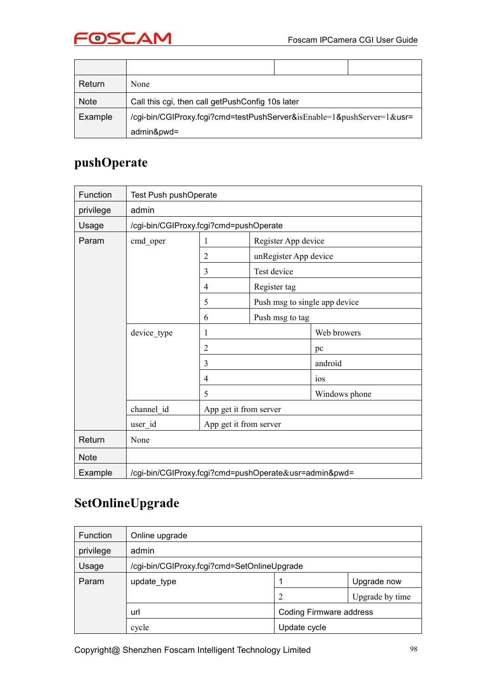



| Return      | None                                                                   |  |  |  |  |
|-------------|------------------------------------------------------------------------|--|--|--|--|
| <b>Note</b> | Call this cgi, then call getPushConfig 10s later                       |  |  |  |  |
| Example     | /cgi-bin/CGIProxy.fcgi?cmd=testPushServer&isEnable=1&pushServer=1&usr= |  |  |  |  |
|             | admin&pwd=                                                             |  |  |  |  |

#### **pushOperate**

| Function    | Test Push pushOperate                  |                |                                                       |                               |
|-------------|----------------------------------------|----------------|-------------------------------------------------------|-------------------------------|
| privilege   | admin                                  |                |                                                       |                               |
| Usage       | /cgi-bin/CGIProxy.fcgi?cmd=pushOperate |                |                                                       |                               |
| Param       | cmd_oper                               | 1              | Register App device                                   |                               |
|             |                                        | $\overline{2}$ | unRegister App device                                 |                               |
|             |                                        | 3              | Test device                                           |                               |
|             |                                        | $\overline{4}$ | Register tag                                          |                               |
|             |                                        | 5              |                                                       | Push msg to single app device |
|             |                                        | 6              | Push msg to tag                                       |                               |
|             | device_type                            | 1              |                                                       | Web browers                   |
|             |                                        | $\overline{2}$ |                                                       | pc                            |
|             |                                        | 3              |                                                       | android                       |
|             |                                        | $\overline{4}$ |                                                       | 10 <sub>S</sub>               |
|             |                                        | 5              |                                                       | Windows phone                 |
|             | channel id                             |                | App get it from server                                |                               |
|             | user_id                                |                | App get it from server                                |                               |
| Return      | None                                   |                |                                                       |                               |
| <b>Note</b> |                                        |                |                                                       |                               |
| Example     |                                        |                | /cgi-bin/CGIProxy.fcgi?cmd=pushOperate&usr=admin&pwd= |                               |

#### **SetOnlineUpgrade**

| Function  | Online upgrade                              |                         |                 |  |
|-----------|---------------------------------------------|-------------------------|-----------------|--|
| privilege | admin                                       |                         |                 |  |
| Usage     | /cgi-bin/CGIProxy.fcgi?cmd=SetOnlineUpgrade |                         |                 |  |
| Param     | update_type                                 |                         | Upgrade now     |  |
|           |                                             | ◠                       | Upgrade by time |  |
|           | url                                         | Coding Firmware address |                 |  |
|           | cycle                                       | Update cycle            |                 |  |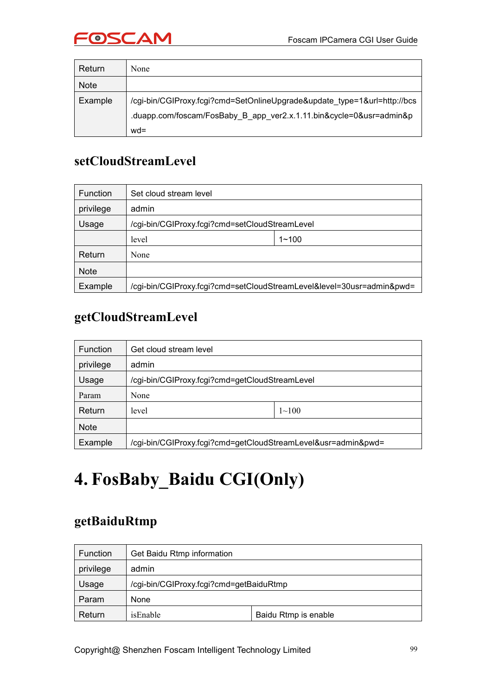

| Return      | None                                                                     |
|-------------|--------------------------------------------------------------------------|
| <b>Note</b> |                                                                          |
| Example     | /cgi-bin/CGIProxy.fcgi?cmd=SetOnlineUpgrade&update type=1&url=http://bcs |
|             | .duapp.com/foscam/FosBaby_B_app_ver2.x.1.11.bin&cycle=0&usr=admin&p      |
|             | $wd =$                                                                   |

#### **setCloudStreamLevel**

| <b>Function</b> | Set cloud stream level                                                |           |  |
|-----------------|-----------------------------------------------------------------------|-----------|--|
| privilege       | admin                                                                 |           |  |
| Usage           | /cgi-bin/CGIProxy.fcgi?cmd=setCloudStreamLevel                        |           |  |
|                 | level                                                                 | $1 - 100$ |  |
| Return          | None                                                                  |           |  |
| <b>Note</b>     |                                                                       |           |  |
| Example         | /cgi-bin/CGIProxy.fcgi?cmd=setCloudStreamLevel&level=30usr=admin&pwd= |           |  |

## **getCloudStreamLevel**

| <b>Function</b> | Get cloud stream level                                        |           |
|-----------------|---------------------------------------------------------------|-----------|
| privilege       | admin                                                         |           |
| Usage           | /cgi-bin/CGIProxy.fcgi?cmd=getCloudStreamLevel                |           |
| Param           | None                                                          |           |
| Return          | level                                                         | $1 - 100$ |
| <b>Note</b>     |                                                               |           |
| Example         | /cgi-bin/CGIProxy.fcgi?cmd=getCloudStreamLevel&usr=admin&pwd= |           |

## **4. FosBaby\_Baidu CGI(Only)**

#### **getBaiduRtmp**

| <b>Function</b> | Get Baidu Rtmp information              |                      |
|-----------------|-----------------------------------------|----------------------|
| privilege       | admin                                   |                      |
| Usage           | /cgi-bin/CGIProxy.fcgi?cmd=getBaiduRtmp |                      |
| Param           | None                                    |                      |
| Return          | isEnable                                | Baidu Rtmp is enable |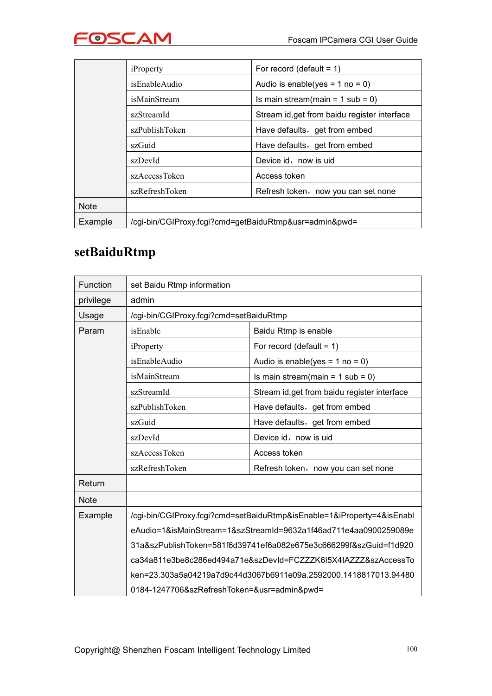

|             | iProperty                                              | For record (default = $1$ )                                                                                   |  |
|-------------|--------------------------------------------------------|---------------------------------------------------------------------------------------------------------------|--|
|             | isEnableAudio                                          | Audio is enable(yes = $1$ no = 0)                                                                             |  |
|             | <i>isMainStream</i>                                    | Is main stream(main = $1$ sub = 0)<br>Stream id, get from baidu register interface                            |  |
|             | szStreamId                                             |                                                                                                               |  |
|             | szPublishToken                                         | Have defaults, get from embed                                                                                 |  |
|             | szGuid                                                 | Have defaults, get from embed<br>Device id, now is uid<br>Access token<br>Refresh token, now you can set none |  |
|             | szDevId                                                |                                                                                                               |  |
|             | szAccessToken                                          |                                                                                                               |  |
|             | szRefreshToken                                         |                                                                                                               |  |
| <b>Note</b> |                                                        |                                                                                                               |  |
| Example     | /cgi-bin/CGIProxy.fcgi?cmd=getBaiduRtmp&usr=admin&pwd= |                                                                                                               |  |

## **setBaiduRtmp**

| Function    | set Baidu Rtmp information                                             |                                                                   |  |
|-------------|------------------------------------------------------------------------|-------------------------------------------------------------------|--|
| privilege   | admin                                                                  |                                                                   |  |
| Usage       | /cgi-bin/CGIProxy.fcgi?cmd=setBaiduRtmp                                |                                                                   |  |
| Param       | isEnable                                                               | Baidu Rtmp is enable                                              |  |
|             | iProperty                                                              | For record (default = $1$ )                                       |  |
|             | isEnableAudio                                                          | Audio is enable(yes = $1$ no = 0)                                 |  |
|             | isMainStream                                                           | Is main stream(main = $1$ sub = 0)                                |  |
|             | szStreamId                                                             | Stream id, get from baidu register interface                      |  |
|             | szPublishToken                                                         | Have defaults, get from embed                                     |  |
|             | szGuid                                                                 | Have defaults, get from embed                                     |  |
|             | szDevId                                                                | Device id, now is uid                                             |  |
|             | szAccessToken                                                          | Access token                                                      |  |
|             | szRefreshToken                                                         | Refresh token, now you can set none                               |  |
| Return      |                                                                        |                                                                   |  |
| <b>Note</b> |                                                                        |                                                                   |  |
| Example     | /cgi-bin/CGIProxy.fcgi?cmd=setBaiduRtmp&isEnable=1&iProperty=4&isEnabl |                                                                   |  |
|             | eAudio=1&isMainStream=1&szStreamId=9632a1f46ad711e4aa0900259089e       |                                                                   |  |
|             |                                                                        | 31a&szPublishToken=581f6d39741ef6a082e675e3c666299f&szGuid=f1d920 |  |
|             |                                                                        | ca34a811e3be8c286ed494a71e&szDevId=FCZZZK6I5X4IAZZZ&szAccessTo    |  |
|             |                                                                        | ken=23.303a5a04219a7d9c44d3067b6911e09a.2592000.1418817013.94480  |  |
|             | 0184-1247706&szRefreshToken=&usr=admin&pwd=                            |                                                                   |  |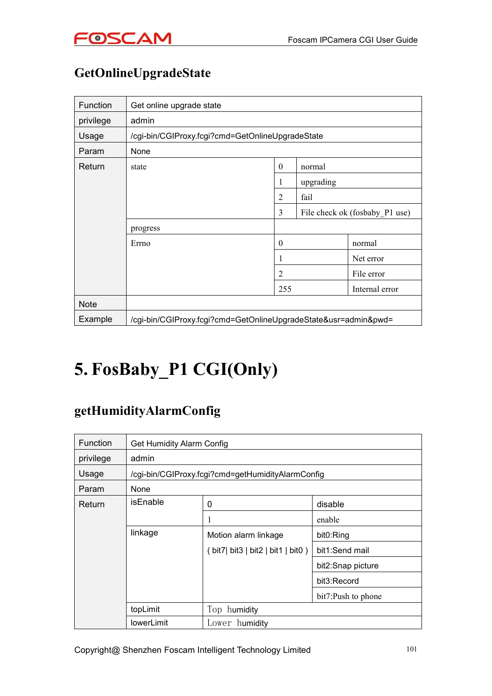

## **GetOnlineUpgradeState**

| Function    | Get online upgrade state                                        |              |           |                                |
|-------------|-----------------------------------------------------------------|--------------|-----------|--------------------------------|
| privilege   | admin                                                           |              |           |                                |
| Usage       | /cgi-bin/CGIProxy.fcgi?cmd=GetOnlineUpgradeState                |              |           |                                |
| Param       | None                                                            |              |           |                                |
| Return      | state                                                           | $\theta$     | normal    |                                |
|             |                                                                 | 1            | upgrading |                                |
|             |                                                                 | 2            | fail      |                                |
|             |                                                                 | 3            |           | File check ok (fosbaby P1 use) |
|             | progress                                                        |              |           |                                |
|             | Errno                                                           | $\mathbf{0}$ |           | normal                         |
|             |                                                                 | 1            |           | Net error                      |
|             |                                                                 | 2            |           | File error                     |
|             |                                                                 | 255          |           | Internal error                 |
| <b>Note</b> |                                                                 |              |           |                                |
| Example     | /cgi-bin/CGIProxy.fcgi?cmd=GetOnlineUpgradeState&usr=admin&pwd= |              |           |                                |

## **5. FosBaby\_P1 CGI(Only)**

#### **getHumidityAlarmConfig**

| Function  | Get Humidity Alarm Config |                                                   |                    |
|-----------|---------------------------|---------------------------------------------------|--------------------|
| privilege | admin                     |                                                   |                    |
| Usage     |                           | /cgi-bin/CGIProxy.fcgi?cmd=getHumidityAlarmConfig |                    |
| Param     | <b>None</b>               |                                                   |                    |
| Return    | <b>isEnable</b>           | 0                                                 | disable            |
|           |                           | 1                                                 | enable             |
|           | linkage                   | Motion alarm linkage                              | bit0:Ring          |
|           |                           | (bit7) bit3   bit2   bit1   bit0)                 | bit1:Send mail     |
|           |                           |                                                   | bit2:Snap picture  |
|           |                           |                                                   | bit3:Record        |
|           |                           |                                                   | bit7:Push to phone |
|           | topLimit                  | Top humidity                                      |                    |
|           | <b>lowerLimit</b>         | Lower humidity                                    |                    |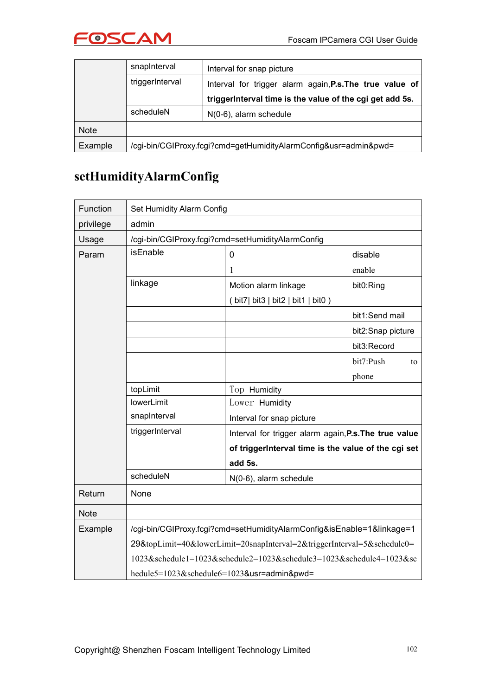

|             | snapInterval                                                     | Interval for snap picture                                |  |
|-------------|------------------------------------------------------------------|----------------------------------------------------------|--|
|             | triggerInterval                                                  | Interval for trigger alarm again, P.s. The true value of |  |
|             |                                                                  | triggerInterval time is the value of the cgi get add 5s. |  |
|             | scheduleN                                                        | $N(0-6)$ , alarm schedule                                |  |
| <b>Note</b> |                                                                  |                                                          |  |
| Example     | /cgi-bin/CGIProxy.fcgi?cmd=getHumidityAlarmConfig&usr=admin&pwd= |                                                          |  |

#### **setHumidityAlarmConfig**

| Function    | Set Humidity Alarm Config                                              |                                                                         |                   |  |
|-------------|------------------------------------------------------------------------|-------------------------------------------------------------------------|-------------------|--|
| privilege   | admin                                                                  |                                                                         |                   |  |
| Usage       |                                                                        | /cgi-bin/CGIProxy.fcgi?cmd=setHumidityAlarmConfig                       |                   |  |
| Param       | isEnable                                                               | $\mathbf 0$                                                             | disable           |  |
|             |                                                                        |                                                                         | enable            |  |
|             | linkage                                                                | Motion alarm linkage                                                    | bit0:Ring         |  |
|             |                                                                        | (bit7) bit3   bit2   bit1   bit0)                                       |                   |  |
|             |                                                                        |                                                                         | bit1:Send mail    |  |
|             |                                                                        |                                                                         | bit2:Snap picture |  |
|             |                                                                        |                                                                         | bit3:Record       |  |
|             |                                                                        |                                                                         | bit7:Push<br>to   |  |
|             |                                                                        |                                                                         | phone             |  |
|             | topLimit                                                               | Top Humidity                                                            |                   |  |
|             | lowerLimit                                                             | Lower Humidity                                                          |                   |  |
|             | snapInterval                                                           | Interval for snap picture                                               |                   |  |
|             | triggerInterval                                                        | Interval for trigger alarm again, P.s. The true value                   |                   |  |
|             |                                                                        | of triggerInterval time is the value of the cgi set                     |                   |  |
|             |                                                                        | add 5s.                                                                 |                   |  |
|             | scheduleN                                                              | N(0-6), alarm schedule                                                  |                   |  |
| Return      | None                                                                   |                                                                         |                   |  |
| <b>Note</b> |                                                                        |                                                                         |                   |  |
| Example     | /cgi-bin/CGIProxy.fcgi?cmd=setHumidityAlarmConfig&isEnable=1&linkage=1 |                                                                         |                   |  |
|             |                                                                        | 29&topLimit=40&lowerLimit=20snapInterval=2&triggerInterval=5&schedule0= |                   |  |
|             |                                                                        | 1023&schedule1=1023&schedule2=1023&schedule3=1023&schedule4=1023≻       |                   |  |
|             | hedule5=1023&schedule6=1023&usr=admin&pwd=                             |                                                                         |                   |  |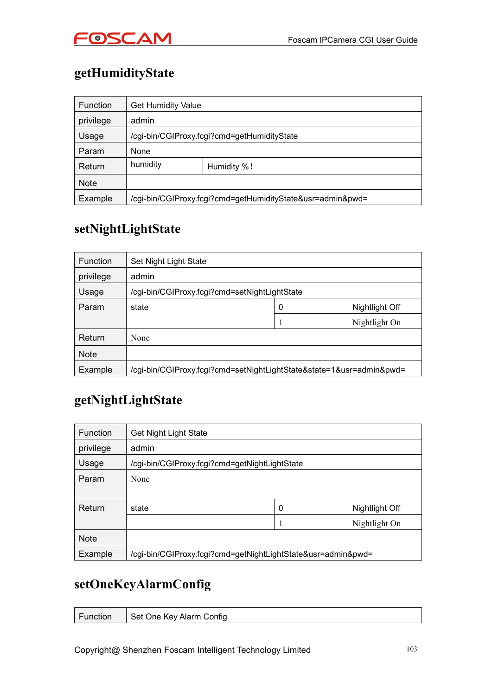

## **getHumidityState**

| Function    | <b>Get Humidity Value</b>                                  |             |  |
|-------------|------------------------------------------------------------|-------------|--|
| privilege   | admin                                                      |             |  |
| Usage       | /cgi-bin/CGIProxy.fcgi?cmd=getHumidityState                |             |  |
| Param       | None                                                       |             |  |
| Return      | humidity                                                   | Humidity %! |  |
| <b>Note</b> |                                                            |             |  |
| Example     | /cgi-bin/CGIProxy.fcgi?cmd=getHumidityState&usr=admin&pwd= |             |  |

#### **setNightLightState**

| <b>Function</b> | Set Night Light State                                                |   |                |
|-----------------|----------------------------------------------------------------------|---|----------------|
| privilege       | admin                                                                |   |                |
| Usage           | /cgi-bin/CGIProxy.fcgi?cmd=setNightLightState                        |   |                |
| Param           | state                                                                | 0 | Nightlight Off |
|                 |                                                                      |   | Nightlight On  |
| Return          | None                                                                 |   |                |
| <b>Note</b>     |                                                                      |   |                |
| Example         | /cgi-bin/CGIProxy.fcgi?cmd=setNightLightState&state=1&usr=admin&pwd= |   |                |

#### **getNightLightState**

| Function    | <b>Get Night Light State</b>                                 |             |                |
|-------------|--------------------------------------------------------------|-------------|----------------|
| privilege   | admin                                                        |             |                |
| Usage       | /cgi-bin/CGIProxy.fcgi?cmd=getNightLightState                |             |                |
| Param       | None                                                         |             |                |
|             |                                                              |             |                |
| Return      | state                                                        | $\mathbf 0$ | Nightlight Off |
|             |                                                              |             | Nightlight On  |
| <b>Note</b> |                                                              |             |                |
| Example     | /cgi-bin/CGIProxy.fcgi?cmd=getNightLightState&usr=admin&pwd= |             |                |

#### **setOneKeyAlarmConfig**

| Function<br>Set One Key Alarm Config |
|--------------------------------------|
|--------------------------------------|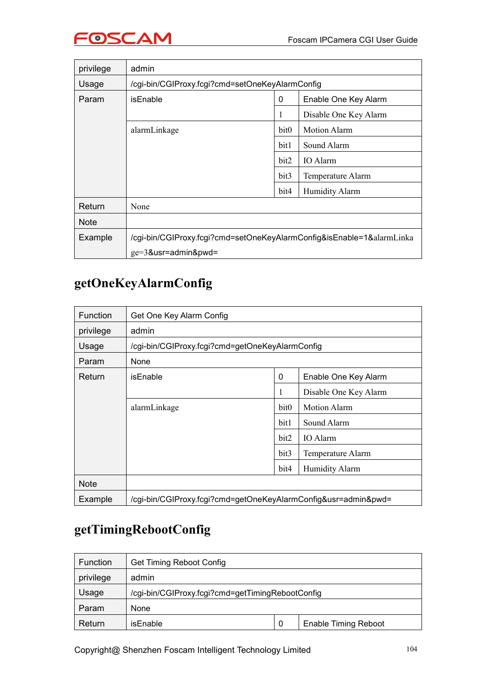

| privilege   | admin                                                                 |                  |                       |  |
|-------------|-----------------------------------------------------------------------|------------------|-----------------------|--|
| Usage       | /cgi-bin/CGIProxy.fcgi?cmd=setOneKeyAlarmConfig                       |                  |                       |  |
| Param       | <i>is</i> Enable                                                      | 0                | Enable One Key Alarm  |  |
|             |                                                                       |                  | Disable One Key Alarm |  |
|             | alarmLinkage                                                          | bit <sub>0</sub> | <b>Motion Alarm</b>   |  |
|             |                                                                       | bit1             | Sound Alarm           |  |
|             |                                                                       | bit2             | IO Alarm              |  |
|             |                                                                       | bit3             | Temperature Alarm     |  |
|             |                                                                       | bit4             | Humidity Alarm        |  |
| Return      | None                                                                  |                  |                       |  |
| <b>Note</b> |                                                                       |                  |                       |  |
| Example     | /cgi-bin/CGIProxy.fcgi?cmd=setOneKeyAlarmConfig&isEnable=1&alarmLinka |                  |                       |  |
|             | $ge=3$ &usr=admin&pwd=                                                |                  |                       |  |

#### **getOneKeyAlarmConfig**

| <b>Function</b> | Get One Key Alarm Config                                       |             |                       |  |
|-----------------|----------------------------------------------------------------|-------------|-----------------------|--|
| privilege       | admin                                                          |             |                       |  |
| Usage           | /cgi-bin/CGIProxy.fcgi?cmd=getOneKeyAlarmConfig                |             |                       |  |
| Param           | None                                                           |             |                       |  |
| Return          | isEnable                                                       | $\mathbf 0$ | Enable One Key Alarm  |  |
|                 |                                                                | -1          | Disable One Key Alarm |  |
|                 | alarmLinkage                                                   | bit0        | <b>Motion Alarm</b>   |  |
|                 |                                                                | bit1        | Sound Alarm           |  |
|                 |                                                                | bit2        | IO Alarm              |  |
|                 |                                                                | bit3        | Temperature Alarm     |  |
|                 |                                                                | bit4        | Humidity Alarm        |  |
| <b>Note</b>     |                                                                |             |                       |  |
| Example         | /cgi-bin/CGIProxy.fcgi?cmd=getOneKeyAlarmConfig&usr=admin&pwd= |             |                       |  |

#### **getTimingRebootConfig**

| Function  | Get Timing Reboot Config                         |   |                             |
|-----------|--------------------------------------------------|---|-----------------------------|
| privilege | admin                                            |   |                             |
| Usage     | /cgi-bin/CGIProxy.fcgi?cmd=getTimingRebootConfig |   |                             |
| Param     | None                                             |   |                             |
| Return    | isEnable                                         | 0 | <b>Enable Timing Reboot</b> |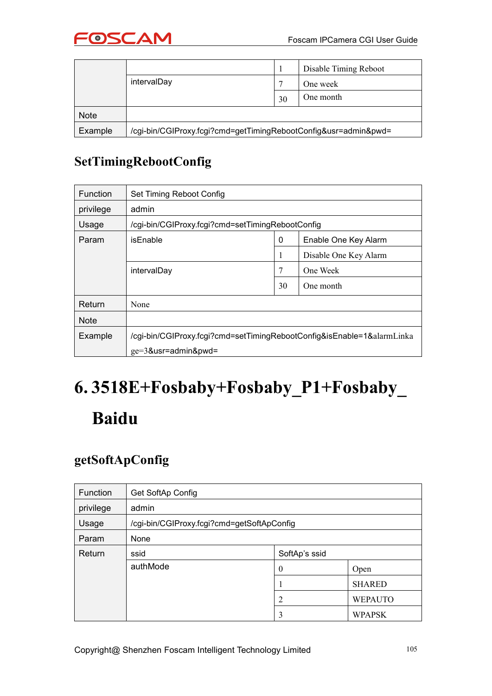

|             |                                                                 |                | Disable Timing Reboot |
|-------------|-----------------------------------------------------------------|----------------|-----------------------|
|             | intervalDay                                                     | $\overline{ }$ | One week              |
|             |                                                                 | 30             | One month             |
| <b>Note</b> |                                                                 |                |                       |
| Example     | /cgi-bin/CGIProxy.fcgi?cmd=getTimingRebootConfig&usr=admin&pwd= |                |                       |

#### **SetTimingRebootConfig**

| <b>Function</b> | Set Timing Reboot Config                                               |    |                       |  |
|-----------------|------------------------------------------------------------------------|----|-----------------------|--|
| privilege       | admin                                                                  |    |                       |  |
| Usage           | /cgi-bin/CGIProxy.fcgi?cmd=setTimingRebootConfig                       |    |                       |  |
| Param           | isEnable                                                               | 0  | Enable One Key Alarm  |  |
|                 |                                                                        |    | Disable One Key Alarm |  |
|                 | intervalDay                                                            |    | One Week              |  |
|                 |                                                                        | 30 | One month             |  |
| Return          | None                                                                   |    |                       |  |
| <b>Note</b>     |                                                                        |    |                       |  |
| Example         | /cgi-bin/CGIProxy.fcgi?cmd=setTimingRebootConfig&isEnable=1&alarmLinka |    |                       |  |
|                 | $ge=3$ &usr=admin&pwd=                                                 |    |                       |  |

# **6. 3518E+Fosbaby+Fosbaby\_P1+Fosbaby\_ Baidu**

#### **getSoftApConfig**

| Function  | Get SoftAp Config                          |                  |                |  |
|-----------|--------------------------------------------|------------------|----------------|--|
| privilege | admin                                      |                  |                |  |
| Usage     | /cgi-bin/CGIProxy.fcgi?cmd=getSoftApConfig |                  |                |  |
| Param     | None                                       |                  |                |  |
| Return    | ssid                                       | SoftAp's ssid    |                |  |
|           | authMode                                   | $\boldsymbol{0}$ | Open           |  |
|           |                                            |                  | <b>SHARED</b>  |  |
|           |                                            | $\overline{c}$   | <b>WEPAUTO</b> |  |
|           |                                            | 3                | <b>WPAPSK</b>  |  |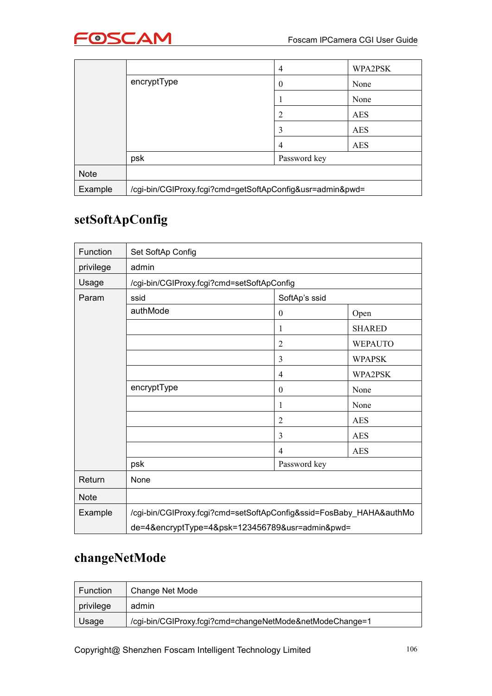

|             |                                                           | 4            | WPA2PSK    |
|-------------|-----------------------------------------------------------|--------------|------------|
|             | encryptType                                               | $\theta$     | None       |
|             |                                                           |              | None       |
|             |                                                           |              | <b>AES</b> |
|             |                                                           | 3            | <b>AES</b> |
|             |                                                           | 4            | <b>AES</b> |
|             | psk                                                       | Password key |            |
| <b>Note</b> |                                                           |              |            |
| Example     | /cgi-bin/CGIProxy.fcgi?cmd=getSoftApConfig&usr=admin&pwd= |              |            |

#### **setSoftApConfig**

| Function    | Set SoftAp Config                                                   |                  |                |
|-------------|---------------------------------------------------------------------|------------------|----------------|
| privilege   | admin                                                               |                  |                |
| Usage       | /cgi-bin/CGIProxy.fcgi?cmd=setSoftApConfig                          |                  |                |
| Param       | ssid                                                                | SoftAp's ssid    |                |
|             | authMode                                                            | $\boldsymbol{0}$ | Open           |
|             |                                                                     | 1                | <b>SHARED</b>  |
|             |                                                                     | $\overline{2}$   | <b>WEPAUTO</b> |
|             |                                                                     | 3                | <b>WPAPSK</b>  |
|             |                                                                     | 4                | WPA2PSK        |
|             | encryptType                                                         | $\boldsymbol{0}$ | None           |
|             |                                                                     | 1                | None           |
|             |                                                                     | $\overline{2}$   | <b>AES</b>     |
|             |                                                                     | 3                | <b>AES</b>     |
|             |                                                                     | $\overline{4}$   | <b>AES</b>     |
|             | psk                                                                 | Password key     |                |
| Return      | None                                                                |                  |                |
| <b>Note</b> |                                                                     |                  |                |
| Example     | /cgi-bin/CGIProxy.fcgi?cmd=setSoftApConfig&ssid=FosBaby_HAHA&authMo |                  |                |
|             | de=4&encryptType=4&psk=123456789&usr=admin&pwd=                     |                  |                |

#### **changeNetMode**

| Function  | Change Net Mode                                          |
|-----------|----------------------------------------------------------|
| privilege | admin                                                    |
| Usage     | /cgi-bin/CGIProxy.fcgi?cmd=changeNetMode&netModeChange=1 |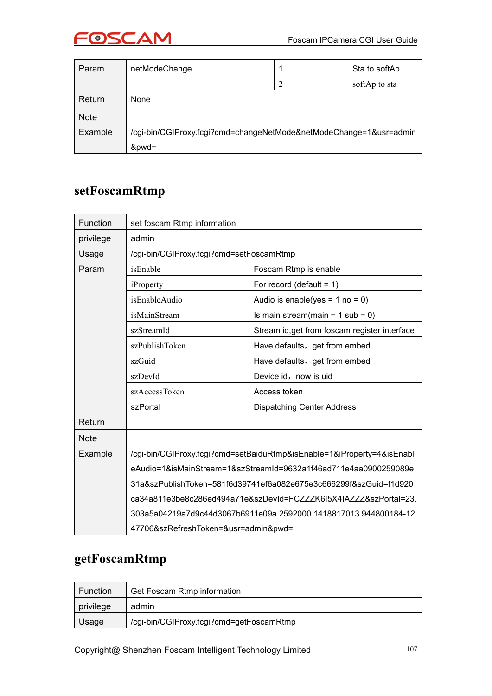

| Param       | netModeChange                                                      |   | Sta to softAp |
|-------------|--------------------------------------------------------------------|---|---------------|
|             |                                                                    | 2 | softAp to sta |
| Return      | None                                                               |   |               |
| <b>Note</b> |                                                                    |   |               |
| Example     | /cgi-bin/CGIProxy.fcgi?cmd=changeNetMode&netModeChange=1&usr=admin |   |               |
|             | &pwd=                                                              |   |               |

#### **setFoscamRtmp**

| Function    | set foscam Rtmp information                                            |                                                                                                                                      |  |
|-------------|------------------------------------------------------------------------|--------------------------------------------------------------------------------------------------------------------------------------|--|
| privilege   | admin                                                                  |                                                                                                                                      |  |
| Usage       | /cgi-bin/CGIProxy.fcgi?cmd=setFoscamRtmp                               |                                                                                                                                      |  |
| Param       | isEnable                                                               | Foscam Rtmp is enable                                                                                                                |  |
|             | iProperty                                                              | For record (default = $1$ )                                                                                                          |  |
|             | isEnableAudio                                                          | Audio is enable(yes = $1$ no = 0)                                                                                                    |  |
|             | isMainStream                                                           | Is main stream(main = $1$ sub = 0)                                                                                                   |  |
|             | szStreamId                                                             | Stream id, get from foscam register interface                                                                                        |  |
|             | szPublishToken                                                         | Have defaults, get from embed                                                                                                        |  |
|             | szGuid                                                                 | Have defaults, get from embed                                                                                                        |  |
|             | szDevId                                                                | Device id, now is uid                                                                                                                |  |
|             | szAccessToken                                                          | Access token                                                                                                                         |  |
|             | szPortal                                                               | <b>Dispatching Center Address</b>                                                                                                    |  |
| Return      |                                                                        |                                                                                                                                      |  |
| <b>Note</b> |                                                                        |                                                                                                                                      |  |
| Example     | /cgi-bin/CGIProxy.fcgi?cmd=setBaiduRtmp&isEnable=1&iProperty=4&isEnabl |                                                                                                                                      |  |
|             | eAudio=1&isMainStream=1&szStreamId=9632a1f46ad711e4aa0900259089e       |                                                                                                                                      |  |
|             | 31a&szPublishToken=581f6d39741ef6a082e675e3c666299f&szGuid=f1d920      |                                                                                                                                      |  |
|             |                                                                        | ca34a811e3be8c286ed494a71e&szDevId=FCZZZK6I5X4IAZZZ&szPortal=23.<br>303a5a04219a7d9c44d3067b6911e09a.2592000.1418817013.944800184-12 |  |
|             |                                                                        |                                                                                                                                      |  |
|             | 47706&szRefreshToken=&usr=admin&pwd=                                   |                                                                                                                                      |  |

#### **getFoscamRtmp**

| <b>Function</b> | Get Foscam Rtmp information              |  |
|-----------------|------------------------------------------|--|
| privilege       | admin                                    |  |
| Usage           | /cgi-bin/CGIProxy.fcgi?cmd=getFoscamRtmp |  |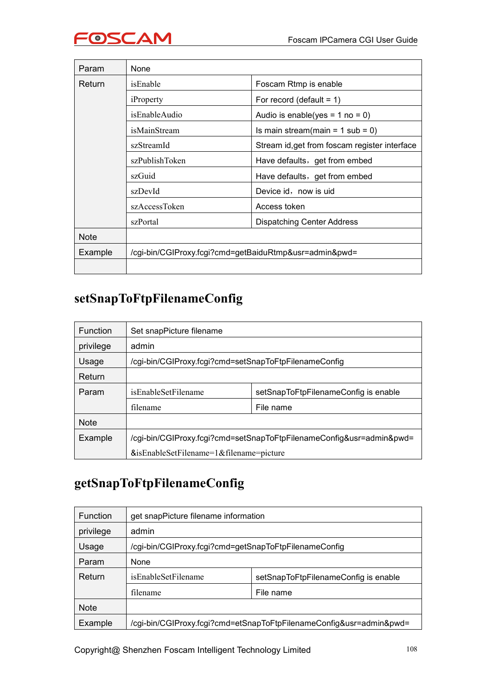

| Param       | None                                                   |                                               |
|-------------|--------------------------------------------------------|-----------------------------------------------|
| Return      | isEnable                                               | Foscam Rtmp is enable                         |
|             | iProperty                                              | For record (default = $1$ )                   |
|             | isEnableAudio                                          | Audio is enable(yes = $1$ no = 0)             |
|             | isMainStream                                           | Is main stream(main = $1$ sub = 0)            |
|             | szStreamId                                             | Stream id, get from foscam register interface |
|             | szPublishToken                                         | Have defaults, get from embed                 |
|             | szGuid                                                 | Have defaults, get from embed                 |
|             | szDevId                                                | Device id, now is uid                         |
|             | szAccessToken                                          | Access token                                  |
|             | szPortal                                               | <b>Dispatching Center Address</b>             |
| <b>Note</b> |                                                        |                                               |
| Example     | /cgi-bin/CGIProxy.fcgi?cmd=getBaiduRtmp&usr=admin&pwd= |                                               |
|             |                                                        |                                               |

#### **setSnapToFtpFilenameConfig**

| <b>Function</b> | Set snapPicture filename                                             |                                      |  |
|-----------------|----------------------------------------------------------------------|--------------------------------------|--|
| privilege       | admin                                                                |                                      |  |
| Usage           | /cgi-bin/CGIProxy.fcgi?cmd=setSnapToFtpFilenameConfig                |                                      |  |
| Return          |                                                                      |                                      |  |
| Param           | isEnableSetFilename                                                  | setSnapToFtpFilenameConfig is enable |  |
|                 | filename                                                             | File name                            |  |
| <b>Note</b>     |                                                                      |                                      |  |
| Example         | /cgi-bin/CGIProxy.fcgi?cmd=setSnapToFtpFilenameConfig&usr=admin&pwd= |                                      |  |
|                 | &isEnableSetFilename=1&filename=picture                              |                                      |  |

#### **getSnapToFtpFilenameConfig**

| <b>Function</b> | get snapPicture filename information                                |                                      |
|-----------------|---------------------------------------------------------------------|--------------------------------------|
| privilege       | admin                                                               |                                      |
| Usage           | /cgi-bin/CGIProxy.fcgi?cmd=getSnapToFtpFilenameConfig               |                                      |
| Param           | None                                                                |                                      |
| Return          | isEnableSetFilename                                                 | setSnapToFtpFilenameConfig is enable |
|                 | filename                                                            | File name                            |
| <b>Note</b>     |                                                                     |                                      |
| Example         | /cgi-bin/CGIProxy.fcgi?cmd=etSnapToFtpFilenameConfig&usr=admin&pwd= |                                      |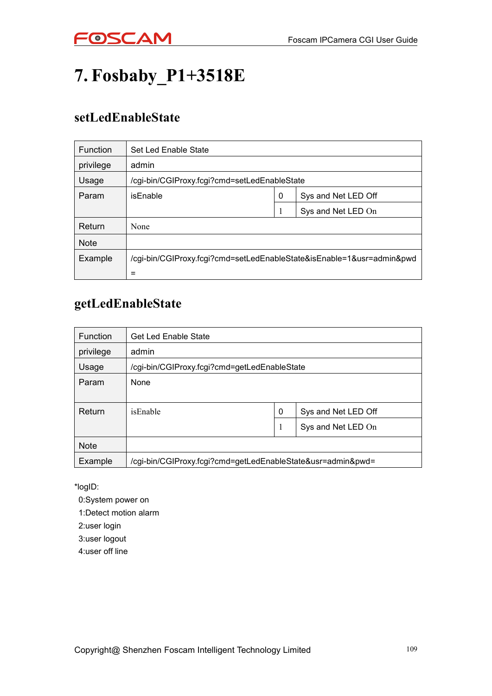

# **7. Fosbaby\_P1+3518E**

#### **setLedEnableState**

| <b>Function</b> | Set Led Enable State                                                  |   |                     |
|-----------------|-----------------------------------------------------------------------|---|---------------------|
| privilege       | admin                                                                 |   |                     |
| Usage           | /cgi-bin/CGIProxy.fcgi?cmd=setLedEnableState                          |   |                     |
| Param           | isEnable                                                              | 0 | Sys and Net LED Off |
|                 |                                                                       |   | Sys and Net LED On  |
| Return          | None                                                                  |   |                     |
| <b>Note</b>     |                                                                       |   |                     |
| Example         | /cgi-bin/CGIProxy.fcgi?cmd=setLedEnableState&isEnable=1&usr=admin&pwd |   |                     |
|                 | $\equiv$                                                              |   |                     |

#### **getLedEnableState**

| <b>Function</b> | <b>Get Led Enable State</b>                                 |   |                     |
|-----------------|-------------------------------------------------------------|---|---------------------|
| privilege       | admin                                                       |   |                     |
| Usage           | /cgi-bin/CGIProxy.fcgi?cmd=getLedEnableState                |   |                     |
| Param           | None                                                        |   |                     |
|                 |                                                             |   |                     |
| Return          | isEnable                                                    | 0 | Sys and Net LED Off |
|                 |                                                             | 1 | Sys and Net LED On  |
| <b>Note</b>     |                                                             |   |                     |
| Example         | /cgi-bin/CGIProxy.fcgi?cmd=getLedEnableState&usr=admin&pwd= |   |                     |

\*logID:

0:System power on

1:Detect motion alarm

2:user login

3:user logout

4:user off line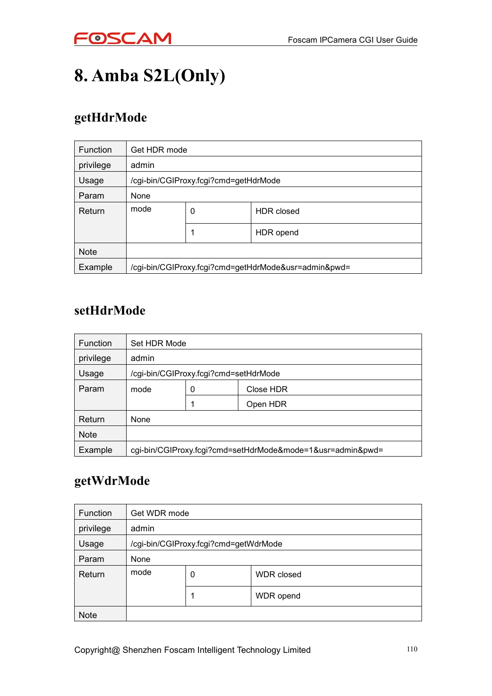

# **8. Amba S2L(Only)**

## **getHdrMode**

| <b>Function</b> | Get HDR mode                                         |   |            |
|-----------------|------------------------------------------------------|---|------------|
| privilege       | admin                                                |   |            |
| Usage           | /cgi-bin/CGIProxy.fcgi?cmd=getHdrMode                |   |            |
| Param           | None                                                 |   |            |
| Return          | mode                                                 | 0 | HDR closed |
|                 |                                                      |   | HDR opend  |
| <b>Note</b>     |                                                      |   |            |
| Example         | /cgi-bin/CGIProxy.fcgi?cmd=getHdrMode&usr=admin&pwd= |   |            |

#### **setHdrMode**

| <b>Function</b> | Set HDR Mode                          |   |                                                            |
|-----------------|---------------------------------------|---|------------------------------------------------------------|
| privilege       | admin                                 |   |                                                            |
| Usage           | /cgi-bin/CGIProxy.fcgi?cmd=setHdrMode |   |                                                            |
| Param           | mode                                  | 0 | Close HDR                                                  |
|                 |                                       |   | Open HDR                                                   |
| Return          | None                                  |   |                                                            |
| <b>Note</b>     |                                       |   |                                                            |
| Example         |                                       |   | cgi-bin/CGIProxy.fcgi?cmd=setHdrMode&mode=1&usr=admin&pwd= |

### **getWdrMode**

| <b>Function</b> | Get WDR mode                          |   |                   |
|-----------------|---------------------------------------|---|-------------------|
| privilege       | admin                                 |   |                   |
| Usage           | /cgi-bin/CGIProxy.fcgi?cmd=getWdrMode |   |                   |
| Param           | None                                  |   |                   |
| Return          | mode                                  | 0 | <b>WDR</b> closed |
|                 |                                       | 1 | WDR opend         |
| <b>Note</b>     |                                       |   |                   |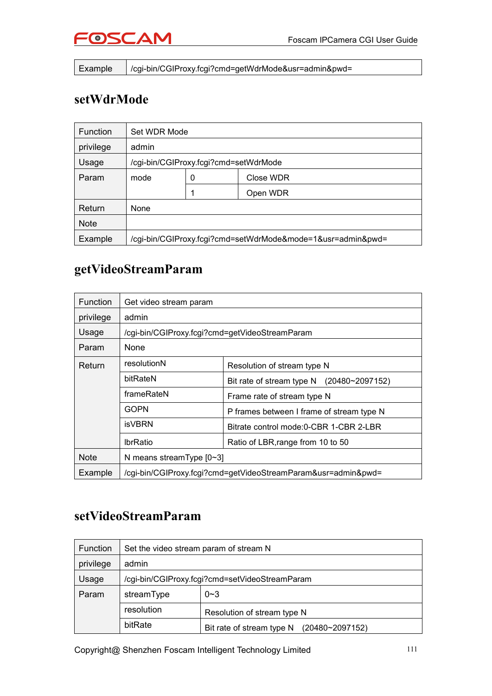

Example /cgi-bin/CGIProxy.fcgi?cmd=getWdrMode&usr=admin&pwd=

#### **setWdrMode**

| <b>Function</b> | Set WDR Mode                          |                |                                                             |
|-----------------|---------------------------------------|----------------|-------------------------------------------------------------|
| privilege       | admin                                 |                |                                                             |
| Usage           | /cgi-bin/CGIProxy.fcgi?cmd=setWdrMode |                |                                                             |
| Param           | mode                                  | Close WDR<br>0 |                                                             |
|                 |                                       |                | Open WDR                                                    |
| Return          | None                                  |                |                                                             |
| <b>Note</b>     |                                       |                |                                                             |
| Example         |                                       |                | /cgi-bin/CGIProxy.fcgi?cmd=setWdrMode&mode=1&usr=admin&pwd= |

### **getVideoStreamParam**

| <b>Function</b> | Get video stream param                                        |                                                  |  |
|-----------------|---------------------------------------------------------------|--------------------------------------------------|--|
| privilege       | admin                                                         |                                                  |  |
| Usage           | /cgi-bin/CGIProxy.fcgi?cmd=getVideoStreamParam                |                                                  |  |
| Param           | None                                                          |                                                  |  |
| Return          | resolutionN                                                   | Resolution of stream type N                      |  |
|                 | bitRateN                                                      | Bit rate of stream type N $(20480 \sim 2097152)$ |  |
|                 | frameRateN                                                    | Frame rate of stream type N                      |  |
|                 | GOPN                                                          | P frames between I frame of stream type N        |  |
|                 | isVBRN                                                        | Bitrate control mode: 0-CBR 1-CBR 2-LBR          |  |
|                 | <b>IbrRatio</b>                                               | Ratio of LBR, range from 10 to 50                |  |
| <b>Note</b>     | N means stream Type $[0-3]$                                   |                                                  |  |
| Example         | /cgi-bin/CGIProxy.fcgi?cmd=getVideoStreamParam&usr=admin&pwd= |                                                  |  |

#### **setVideoStreamParam**

| Function  | Set the video stream param of stream N         |                                              |  |
|-----------|------------------------------------------------|----------------------------------------------|--|
| privilege | admin                                          |                                              |  |
| Usage     | /cgi-bin/CGIProxy.fcgi?cmd=setVideoStreamParam |                                              |  |
| Param     | streamType                                     | $0 - 3$                                      |  |
|           | resolution                                     | Resolution of stream type N                  |  |
|           | bitRate                                        | Bit rate of stream type N<br>(20480~2097152) |  |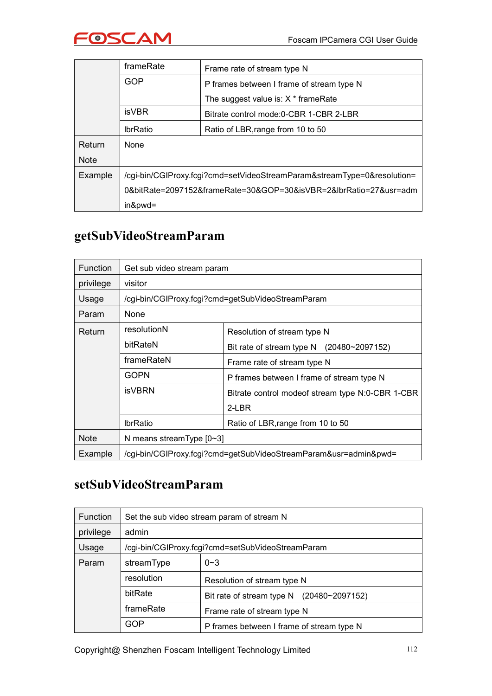

|             | frameRate                                                               | Frame rate of stream type N               |  |
|-------------|-------------------------------------------------------------------------|-------------------------------------------|--|
|             | <b>GOP</b>                                                              | P frames between I frame of stream type N |  |
|             |                                                                         | The suggest value is: $X *$ frame Rate    |  |
|             | <b>isVBR</b>                                                            | Bitrate control mode: 0-CBR 1-CBR 2-LBR   |  |
|             | <b>IbrRatio</b>                                                         | Ratio of LBR, range from 10 to 50         |  |
| Return      | None                                                                    |                                           |  |
| <b>Note</b> |                                                                         |                                           |  |
| Example     | /cgi-bin/CGIProxy.fcgi?cmd=setVideoStreamParam&streamType=0&resolution= |                                           |  |
|             | 0&bitRate=2097152&frameRate=30&GOP=30&isVBR=2&lbrRatio=27&usr=adm       |                                           |  |
|             | $in$ & pwd=                                                             |                                           |  |

## **getSubVideoStreamParam**

| <b>Function</b> | Get sub video stream param                                       |                                                   |  |
|-----------------|------------------------------------------------------------------|---------------------------------------------------|--|
| privilege       | visitor                                                          |                                                   |  |
| Usage           |                                                                  | /cgi-bin/CGIProxy.fcgi?cmd=getSubVideoStreamParam |  |
| Param           | None                                                             |                                                   |  |
| Return          | resolutionN                                                      | Resolution of stream type N                       |  |
|                 | bitRateN                                                         | Bit rate of stream type N<br>(20480~2097152)      |  |
|                 | frameRateN                                                       | Frame rate of stream type N                       |  |
|                 | <b>GOPN</b>                                                      | P frames between I frame of stream type N         |  |
|                 | <b>isVBRN</b>                                                    | Bitrate control modeof stream type N:0-CBR 1-CBR  |  |
|                 |                                                                  | 2-LBR                                             |  |
|                 | <b>IbrRatio</b>                                                  | Ratio of LBR, range from 10 to 50                 |  |
| <b>Note</b>     | N means stream Type $[0-3]$                                      |                                                   |  |
| Example         | /cgi-bin/CGIProxy.fcgi?cmd=getSubVideoStreamParam&usr=admin&pwd= |                                                   |  |

#### **setSubVideoStreamParam**

| <b>Function</b> |            | Set the sub video stream param of stream N        |  |
|-----------------|------------|---------------------------------------------------|--|
| privilege       | admin      |                                                   |  |
| Usage           |            | /cgi-bin/CGIProxy.fcgi?cmd=setSubVideoStreamParam |  |
| Param           | streamType | $0 - 3$                                           |  |
|                 | resolution | Resolution of stream type N                       |  |
|                 | bitRate    | Bit rate of stream type N<br>(20480~2097152)      |  |
|                 | frameRate  | Frame rate of stream type N                       |  |
|                 | <b>GOP</b> | P frames between I frame of stream type N         |  |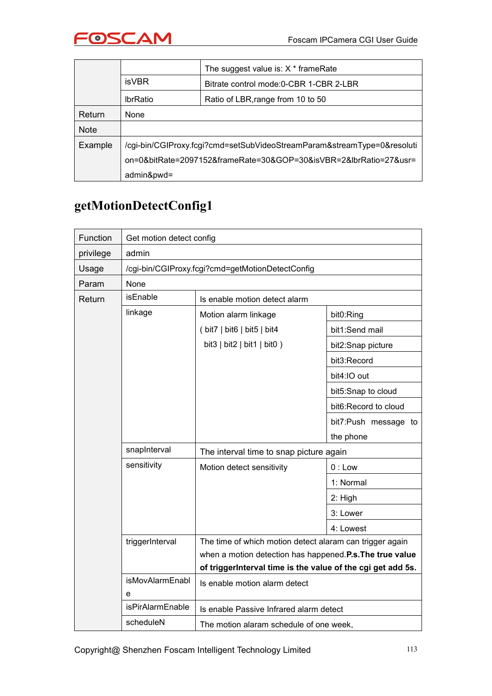

|             |                                                                         | The suggest value is: $X *$ frame Rate  |  |
|-------------|-------------------------------------------------------------------------|-----------------------------------------|--|
|             | <b>isVBR</b>                                                            | Bitrate control mode: 0-CBR 1-CBR 2-LBR |  |
|             | <b>IbrRatio</b>                                                         | Ratio of LBR, range from 10 to 50       |  |
| Return      | None                                                                    |                                         |  |
| <b>Note</b> |                                                                         |                                         |  |
| Example     | /cgi-bin/CGIProxy.fcgi?cmd=setSubVideoStreamParam&streamType=0&resoluti |                                         |  |
|             | on=0&bitRate=2097152&frameRate=30&GOP=30&isVBR=2&lbrRatio=27&usr=       |                                         |  |
|             | admin&pwd=                                                              |                                         |  |

## **getMotionDetectConfig1**

| Function  | Get motion detect config                         |                                                             |                      |  |  |
|-----------|--------------------------------------------------|-------------------------------------------------------------|----------------------|--|--|
| privilege | admin                                            |                                                             |                      |  |  |
| Usage     | /cgi-bin/CGIProxy.fcgi?cmd=getMotionDetectConfig |                                                             |                      |  |  |
| Param     | None                                             |                                                             |                      |  |  |
| Return    | isEnable                                         | Is enable motion detect alarm                               |                      |  |  |
|           | linkage                                          | Motion alarm linkage                                        | bit0:Ring            |  |  |
|           |                                                  | (bit7   bit6   bit5   bit4)                                 | bit1:Send mail       |  |  |
|           |                                                  | bit3 $ $ bit2 $ $ bit1 $ $ bit0 $ $                         | bit2:Snap picture    |  |  |
|           |                                                  |                                                             | bit3:Record          |  |  |
|           |                                                  |                                                             | bit4:IO out          |  |  |
|           |                                                  |                                                             | bit5:Snap to cloud   |  |  |
|           |                                                  |                                                             | bit6:Record to cloud |  |  |
|           |                                                  |                                                             | bit7:Push message to |  |  |
|           |                                                  |                                                             | the phone            |  |  |
|           | snapInterval                                     | The interval time to snap picture again                     |                      |  |  |
|           | sensitivity                                      | Motion detect sensitivity                                   | $0:$ Low             |  |  |
|           |                                                  |                                                             | 1: Normal            |  |  |
|           |                                                  |                                                             | 2: High              |  |  |
|           |                                                  |                                                             | 3: Lower             |  |  |
|           |                                                  |                                                             | 4: Lowest            |  |  |
|           | triggerInterval                                  | The time of which motion detect alaram can trigger again    |                      |  |  |
|           |                                                  | when a motion detection has happened.P.s. The true value    |                      |  |  |
|           | <b>isMovAlarmEnabl</b>                           | of triggerInterval time is the value of the cgi get add 5s. |                      |  |  |
|           | e                                                | Is enable motion alarm detect                               |                      |  |  |
|           | isPirAlarmEnable                                 | Is enable Passive Infrared alarm detect                     |                      |  |  |
|           | scheduleN                                        | The motion alaram schedule of one week,                     |                      |  |  |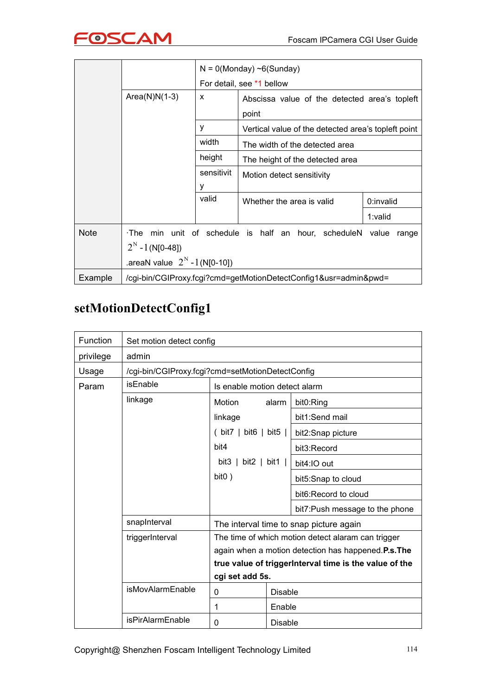

|             |                                                                  |                           | $N = 0$ (Monday) ~6(Sunday)                                 |           |  |  |  |  |
|-------------|------------------------------------------------------------------|---------------------------|-------------------------------------------------------------|-----------|--|--|--|--|
|             |                                                                  | For detail, see *1 bellow |                                                             |           |  |  |  |  |
|             | $Area(N)N(1-3)$                                                  | X                         | Abscissa value of the detected area's topleft<br>point      |           |  |  |  |  |
|             |                                                                  | y                         | Vertical value of the detected area's topleft point         |           |  |  |  |  |
|             |                                                                  | width                     | The width of the detected area                              |           |  |  |  |  |
|             |                                                                  | height                    | The height of the detected area                             |           |  |  |  |  |
|             |                                                                  | sensitivit<br>у           | Motion detect sensitivity                                   |           |  |  |  |  |
|             |                                                                  | valid                     | Whether the area is valid                                   | 0:invalid |  |  |  |  |
|             |                                                                  |                           |                                                             | 1:valid   |  |  |  |  |
| <b>Note</b> | ∙The<br>$2^N - 1$ (N[0-48])                                      |                           | min unit of schedule is half an hour, scheduleN value range |           |  |  |  |  |
|             | .areaN value $2^{N} - 1$ (N[0-10])                               |                           |                                                             |           |  |  |  |  |
| Example     | /cgi-bin/CGIProxy.fcgi?cmd=getMotionDetectConfig1&usr=admin&pwd= |                           |                                                             |           |  |  |  |  |

## **setMotionDetectConfig1**

| Function  | Set motion detect config |                                                                                                          |                |                                |  |
|-----------|--------------------------|----------------------------------------------------------------------------------------------------------|----------------|--------------------------------|--|
| privilege | admin                    |                                                                                                          |                |                                |  |
| Usage     |                          | /cgi-bin/CGIProxy.fcgi?cmd=setMotionDetectConfig                                                         |                |                                |  |
| Param     | isEnable                 | Is enable motion detect alarm                                                                            |                |                                |  |
|           | linkage                  | Motion                                                                                                   | alarm          | bit0:Ring                      |  |
|           |                          | linkage                                                                                                  |                | bit1:Send mail                 |  |
|           |                          | (bit7   bit6   bit5                                                                                      |                | bit2:Snap picture              |  |
|           |                          | bit4<br>bit3 $\vert$ bit2 $\vert$ bit1 $\vert$                                                           |                | bit3:Record                    |  |
|           |                          |                                                                                                          |                | bit4:IO out                    |  |
|           |                          | bit <sub>0</sub> )                                                                                       |                | bit5:Snap to cloud             |  |
|           |                          |                                                                                                          |                | bit6: Record to cloud          |  |
|           |                          |                                                                                                          |                | bit7:Push message to the phone |  |
|           | snapInterval             | The interval time to snap picture again                                                                  |                |                                |  |
|           | triggerInterval          | The time of which motion detect alaram can trigger<br>again when a motion detection has happened.P.s.The |                |                                |  |
|           |                          |                                                                                                          |                |                                |  |
|           |                          | true value of triggerInterval time is the value of the                                                   |                |                                |  |
|           |                          | cgi set add 5s.                                                                                          |                |                                |  |
|           | isMovAlarmEnable         | $\mathbf 0$                                                                                              | <b>Disable</b> |                                |  |
|           |                          | 1                                                                                                        | Enable         |                                |  |
|           | isPirAlarmEnable         | 0                                                                                                        | <b>Disable</b> |                                |  |